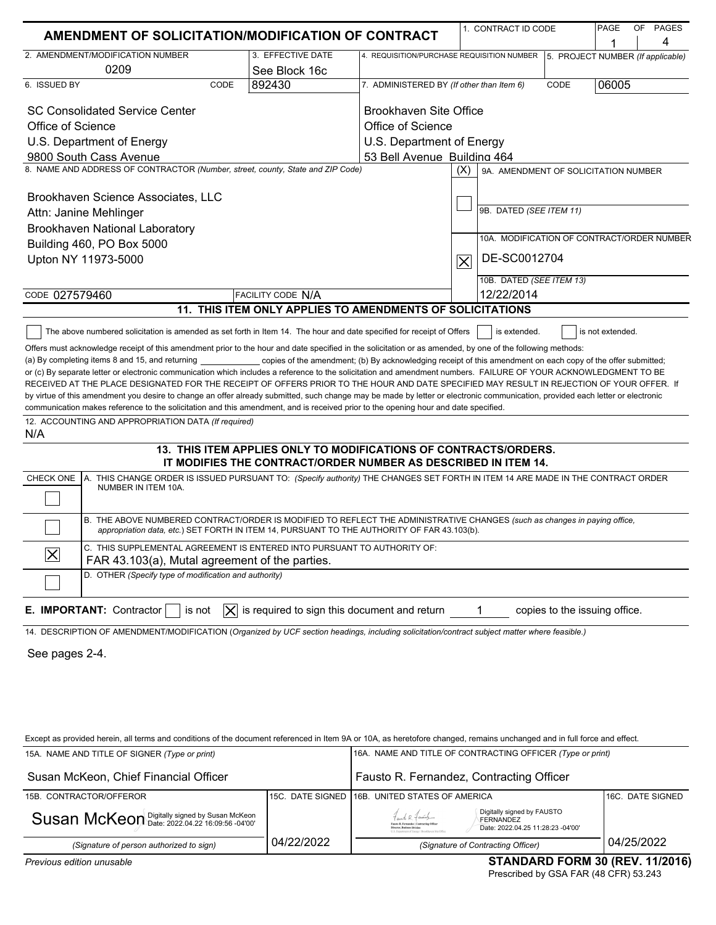| <b>AMENDMENT OF SOLICITATION/MODIFICATION OF CONTRACT</b>                                                                                                                                                                                                                                                                                                                                                                                                                                                                                                                                                                                                                                                                                                                                                                                                                                                                                                                                                                                                                                                                                                                                                                                                                                                   |                                                                                                                                    |                                                            | 1. CONTRACT ID CODE                         |                                   | PAGE  | OF PAGES<br>4   |
|-------------------------------------------------------------------------------------------------------------------------------------------------------------------------------------------------------------------------------------------------------------------------------------------------------------------------------------------------------------------------------------------------------------------------------------------------------------------------------------------------------------------------------------------------------------------------------------------------------------------------------------------------------------------------------------------------------------------------------------------------------------------------------------------------------------------------------------------------------------------------------------------------------------------------------------------------------------------------------------------------------------------------------------------------------------------------------------------------------------------------------------------------------------------------------------------------------------------------------------------------------------------------------------------------------------|------------------------------------------------------------------------------------------------------------------------------------|------------------------------------------------------------|---------------------------------------------|-----------------------------------|-------|-----------------|
| 2. AMENDMENT/MODIFICATION NUMBER                                                                                                                                                                                                                                                                                                                                                                                                                                                                                                                                                                                                                                                                                                                                                                                                                                                                                                                                                                                                                                                                                                                                                                                                                                                                            | 3. EFFECTIVE DATE                                                                                                                  | 4. REQUISITION/PURCHASE REQUISITION NUMBER                 |                                             | 5. PROJECT NUMBER (If applicable) |       |                 |
| 0209                                                                                                                                                                                                                                                                                                                                                                                                                                                                                                                                                                                                                                                                                                                                                                                                                                                                                                                                                                                                                                                                                                                                                                                                                                                                                                        | See Block 16c                                                                                                                      |                                                            |                                             |                                   |       |                 |
| 6. ISSUED BY<br>CODE                                                                                                                                                                                                                                                                                                                                                                                                                                                                                                                                                                                                                                                                                                                                                                                                                                                                                                                                                                                                                                                                                                                                                                                                                                                                                        | 892430                                                                                                                             | 7. ADMINISTERED BY (If other than Item 6)                  |                                             | CODE                              | 06005 |                 |
| <b>SC Consolidated Service Center</b>                                                                                                                                                                                                                                                                                                                                                                                                                                                                                                                                                                                                                                                                                                                                                                                                                                                                                                                                                                                                                                                                                                                                                                                                                                                                       |                                                                                                                                    | Brookhaven Site Office                                     |                                             |                                   |       |                 |
| Office of Science                                                                                                                                                                                                                                                                                                                                                                                                                                                                                                                                                                                                                                                                                                                                                                                                                                                                                                                                                                                                                                                                                                                                                                                                                                                                                           |                                                                                                                                    | Office of Science                                          |                                             |                                   |       |                 |
| U.S. Department of Energy                                                                                                                                                                                                                                                                                                                                                                                                                                                                                                                                                                                                                                                                                                                                                                                                                                                                                                                                                                                                                                                                                                                                                                                                                                                                                   |                                                                                                                                    | U.S. Department of Energy                                  |                                             |                                   |       |                 |
| 9800 South Cass Avenue                                                                                                                                                                                                                                                                                                                                                                                                                                                                                                                                                                                                                                                                                                                                                                                                                                                                                                                                                                                                                                                                                                                                                                                                                                                                                      |                                                                                                                                    | 53 Bell Avenue Building 464                                |                                             |                                   |       |                 |
| 8. NAME AND ADDRESS OF CONTRACTOR (Number, street, county, State and ZIP Code)                                                                                                                                                                                                                                                                                                                                                                                                                                                                                                                                                                                                                                                                                                                                                                                                                                                                                                                                                                                                                                                                                                                                                                                                                              |                                                                                                                                    |                                                            | (X)<br>9A. AMENDMENT OF SOLICITATION NUMBER |                                   |       |                 |
| Brookhaven Science Associates, LLC                                                                                                                                                                                                                                                                                                                                                                                                                                                                                                                                                                                                                                                                                                                                                                                                                                                                                                                                                                                                                                                                                                                                                                                                                                                                          |                                                                                                                                    |                                                            |                                             |                                   |       |                 |
| Attn: Janine Mehlinger                                                                                                                                                                                                                                                                                                                                                                                                                                                                                                                                                                                                                                                                                                                                                                                                                                                                                                                                                                                                                                                                                                                                                                                                                                                                                      |                                                                                                                                    |                                                            | 9B. DATED (SEE ITEM 11)                     |                                   |       |                 |
| Brookhaven National Laboratory                                                                                                                                                                                                                                                                                                                                                                                                                                                                                                                                                                                                                                                                                                                                                                                                                                                                                                                                                                                                                                                                                                                                                                                                                                                                              |                                                                                                                                    |                                                            |                                             |                                   |       |                 |
| Building 460, PO Box 5000                                                                                                                                                                                                                                                                                                                                                                                                                                                                                                                                                                                                                                                                                                                                                                                                                                                                                                                                                                                                                                                                                                                                                                                                                                                                                   |                                                                                                                                    |                                                            | 10A. MODIFICATION OF CONTRACT/ORDER NUMBER  |                                   |       |                 |
| Upton NY 11973-5000                                                                                                                                                                                                                                                                                                                                                                                                                                                                                                                                                                                                                                                                                                                                                                                                                                                                                                                                                                                                                                                                                                                                                                                                                                                                                         |                                                                                                                                    |                                                            | DE-SC0012704<br>$\overline{\times}$         |                                   |       |                 |
|                                                                                                                                                                                                                                                                                                                                                                                                                                                                                                                                                                                                                                                                                                                                                                                                                                                                                                                                                                                                                                                                                                                                                                                                                                                                                                             |                                                                                                                                    |                                                            | 10B. DATED (SEE ITEM 13)                    |                                   |       |                 |
| CODE 027579460                                                                                                                                                                                                                                                                                                                                                                                                                                                                                                                                                                                                                                                                                                                                                                                                                                                                                                                                                                                                                                                                                                                                                                                                                                                                                              | <b>FACILITY CODE N/A</b>                                                                                                           |                                                            | 12/22/2014                                  |                                   |       |                 |
|                                                                                                                                                                                                                                                                                                                                                                                                                                                                                                                                                                                                                                                                                                                                                                                                                                                                                                                                                                                                                                                                                                                                                                                                                                                                                                             | 11. THIS ITEM ONLY APPLIES TO AMENDMENTS OF SOLICITATIONS                                                                          |                                                            |                                             |                                   |       |                 |
| or (c) By separate letter or electronic communication which includes a reference to the solicitation and amendment numbers. FAILURE OF YOUR ACKNOWLEDGMENT TO BE<br>RECEIVED AT THE PLACE DESIGNATED FOR THE RECEIPT OF OFFERS PRIOR TO THE HOUR AND DATE SPECIFIED MAY RESULT IN REJECTION OF YOUR OFFER. If<br>by virtue of this amendment you desire to change an offer already submitted, such change may be made by letter or electronic communication, provided each letter or electronic<br>communication makes reference to the solicitation and this amendment, and is received prior to the opening hour and date specified.<br>12. ACCOUNTING AND APPROPRIATION DATA (If required)<br>N/A<br>A. THIS CHANGE ORDER IS ISSUED PURSUANT TO: (Specify authority) THE CHANGES SET FORTH IN ITEM 14 ARE MADE IN THE CONTRACT ORDER<br>CHECK ONE<br>NUMBER IN ITEM 10A.<br>B. THE ABOVE NUMBERED CONTRACT/ORDER IS MODIFIED TO REFLECT THE ADMINISTRATIVE CHANGES (such as changes in paying office,<br>appropriation data, etc.) SET FORTH IN ITEM 14, PURSUANT TO THE AUTHORITY OF FAR 43.103(b).<br>C. THIS SUPPLEMENTAL AGREEMENT IS ENTERED INTO PURSUANT TO AUTHORITY OF:<br>$ \times$<br>FAR 43.103(a), Mutal agreement of the parties.<br>D. OTHER (Specify type of modification and authority) | 13. THIS ITEM APPLIES ONLY TO MODIFICATIONS OF CONTRACTS/ORDERS.<br>IT MODIFIES THE CONTRACT/ORDER NUMBER AS DESCRIBED IN ITEM 14. |                                                            |                                             |                                   |       |                 |
| E. IMPORTANT: Contractor<br>is not<br>IXI                                                                                                                                                                                                                                                                                                                                                                                                                                                                                                                                                                                                                                                                                                                                                                                                                                                                                                                                                                                                                                                                                                                                                                                                                                                                   | is required to sign this document and return                                                                                       |                                                            |                                             | copies to the issuing office.     |       |                 |
| 14. DESCRIPTION OF AMENDMENT/MODIFICATION (Organized by UCF section headings, including solicitation/contract subject matter where feasible.)                                                                                                                                                                                                                                                                                                                                                                                                                                                                                                                                                                                                                                                                                                                                                                                                                                                                                                                                                                                                                                                                                                                                                               |                                                                                                                                    |                                                            |                                             |                                   |       |                 |
| See pages 2-4.                                                                                                                                                                                                                                                                                                                                                                                                                                                                                                                                                                                                                                                                                                                                                                                                                                                                                                                                                                                                                                                                                                                                                                                                                                                                                              |                                                                                                                                    |                                                            |                                             |                                   |       |                 |
| Except as provided herein, all terms and conditions of the document referenced in Item 9A or 10A, as heretofore changed, remains unchanged and in full force and effect.                                                                                                                                                                                                                                                                                                                                                                                                                                                                                                                                                                                                                                                                                                                                                                                                                                                                                                                                                                                                                                                                                                                                    |                                                                                                                                    |                                                            |                                             |                                   |       |                 |
| 15A. NAME AND TITLE OF SIGNER (Type or print)                                                                                                                                                                                                                                                                                                                                                                                                                                                                                                                                                                                                                                                                                                                                                                                                                                                                                                                                                                                                                                                                                                                                                                                                                                                               |                                                                                                                                    | 16A. NAME AND TITLE OF CONTRACTING OFFICER (Type or print) |                                             |                                   |       |                 |
| Susan McKeon, Chief Financial Officer                                                                                                                                                                                                                                                                                                                                                                                                                                                                                                                                                                                                                                                                                                                                                                                                                                                                                                                                                                                                                                                                                                                                                                                                                                                                       |                                                                                                                                    | Fausto R. Fernandez, Contracting Officer                   |                                             |                                   |       |                 |
| 15B CONTRACTOR/OFFEROR                                                                                                                                                                                                                                                                                                                                                                                                                                                                                                                                                                                                                                                                                                                                                                                                                                                                                                                                                                                                                                                                                                                                                                                                                                                                                      |                                                                                                                                    | 15C. DATE SIGNED 16B. UNITED STATES OF AMERICA             |                                             |                                   |       | 16C DATE SIGNED |

| (Signature of person authorized to sign)<br>Previous edition unusable |            | (Signature of Contracting Officer)<br><b>STANDARD FORM 30 (REV. 11/2016)</b>                                                                                                                                                      |                   |
|-----------------------------------------------------------------------|------------|-----------------------------------------------------------------------------------------------------------------------------------------------------------------------------------------------------------------------------------|-------------------|
| Susan McKeon Digitally signed by Susan McKeon                         | 04/22/2022 | Digitally signed by FAUSTO<br>Fauch R. Family<br>FERNANDEZ<br>Fausto R. Fernandez   Contracting Officer<br>Date: 2022.04.25 11:28:23 -04'00'<br>Director, Basiness Division<br>U.S. Department of Energy   Brookhaven Site Office | 04/25/2022        |
| 15B. CONTRACTOR/OFFEROR                                               |            | 15C. DATE SIGNED 116B. UNITED STATES OF AMERICA                                                                                                                                                                                   | 116C. DATE SIGNED |

#### **STANDARD FORM 30 (REV. 11/2016)**

Prescribed by GSA FAR (48 CFR) 53.243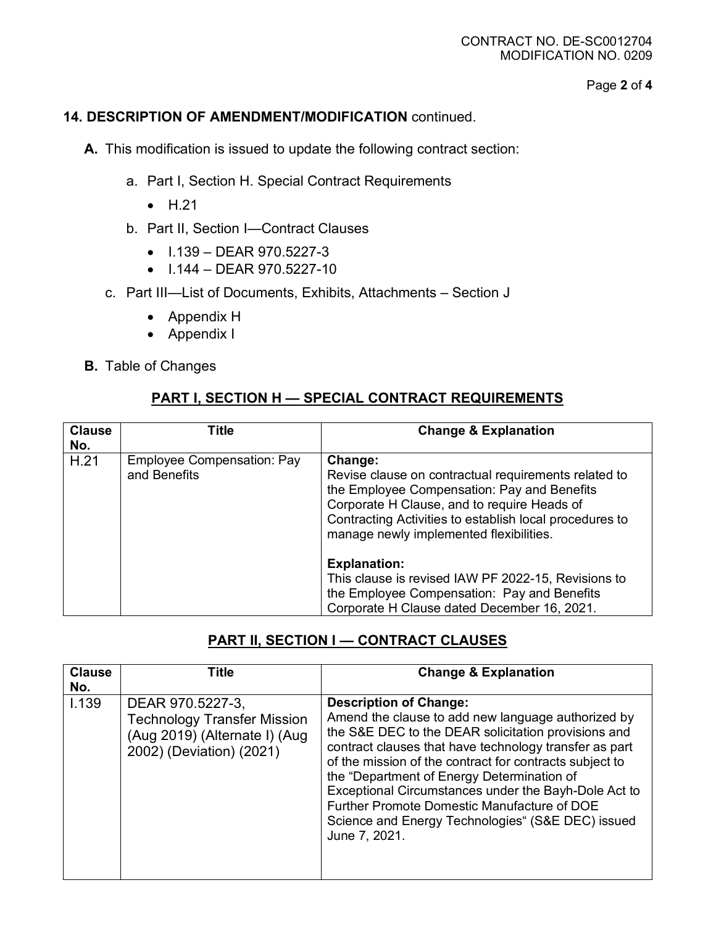Page **2** of **4**

### **14. DESCRIPTION OF AMENDMENT/MODIFICATION** continued.

**A.** This modification is issued to update the following contract section:

- a. Part I, Section H. Special Contract Requirements
	- H.21
- b. Part II, Section I—Contract Clauses
	- $\bullet$  1.139 DEAR 970.5227-3
	- I.144 DEAR 970.5227-10
- c. Part III—List of Documents, Exhibits, Attachments Section J
	- Appendix H
	- Appendix I
- **B.** Table of Changes

## **PART I, SECTION H — SPECIAL CONTRACT REQUIREMENTS**

| <b>Clause</b><br>No. | Title                                      | <b>Change &amp; Explanation</b>                                                                                                                                                                                                                                                                                                                                                                                                                 |
|----------------------|--------------------------------------------|-------------------------------------------------------------------------------------------------------------------------------------------------------------------------------------------------------------------------------------------------------------------------------------------------------------------------------------------------------------------------------------------------------------------------------------------------|
| H.21                 | Employee Compensation: Pay<br>and Benefits | Change:<br>Revise clause on contractual requirements related to<br>the Employee Compensation: Pay and Benefits<br>Corporate H Clause, and to require Heads of<br>Contracting Activities to establish local procedures to<br>manage newly implemented flexibilities.<br><b>Explanation:</b><br>This clause is revised IAW PF 2022-15, Revisions to<br>the Employee Compensation: Pay and Benefits<br>Corporate H Clause dated December 16, 2021. |

## **PART II, SECTION I — CONTRACT CLAUSES**

| <b>Clause</b><br>No. | Title                                                                                                               | <b>Change &amp; Explanation</b>                                                                                                                                                                                                                                                                                                                                                                                                                                                            |
|----------------------|---------------------------------------------------------------------------------------------------------------------|--------------------------------------------------------------------------------------------------------------------------------------------------------------------------------------------------------------------------------------------------------------------------------------------------------------------------------------------------------------------------------------------------------------------------------------------------------------------------------------------|
| I.139                | DEAR 970.5227-3,<br><b>Technology Transfer Mission</b><br>(Aug 2019) (Alternate I) (Aug<br>2002) (Deviation) (2021) | <b>Description of Change:</b><br>Amend the clause to add new language authorized by<br>the S&E DEC to the DEAR solicitation provisions and<br>contract clauses that have technology transfer as part<br>of the mission of the contract for contracts subject to<br>the "Department of Energy Determination of<br>Exceptional Circumstances under the Bayh-Dole Act to<br>Further Promote Domestic Manufacture of DOE<br>Science and Energy Technologies" (S&E DEC) issued<br>June 7, 2021. |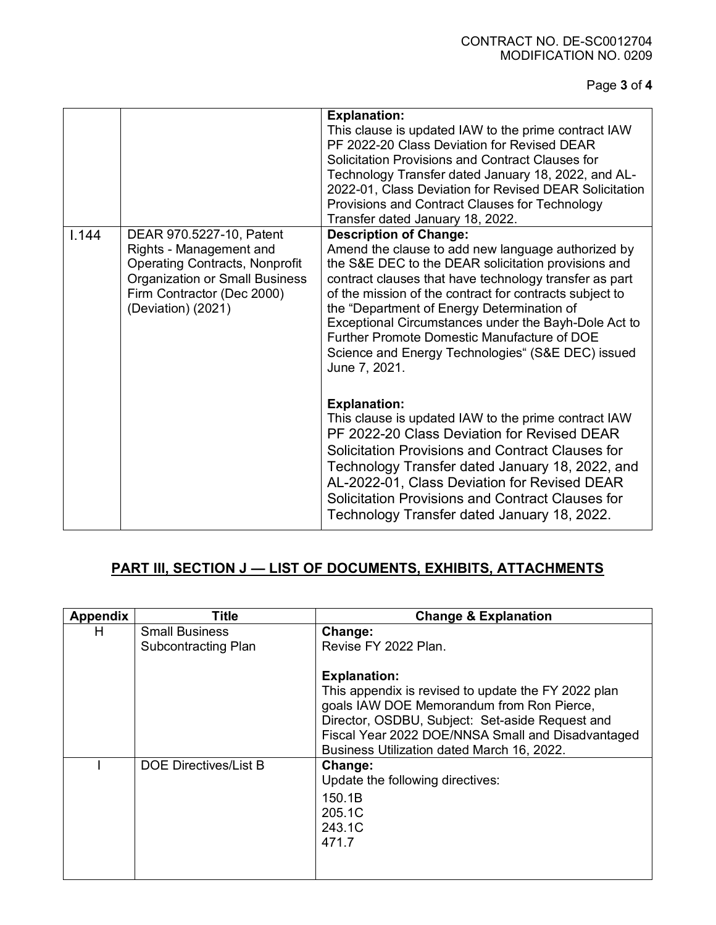#### CONTRACT NO. DE-SC0012704 MODIFICATION NO. 0209

Page **3** of **4**

|       |                                                                                                                                                                                           | <b>Explanation:</b><br>This clause is updated IAW to the prime contract IAW<br>PF 2022-20 Class Deviation for Revised DEAR<br>Solicitation Provisions and Contract Clauses for<br>Technology Transfer dated January 18, 2022, and AL-<br>2022-01, Class Deviation for Revised DEAR Solicitation<br>Provisions and Contract Clauses for Technology<br>Transfer dated January 18, 2022.                                                                                                             |
|-------|-------------------------------------------------------------------------------------------------------------------------------------------------------------------------------------------|---------------------------------------------------------------------------------------------------------------------------------------------------------------------------------------------------------------------------------------------------------------------------------------------------------------------------------------------------------------------------------------------------------------------------------------------------------------------------------------------------|
| 1.144 | DEAR 970.5227-10, Patent<br>Rights - Management and<br><b>Operating Contracts, Nonprofit</b><br><b>Organization or Small Business</b><br>Firm Contractor (Dec 2000)<br>(Deviation) (2021) | <b>Description of Change:</b><br>Amend the clause to add new language authorized by<br>the S&E DEC to the DEAR solicitation provisions and<br>contract clauses that have technology transfer as part<br>of the mission of the contract for contracts subject to<br>the "Department of Energy Determination of<br>Exceptional Circumstances under the Bayh-Dole Act to<br><b>Further Promote Domestic Manufacture of DOE</b><br>Science and Energy Technologies" (S&E DEC) issued<br>June 7, 2021. |
|       |                                                                                                                                                                                           | <b>Explanation:</b><br>This clause is updated IAW to the prime contract IAW<br>PF 2022-20 Class Deviation for Revised DEAR<br><b>Solicitation Provisions and Contract Clauses for</b><br>Technology Transfer dated January 18, 2022, and<br>AL-2022-01, Class Deviation for Revised DEAR<br>Solicitation Provisions and Contract Clauses for<br>Technology Transfer dated January 18, 2022.                                                                                                       |

# **PART III, SECTION J — LIST OF DOCUMENTS, EXHIBITS, ATTACHMENTS**

| Appendix | Title                                               | <b>Change &amp; Explanation</b>                                                                                                                                                                                                                                               |
|----------|-----------------------------------------------------|-------------------------------------------------------------------------------------------------------------------------------------------------------------------------------------------------------------------------------------------------------------------------------|
| H        | <b>Small Business</b><br><b>Subcontracting Plan</b> | Change:<br>Revise FY 2022 Plan.                                                                                                                                                                                                                                               |
|          |                                                     | <b>Explanation:</b><br>This appendix is revised to update the FY 2022 plan<br>goals IAW DOE Memorandum from Ron Pierce,<br>Director, OSDBU, Subject: Set-aside Request and<br>Fiscal Year 2022 DOE/NNSA Small and Disadvantaged<br>Business Utilization dated March 16, 2022. |
|          | DOE Directives/List B                               | Change:<br>Update the following directives:<br>150.1B<br>205.1C<br>243.1C<br>471.7                                                                                                                                                                                            |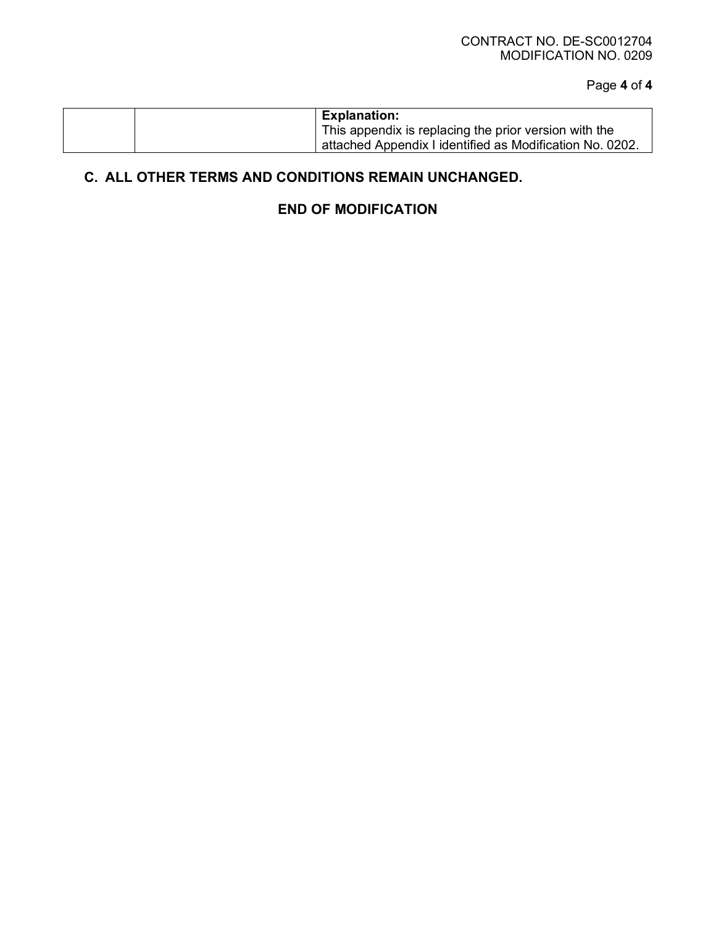Page **4** of **4**

|  | <b>Explanation:</b>                                      |
|--|----------------------------------------------------------|
|  | This appendix is replacing the prior version with the    |
|  | attached Appendix I identified as Modification No. 0202. |

# **C. ALL OTHER TERMS AND CONDITIONS REMAIN UNCHANGED.**

# **END OF MODIFICATION**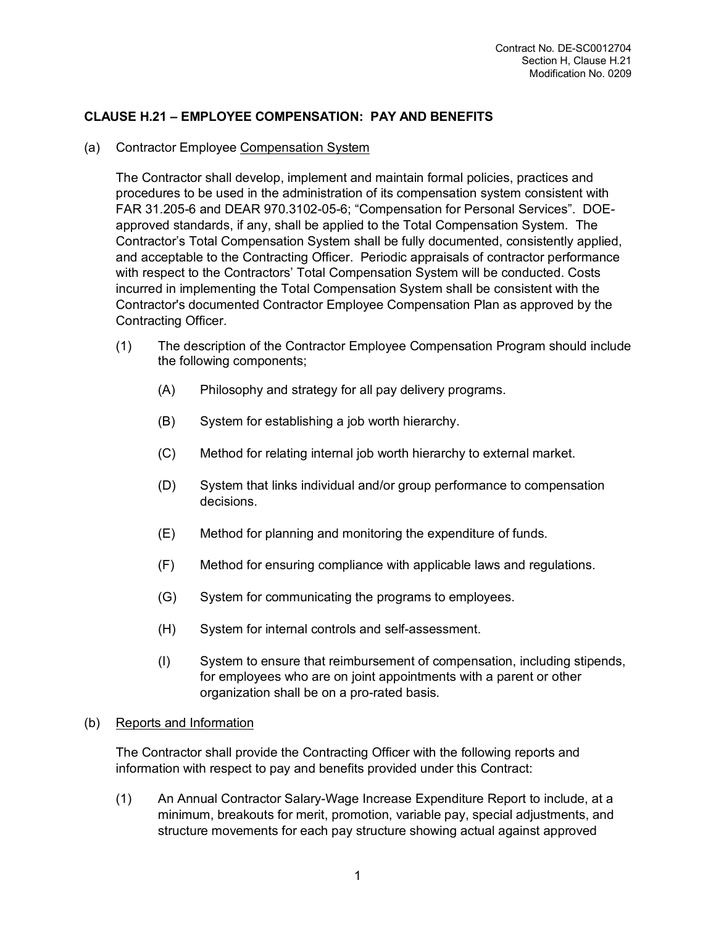### **CLAUSE H.21 – EMPLOYEE COMPENSATION: PAY AND BENEFITS**

#### (a) Contractor Employee Compensation System

The Contractor shall develop, implement and maintain formal policies, practices and procedures to be used in the administration of its compensation system consistent with FAR 31.205-6 and DEAR 970.3102-05-6; "Compensation for Personal Services". DOEapproved standards, if any, shall be applied to the Total Compensation System. The Contractor's Total Compensation System shall be fully documented, consistently applied, and acceptable to the Contracting Officer. Periodic appraisals of contractor performance with respect to the Contractors' Total Compensation System will be conducted. Costs incurred in implementing the Total Compensation System shall be consistent with the Contractor's documented Contractor Employee Compensation Plan as approved by the Contracting Officer.

- (1) The description of the Contractor Employee Compensation Program should include the following components;
	- (A) Philosophy and strategy for all pay delivery programs.
	- (B) System for establishing a job worth hierarchy.
	- (C) Method for relating internal job worth hierarchy to external market.
	- (D) System that links individual and/or group performance to compensation decisions.
	- (E) Method for planning and monitoring the expenditure of funds.
	- (F) Method for ensuring compliance with applicable laws and regulations.
	- (G) System for communicating the programs to employees.
	- (H) System for internal controls and self-assessment.
	- (I) System to ensure that reimbursement of compensation, including stipends, for employees who are on joint appointments with a parent or other organization shall be on a pro-rated basis.

#### (b) Reports and Information

The Contractor shall provide the Contracting Officer with the following reports and information with respect to pay and benefits provided under this Contract:

(1) An Annual Contractor Salary-Wage Increase Expenditure Report to include, at a minimum, breakouts for merit, promotion, variable pay, special adjustments, and structure movements for each pay structure showing actual against approved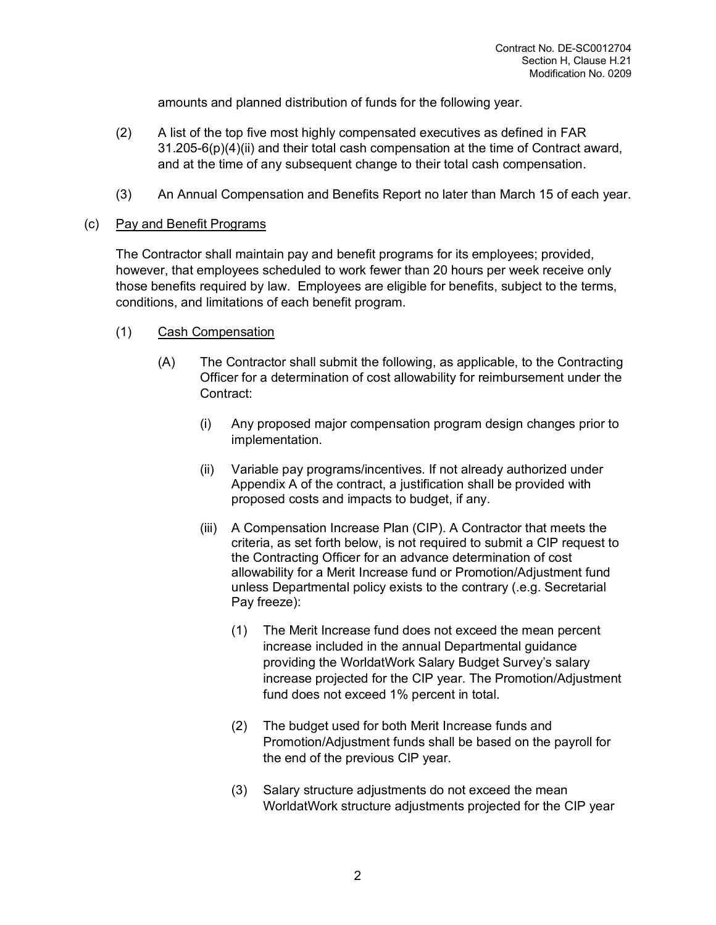amounts and planned distribution of funds for the following year.

- (2) A list of the top five most highly compensated executives as defined in FAR 31.205-6(p)(4)(ii) and their total cash compensation at the time of Contract award, and at the time of any subsequent change to their total cash compensation.
- (3) An Annual Compensation and Benefits Report no later than March 15 of each year.

#### (c) Pay and Benefit Programs

The Contractor shall maintain pay and benefit programs for its employees; provided, however, that employees scheduled to work fewer than 20 hours per week receive only those benefits required by law. Employees are eligible for benefits, subject to the terms, conditions, and limitations of each benefit program.

- (1) Cash Compensation
	- (A) The Contractor shall submit the following, as applicable, to the Contracting Officer for a determination of cost allowability for reimbursement under the Contract:
		- (i) Any proposed major compensation program design changes prior to implementation.
		- (ii) Variable pay programs/incentives. If not already authorized under Appendix A of the contract, a justification shall be provided with proposed costs and impacts to budget, if any.
		- (iii) A Compensation Increase Plan (CIP). A Contractor that meets the criteria, as set forth below, is not required to submit a CIP request to the Contracting Officer for an advance determination of cost allowability for a Merit Increase fund or Promotion/Adjustment fund unless Departmental policy exists to the contrary (.e.g. Secretarial Pay freeze):
			- (1) The Merit Increase fund does not exceed the mean percent increase included in the annual Departmental guidance providing the WorldatWork Salary Budget Survey's salary increase projected for the CIP year. The Promotion/Adjustment fund does not exceed 1% percent in total.
			- (2) The budget used for both Merit Increase funds and Promotion/Adjustment funds shall be based on the payroll for the end of the previous CIP year.
			- (3) Salary structure adjustments do not exceed the mean WorldatWork structure adjustments projected for the CIP year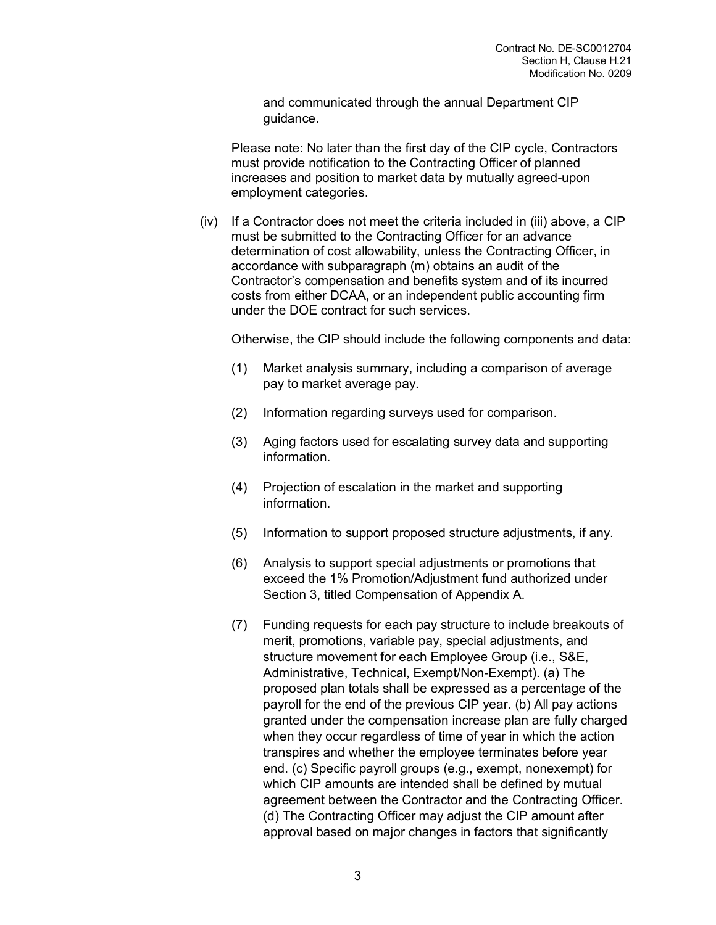and communicated through the annual Department CIP guidance.

Please note: No later than the first day of the CIP cycle, Contractors must provide notification to the Contracting Officer of planned increases and position to market data by mutually agreed-upon employment categories.

 $(iv)$  If a Contractor does not meet the criteria included in (iii) above, a CIP must be submitted to the Contracting Officer for an advance determination of cost allowability, unless the Contracting Officer, in accordance with subparagraph (m) obtains an audit of the Contractor's compensation and benefits system and of its incurred costs from either DCAA, or an independent public accounting firm under the DOE contract for such services.

Otherwise, the CIP should include the following components and data:

- (1) Market analysis summary, including a comparison of average pay to market average pay.
- (2) Information regarding surveys used for comparison.
- (3) Aging factors used for escalating survey data and supporting information.
- (4) Projection of escalation in the market and supporting information.
- (5) Information to support proposed structure adjustments, if any.
- (6) Analysis to support special adjustments or promotions that exceed the 1% Promotion/Adjustment fund authorized under Section 3, titled Compensation of Appendix A.
- (7) Funding requests for each pay structure to include breakouts of merit, promotions, variable pay, special adjustments, and structure movement for each Employee Group (i.e., S&E, Administrative, Technical, Exempt/Non-Exempt). (a) The proposed plan totals shall be expressed as a percentage of the payroll for the end of the previous CIP year. (b) All pay actions granted under the compensation increase plan are fully charged when they occur regardless of time of year in which the action transpires and whether the employee terminates before year end. (c) Specific payroll groups (e.g., exempt, nonexempt) for which CIP amounts are intended shall be defined by mutual agreement between the Contractor and the Contracting Officer. (d) The Contracting Officer may adjust the CIP amount after approval based on major changes in factors that significantly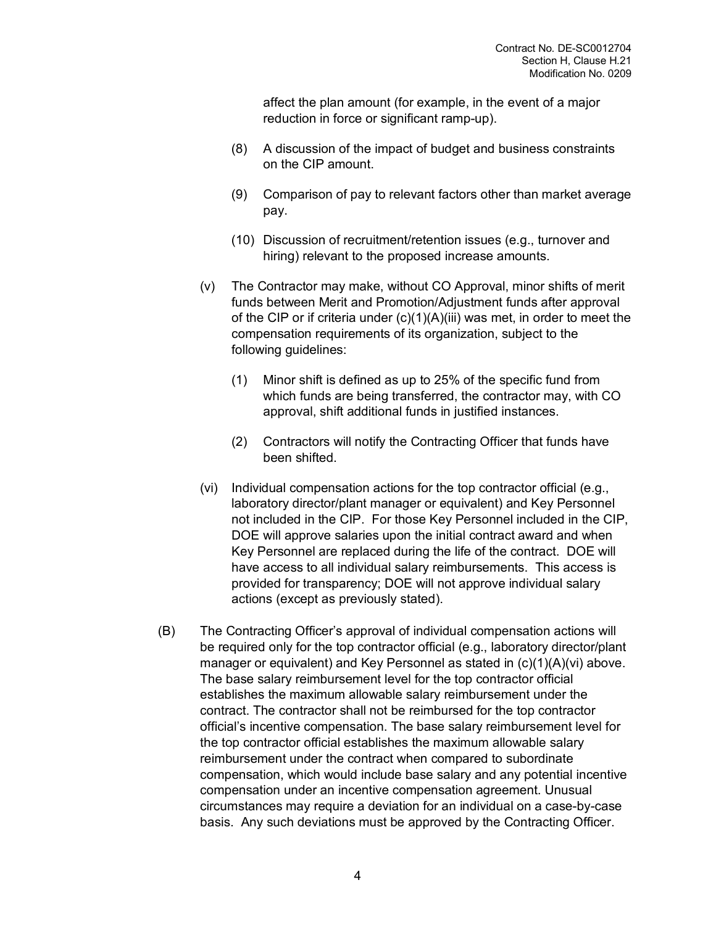affect the plan amount (for example, in the event of a major reduction in force or significant ramp-up).

- (8) A discussion of the impact of budget and business constraints on the CIP amount.
- (9) Comparison of pay to relevant factors other than market average pay.
- (10) Discussion of recruitment/retention issues (e.g., turnover and hiring) relevant to the proposed increase amounts.
- (v) The Contractor may make, without CO Approval, minor shifts of merit funds between Merit and Promotion/Adjustment funds after approval of the CIP or if criteria under (c)(1)(A)(iii) was met, in order to meet the compensation requirements of its organization, subject to the following guidelines:
	- (1) Minor shift is defined as up to 25% of the specific fund from which funds are being transferred, the contractor may, with CO approval, shift additional funds in justified instances.
	- (2) Contractors will notify the Contracting Officer that funds have been shifted.
- (vi) Individual compensation actions for the top contractor official (e.g., laboratory director/plant manager or equivalent) and Key Personnel not included in the CIP. For those Key Personnel included in the CIP, DOE will approve salaries upon the initial contract award and when Key Personnel are replaced during the life of the contract. DOE will have access to all individual salary reimbursements. This access is provided for transparency; DOE will not approve individual salary actions (except as previously stated).
- (B) The Contracting Officer's approval of individual compensation actions will be required only for the top contractor official (e.g., laboratory director/plant manager or equivalent) and Key Personnel as stated in (c)(1)(A)(vi) above. The base salary reimbursement level for the top contractor official establishes the maximum allowable salary reimbursement under the contract. The contractor shall not be reimbursed for the top contractor official's incentive compensation. The base salary reimbursement level for the top contractor official establishes the maximum allowable salary reimbursement under the contract when compared to subordinate compensation, which would include base salary and any potential incentive compensation under an incentive compensation agreement. Unusual circumstances may require a deviation for an individual on a case-by-case basis. Any such deviations must be approved by the Contracting Officer.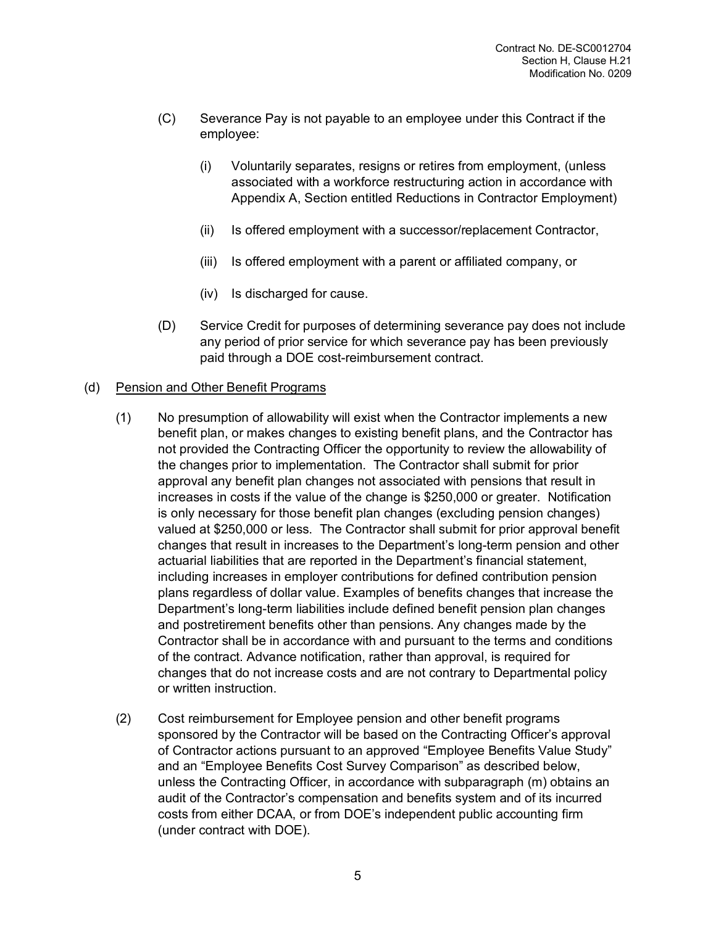- (C) Severance Pay is not payable to an employee under this Contract if the employee:
	- (i) Voluntarily separates, resigns or retires from employment, (unless associated with a workforce restructuring action in accordance with Appendix A, Section entitled Reductions in Contractor Employment)
	- (ii) Is offered employment with a successor/replacement Contractor,
	- (iii) Is offered employment with a parent or affiliated company, or
	- (iv) Is discharged for cause.
- (D) Service Credit for purposes of determining severance pay does not include any period of prior service for which severance pay has been previously paid through a DOE cost-reimbursement contract.

#### (d) Pension and Other Benefit Programs

- (1) No presumption of allowability will exist when the Contractor implements a new benefit plan, or makes changes to existing benefit plans, and the Contractor has not provided the Contracting Officer the opportunity to review the allowability of the changes prior to implementation. The Contractor shall submit for prior approval any benefit plan changes not associated with pensions that result in increases in costs if the value of the change is \$250,000 or greater. Notification is only necessary for those benefit plan changes (excluding pension changes) valued at \$250,000 or less. The Contractor shall submit for prior approval benefit changes that result in increases to the Department's long-term pension and other actuarial liabilities that are reported in the Department's financial statement, including increases in employer contributions for defined contribution pension plans regardless of dollar value. Examples of benefits changes that increase the Department's long-term liabilities include defined benefit pension plan changes and postretirement benefits other than pensions. Any changes made by the Contractor shall be in accordance with and pursuant to the terms and conditions of the contract. Advance notification, rather than approval, is required for changes that do not increase costs and are not contrary to Departmental policy or written instruction.
- (2) Cost reimbursement for Employee pension and other benefit programs sponsored by the Contractor will be based on the Contracting Officer's approval of Contractor actions pursuant to an approved "Employee Benefits Value Study" and an "Employee Benefits Cost Survey Comparison" as described below, unless the Contracting Officer, in accordance with subparagraph (m) obtains an audit of the Contractor's compensation and benefits system and of its incurred costs from either DCAA, or from DOE's independent public accounting firm (under contract with DOE).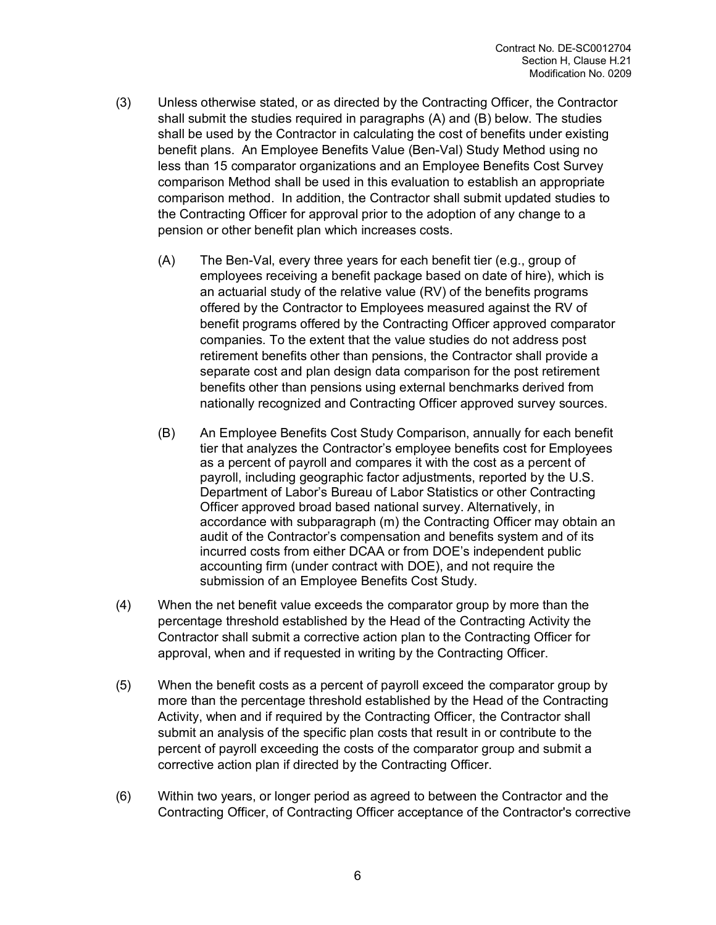- (3) Unless otherwise stated, or as directed by the Contracting Officer, the Contractor shall submit the studies required in paragraphs (A) and (B) below. The studies shall be used by the Contractor in calculating the cost of benefits under existing benefit plans. An Employee Benefits Value (Ben-Val) Study Method using no less than 15 comparator organizations and an Employee Benefits Cost Survey comparison Method shall be used in this evaluation to establish an appropriate comparison method. In addition, the Contractor shall submit updated studies to the Contracting Officer for approval prior to the adoption of any change to a pension or other benefit plan which increases costs.
	- (A) The Ben-Val, every three years for each benefit tier (e.g., group of employees receiving a benefit package based on date of hire), which is an actuarial study of the relative value (RV) of the benefits programs offered by the Contractor to Employees measured against the RV of benefit programs offered by the Contracting Officer approved comparator companies. To the extent that the value studies do not address post retirement benefits other than pensions, the Contractor shall provide a separate cost and plan design data comparison for the post retirement benefits other than pensions using external benchmarks derived from nationally recognized and Contracting Officer approved survey sources.
	- (B) An Employee Benefits Cost Study Comparison, annually for each benefit tier that analyzes the Contractor's employee benefits cost for Employees as a percent of payroll and compares it with the cost as a percent of payroll, including geographic factor adjustments, reported by the U.S. Department of Labor's Bureau of Labor Statistics or other Contracting Officer approved broad based national survey. Alternatively, in accordance with subparagraph (m) the Contracting Officer may obtain an audit of the Contractor's compensation and benefits system and of its incurred costs from either DCAA or from DOE's independent public accounting firm (under contract with DOE), and not require the submission of an Employee Benefits Cost Study.
- (4) When the net benefit value exceeds the comparator group by more than the percentage threshold established by the Head of the Contracting Activity the Contractor shall submit a corrective action plan to the Contracting Officer for approval, when and if requested in writing by the Contracting Officer.
- (5) When the benefit costs as a percent of payroll exceed the comparator group by more than the percentage threshold established by the Head of the Contracting Activity, when and if required by the Contracting Officer, the Contractor shall submit an analysis of the specific plan costs that result in or contribute to the percent of payroll exceeding the costs of the comparator group and submit a corrective action plan if directed by the Contracting Officer.
- (6) Within two years, or longer period as agreed to between the Contractor and the Contracting Officer, of Contracting Officer acceptance of the Contractor's corrective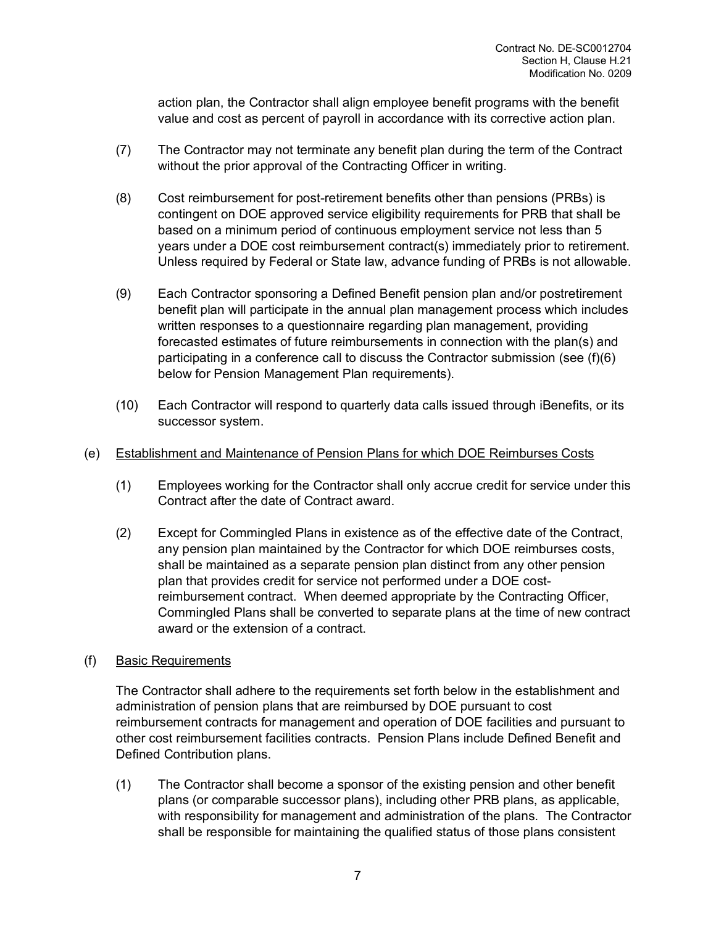action plan, the Contractor shall align employee benefit programs with the benefit value and cost as percent of payroll in accordance with its corrective action plan.

- (7) The Contractor may not terminate any benefit plan during the term of the Contract without the prior approval of the Contracting Officer in writing.
- (8) Cost reimbursement for post-retirement benefits other than pensions (PRBs) is contingent on DOE approved service eligibility requirements for PRB that shall be based on a minimum period of continuous employment service not less than 5 years under a DOE cost reimbursement contract(s) immediately prior to retirement. Unless required by Federal or State law, advance funding of PRBs is not allowable.
- (9) Each Contractor sponsoring a Defined Benefit pension plan and/or postretirement benefit plan will participate in the annual plan management process which includes written responses to a questionnaire regarding plan management, providing forecasted estimates of future reimbursements in connection with the plan(s) and participating in a conference call to discuss the Contractor submission (see (f)(6) below for Pension Management Plan requirements).
- (10) Each Contractor will respond to quarterly data calls issued through iBenefits, or its successor system.

#### (e) Establishment and Maintenance of Pension Plans for which DOE Reimburses Costs

- (1) Employees working for the Contractor shall only accrue credit for service under this Contract after the date of Contract award.
- (2) Except for Commingled Plans in existence as of the effective date of the Contract, any pension plan maintained by the Contractor for which DOE reimburses costs, shall be maintained as a separate pension plan distinct from any other pension plan that provides credit for service not performed under a DOE costreimbursement contract. When deemed appropriate by the Contracting Officer, Commingled Plans shall be converted to separate plans at the time of new contract award or the extension of a contract.

## (f) Basic Requirements

The Contractor shall adhere to the requirements set forth below in the establishment and administration of pension plans that are reimbursed by DOE pursuant to cost reimbursement contracts for management and operation of DOE facilities and pursuant to other cost reimbursement facilities contracts. Pension Plans include Defined Benefit and Defined Contribution plans.

(1) The Contractor shall become a sponsor of the existing pension and other benefit plans (or comparable successor plans), including other PRB plans, as applicable, with responsibility for management and administration of the plans. The Contractor shall be responsible for maintaining the qualified status of those plans consistent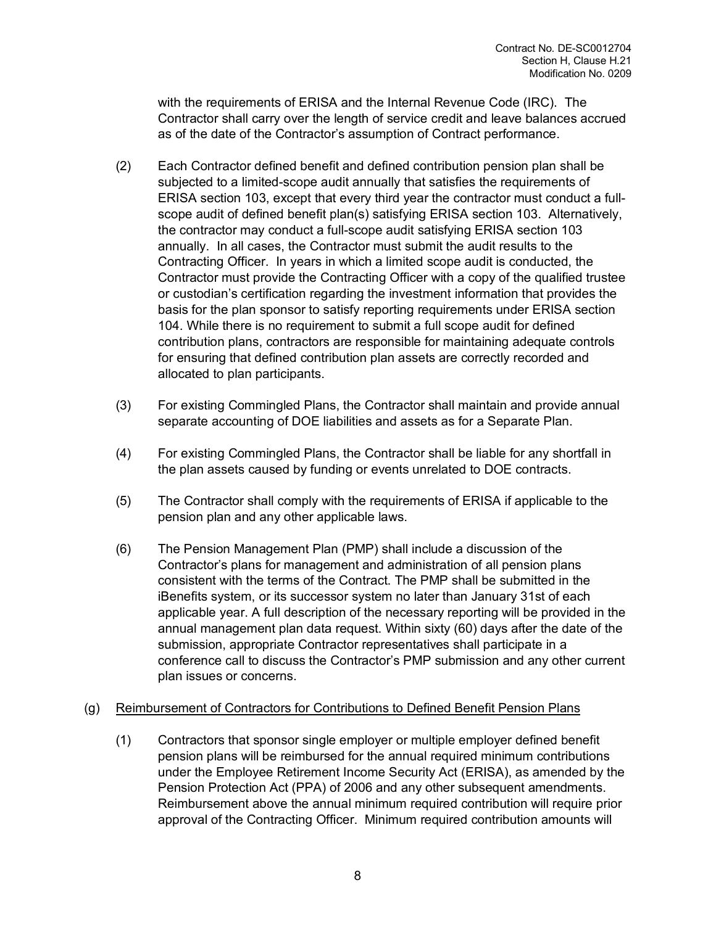with the requirements of ERISA and the Internal Revenue Code (IRC). The Contractor shall carry over the length of service credit and leave balances accrued as of the date of the Contractor's assumption of Contract performance.

- (2) Each Contractor defined benefit and defined contribution pension plan shall be subjected to a limited-scope audit annually that satisfies the requirements of ERISA section 103, except that every third year the contractor must conduct a fullscope audit of defined benefit plan(s) satisfying ERISA section 103. Alternatively, the contractor may conduct a full-scope audit satisfying ERISA section 103 annually. In all cases, the Contractor must submit the audit results to the Contracting Officer. In years in which a limited scope audit is conducted, the Contractor must provide the Contracting Officer with a copy of the qualified trustee or custodian's certification regarding the investment information that provides the basis for the plan sponsor to satisfy reporting requirements under ERISA section 104. While there is no requirement to submit a full scope audit for defined contribution plans, contractors are responsible for maintaining adequate controls for ensuring that defined contribution plan assets are correctly recorded and allocated to plan participants.
- (3) For existing Commingled Plans, the Contractor shall maintain and provide annual separate accounting of DOE liabilities and assets as for a Separate Plan.
- (4) For existing Commingled Plans, the Contractor shall be liable for any shortfall in the plan assets caused by funding or events unrelated to DOE contracts.
- (5) The Contractor shall comply with the requirements of ERISA if applicable to the pension plan and any other applicable laws.
- (6) The Pension Management Plan (PMP) shall include a discussion of the Contractor's plans for management and administration of all pension plans consistent with the terms of the Contract. The PMP shall be submitted in the iBenefits system, or its successor system no later than January 31st of each applicable year. A full description of the necessary reporting will be provided in the annual management plan data request. Within sixty (60) days after the date of the submission, appropriate Contractor representatives shall participate in a conference call to discuss the Contractor's PMP submission and any other current plan issues or concerns.

## (g) Reimbursement of Contractors for Contributions to Defined Benefit Pension Plans

(1) Contractors that sponsor single employer or multiple employer defined benefit pension plans will be reimbursed for the annual required minimum contributions under the Employee Retirement Income Security Act (ERISA), as amended by the Pension Protection Act (PPA) of 2006 and any other subsequent amendments. Reimbursement above the annual minimum required contribution will require prior approval of the Contracting Officer. Minimum required contribution amounts will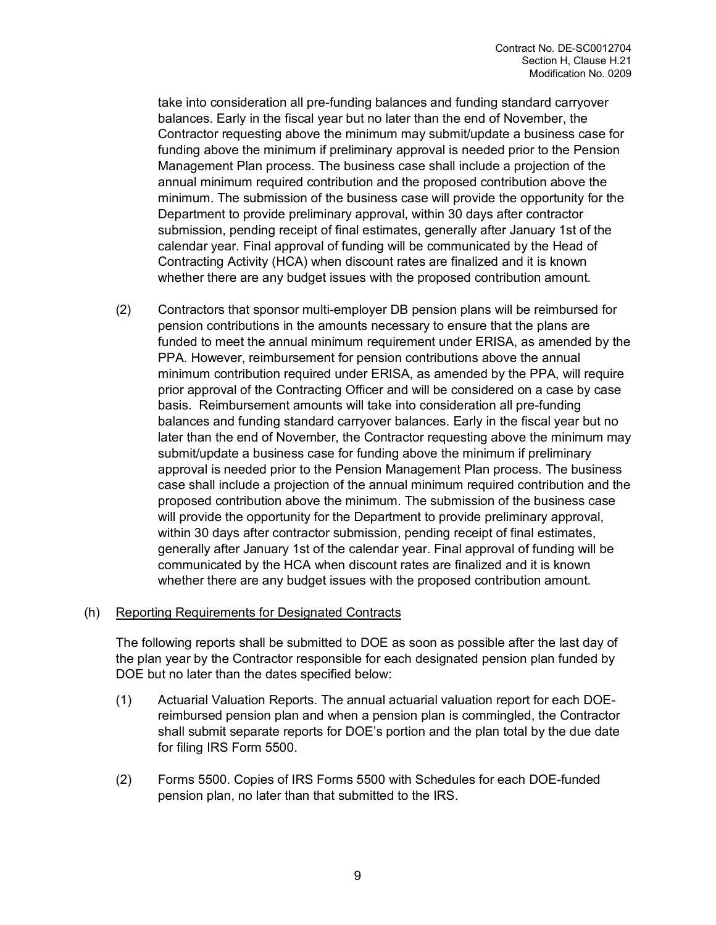take into consideration all pre-funding balances and funding standard carryover balances. Early in the fiscal year but no later than the end of November, the Contractor requesting above the minimum may submit/update a business case for funding above the minimum if preliminary approval is needed prior to the Pension Management Plan process. The business case shall include a projection of the annual minimum required contribution and the proposed contribution above the minimum. The submission of the business case will provide the opportunity for the Department to provide preliminary approval, within 30 days after contractor submission, pending receipt of final estimates, generally after January 1st of the calendar year. Final approval of funding will be communicated by the Head of Contracting Activity (HCA) when discount rates are finalized and it is known whether there are any budget issues with the proposed contribution amount.

(2) Contractors that sponsor multi-employer DB pension plans will be reimbursed for pension contributions in the amounts necessary to ensure that the plans are funded to meet the annual minimum requirement under ERISA, as amended by the PPA. However, reimbursement for pension contributions above the annual minimum contribution required under ERISA, as amended by the PPA, will require prior approval of the Contracting Officer and will be considered on a case by case basis. Reimbursement amounts will take into consideration all pre-funding balances and funding standard carryover balances. Early in the fiscal year but no later than the end of November, the Contractor requesting above the minimum may submit/update a business case for funding above the minimum if preliminary approval is needed prior to the Pension Management Plan process. The business case shall include a projection of the annual minimum required contribution and the proposed contribution above the minimum. The submission of the business case will provide the opportunity for the Department to provide preliminary approval, within 30 days after contractor submission, pending receipt of final estimates, generally after January 1st of the calendar year. Final approval of funding will be communicated by the HCA when discount rates are finalized and it is known whether there are any budget issues with the proposed contribution amount.

## (h) Reporting Requirements for Designated Contracts

The following reports shall be submitted to DOE as soon as possible after the last day of the plan year by the Contractor responsible for each designated pension plan funded by DOE but no later than the dates specified below:

- (1) Actuarial Valuation Reports. The annual actuarial valuation report for each DOEreimbursed pension plan and when a pension plan is commingled, the Contractor shall submit separate reports for DOE's portion and the plan total by the due date for filing IRS Form 5500.
- (2) Forms 5500. Copies of IRS Forms 5500 with Schedules for each DOE-funded pension plan, no later than that submitted to the IRS.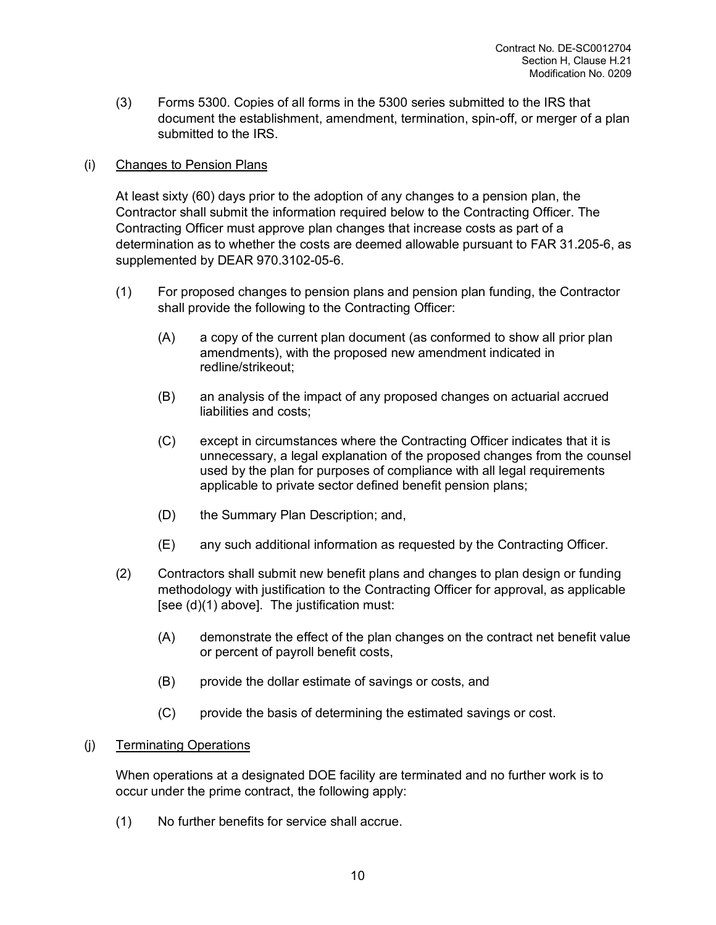(3) Forms 5300. Copies of all forms in the 5300 series submitted to the IRS that document the establishment, amendment, termination, spin-off, or merger of a plan submitted to the IRS.

### (i) Changes to Pension Plans

At least sixty (60) days prior to the adoption of any changes to a pension plan, the Contractor shall submit the information required below to the Contracting Officer. The Contracting Officer must approve plan changes that increase costs as part of a determination as to whether the costs are deemed allowable pursuant to FAR 31.205-6, as supplemented by DEAR 970.3102-05-6.

- (1) For proposed changes to pension plans and pension plan funding, the Contractor shall provide the following to the Contracting Officer:
	- (A) a copy of the current plan document (as conformed to show all prior plan amendments), with the proposed new amendment indicated in redline/strikeout;
	- (B) an analysis of the impact of any proposed changes on actuarial accrued liabilities and costs;
	- (C) except in circumstances where the Contracting Officer indicates that it is unnecessary, a legal explanation of the proposed changes from the counsel used by the plan for purposes of compliance with all legal requirements applicable to private sector defined benefit pension plans;
	- (D) the Summary Plan Description; and,
	- (E) any such additional information as requested by the Contracting Officer.
- (2) Contractors shall submit new benefit plans and changes to plan design or funding methodology with justification to the Contracting Officer for approval, as applicable [see (d)(1) above]. The justification must:
	- (A) demonstrate the effect of the plan changes on the contract net benefit value or percent of payroll benefit costs,
	- (B) provide the dollar estimate of savings or costs, and
	- (C) provide the basis of determining the estimated savings or cost.

#### (j) Terminating Operations

When operations at a designated DOE facility are terminated and no further work is to occur under the prime contract, the following apply:

(1) No further benefits for service shall accrue.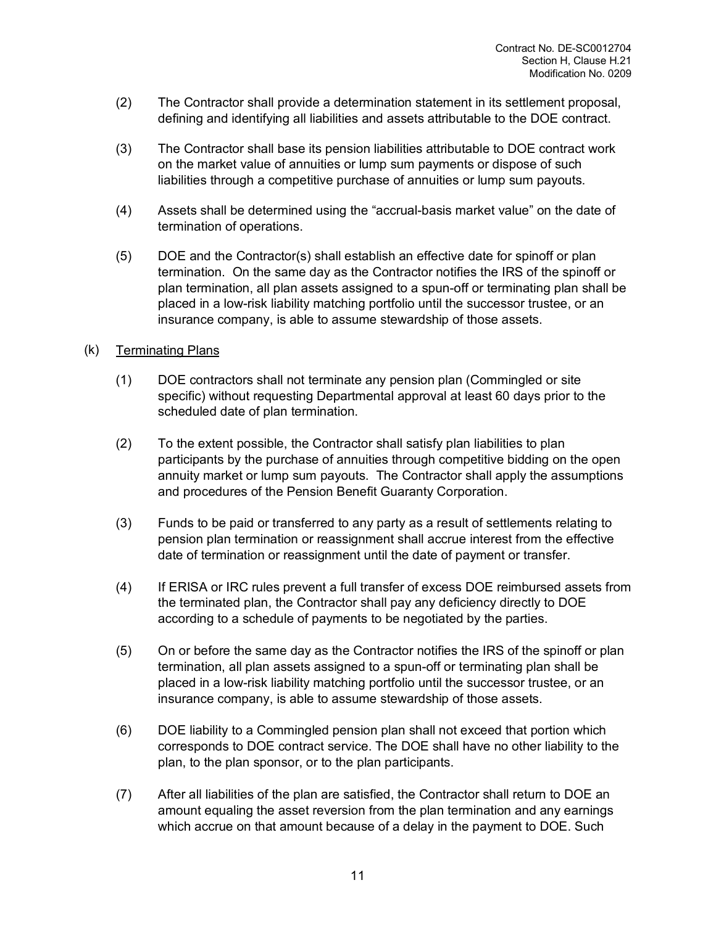- (2) The Contractor shall provide a determination statement in its settlement proposal, defining and identifying all liabilities and assets attributable to the DOE contract.
- (3) The Contractor shall base its pension liabilities attributable to DOE contract work on the market value of annuities or lump sum payments or dispose of such liabilities through a competitive purchase of annuities or lump sum payouts.
- (4) Assets shall be determined using the "accrual-basis market value" on the date of termination of operations.
- (5) DOE and the Contractor(s) shall establish an effective date for spinoff or plan termination. On the same day as the Contractor notifies the IRS of the spinoff or plan termination, all plan assets assigned to a spun-off or terminating plan shall be placed in a low-risk liability matching portfolio until the successor trustee, or an insurance company, is able to assume stewardship of those assets.

#### (k) Terminating Plans

- (1) DOE contractors shall not terminate any pension plan (Commingled or site specific) without requesting Departmental approval at least 60 days prior to the scheduled date of plan termination.
- (2) To the extent possible, the Contractor shall satisfy plan liabilities to plan participants by the purchase of annuities through competitive bidding on the open annuity market or lump sum payouts. The Contractor shall apply the assumptions and procedures of the Pension Benefit Guaranty Corporation.
- (3) Funds to be paid or transferred to any party as a result of settlements relating to pension plan termination or reassignment shall accrue interest from the effective date of termination or reassignment until the date of payment or transfer.
- (4) If ERISA or IRC rules prevent a full transfer of excess DOE reimbursed assets from the terminated plan, the Contractor shall pay any deficiency directly to DOE according to a schedule of payments to be negotiated by the parties.
- (5) On or before the same day as the Contractor notifies the IRS of the spinoff or plan termination, all plan assets assigned to a spun-off or terminating plan shall be placed in a low-risk liability matching portfolio until the successor trustee, or an insurance company, is able to assume stewardship of those assets.
- (6) DOE liability to a Commingled pension plan shall not exceed that portion which corresponds to DOE contract service. The DOE shall have no other liability to the plan, to the plan sponsor, or to the plan participants.
- (7) After all liabilities of the plan are satisfied, the Contractor shall return to DOE an amount equaling the asset reversion from the plan termination and any earnings which accrue on that amount because of a delay in the payment to DOE. Such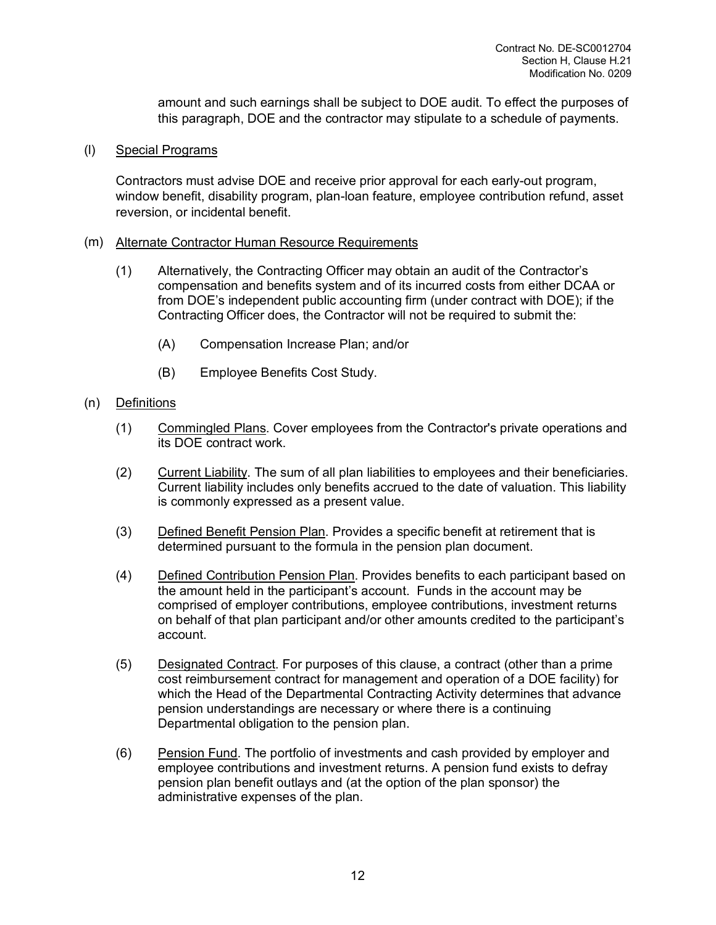amount and such earnings shall be subject to DOE audit. To effect the purposes of this paragraph, DOE and the contractor may stipulate to a schedule of payments.

(l) Special Programs

Contractors must advise DOE and receive prior approval for each early-out program, window benefit, disability program, plan-loan feature, employee contribution refund, asset reversion, or incidental benefit.

#### (m) Alternate Contractor Human Resource Requirements

- (1) Alternatively, the Contracting Officer may obtain an audit of the Contractor's compensation and benefits system and of its incurred costs from either DCAA or from DOE's independent public accounting firm (under contract with DOE); if the Contracting Officer does, the Contractor will not be required to submit the:
	- (A) Compensation Increase Plan; and/or
	- (B) Employee Benefits Cost Study.
- (n) Definitions
	- (1) Commingled Plans. Cover employees from the Contractor's private operations and its DOE contract work.
	- (2) Current Liability. The sum of all plan liabilities to employees and their beneficiaries. Current liability includes only benefits accrued to the date of valuation. This liability is commonly expressed as a present value.
	- (3) Defined Benefit Pension Plan. Provides a specific benefit at retirement that is determined pursuant to the formula in the pension plan document.
	- (4) Defined Contribution Pension Plan. Provides benefits to each participant based on the amount held in the participant's account. Funds in the account may be comprised of employer contributions, employee contributions, investment returns on behalf of that plan participant and/or other amounts credited to the participant's account.
	- (5) Designated Contract. For purposes of this clause, a contract (other than a prime cost reimbursement contract for management and operation of a DOE facility) for which the Head of the Departmental Contracting Activity determines that advance pension understandings are necessary or where there is a continuing Departmental obligation to the pension plan.
	- (6) Pension Fund. The portfolio of investments and cash provided by employer and employee contributions and investment returns. A pension fund exists to defray pension plan benefit outlays and (at the option of the plan sponsor) the administrative expenses of the plan.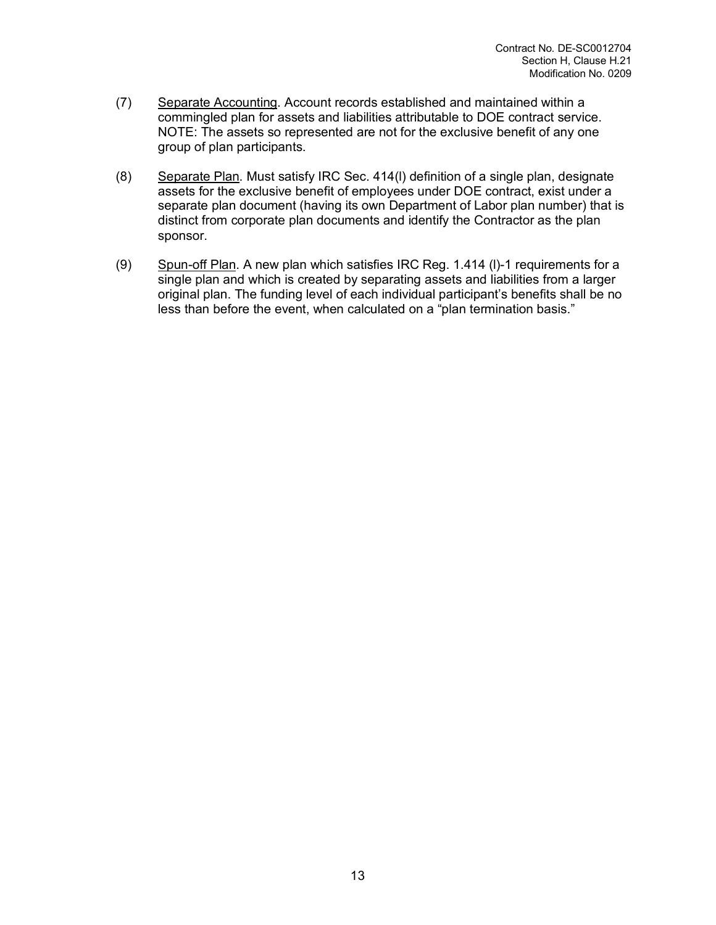- (7) Separate Accounting. Account records established and maintained within a commingled plan for assets and liabilities attributable to DOE contract service. NOTE: The assets so represented are not for the exclusive benefit of any one group of plan participants.
- (8) Separate Plan. Must satisfy IRC Sec. 414(l) definition of a single plan, designate assets for the exclusive benefit of employees under DOE contract, exist under a separate plan document (having its own Department of Labor plan number) that is distinct from corporate plan documents and identify the Contractor as the plan sponsor.
- (9) Spun-off Plan. A new plan which satisfies IRC Reg. 1.414 (l)-1 requirements for a single plan and which is created by separating assets and liabilities from a larger original plan. The funding level of each individual participant's benefits shall be no less than before the event, when calculated on a "plan termination basis."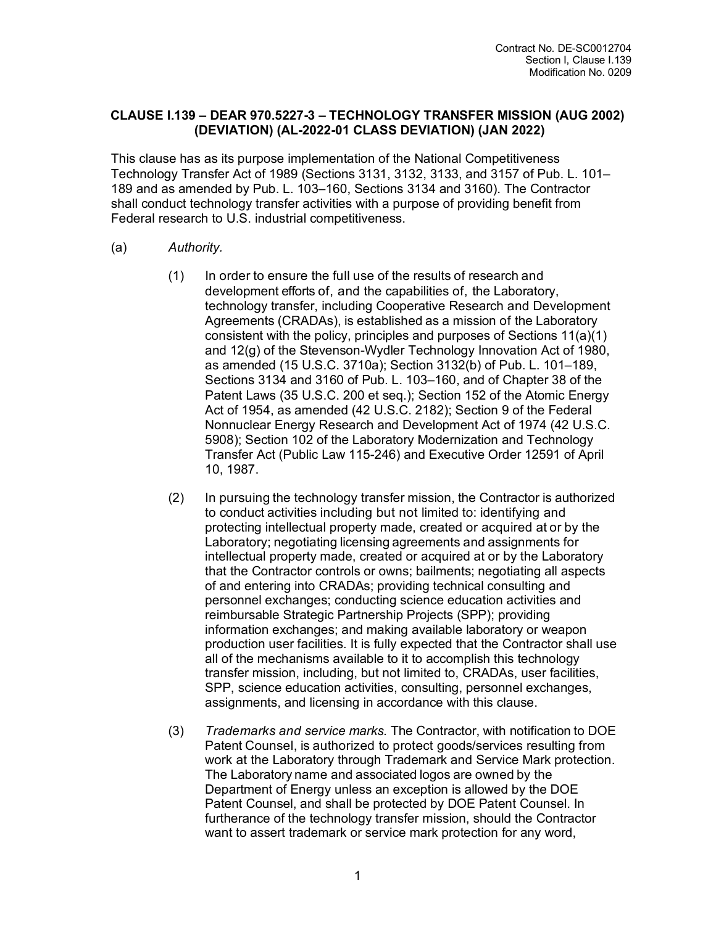#### **CLAUSE I.139 – DEAR 970.5227-3 – TECHNOLOGY TRANSFER MISSION (AUG 2002) (DEVIATION) (AL-2022-01 CLASS DEVIATION) (JAN 2022)**

This clause has as its purpose implementation of the National Competitiveness Technology Transfer Act of 1989 (Sections 3131, 3132, 3133, and 3157 of Pub. L. 101– 189 and as amended by Pub. L. 103–160, Sections 3134 and 3160). The Contractor shall conduct technology transfer activities with a purpose of providing benefit from Federal research to U.S. industrial competitiveness.

- (a) *Authority.*
	- (1) In order to ensure the full use of the results of research and development efforts of, and the capabilities of, the Laboratory, technology transfer, including Cooperative Research and Development Agreements (CRADAs), is established as a mission of the Laboratory consistent with the policy, principles and purposes of Sections 11(a)(1) and 12(g) of the Stevenson-Wydler Technology Innovation Act of 1980, as amended (15 U.S.C. 3710a); Section 3132(b) of Pub. L. 101–189, Sections 3134 and 3160 of Pub. L. 103–160, and of Chapter 38 of the Patent Laws (35 U.S.C. 200 et seq.); Section 152 of the Atomic Energy Act of 1954, as amended (42 U.S.C. 2182); Section 9 of the Federal Nonnuclear Energy Research and Development Act of 1974 (42 U.S.C. 5908); Section 102 of the Laboratory Modernization and Technology Transfer Act (Public Law 115-246) and Executive Order 12591 of April 10, 1987.
	- (2) In pursuing the technology transfer mission, the Contractor is authorized to conduct activities including but not limited to: identifying and protecting intellectual property made, created or acquired at or by the Laboratory; negotiating licensing agreements and assignments for intellectual property made, created or acquired at or by the Laboratory that the Contractor controls or owns; bailments; negotiating all aspects of and entering into CRADAs; providing technical consulting and personnel exchanges; conducting science education activities and reimbursable Strategic Partnership Projects (SPP); providing information exchanges; and making available laboratory or weapon production user facilities. It is fully expected that the Contractor shall use all of the mechanisms available to it to accomplish this technology transfer mission, including, but not limited to, CRADAs, user facilities, SPP, science education activities, consulting, personnel exchanges, assignments, and licensing in accordance with this clause.
	- (3) *Trademarks and service marks.* The Contractor, with notification to DOE Patent Counsel, is authorized to protect goods/services resulting from work at the Laboratory through Trademark and Service Mark protection. The Laboratory name and associated logos are owned by the Department of Energy unless an exception is allowed by the DOE Patent Counsel, and shall be protected by DOE Patent Counsel. In furtherance of the technology transfer mission, should the Contractor want to assert trademark or service mark protection for any word,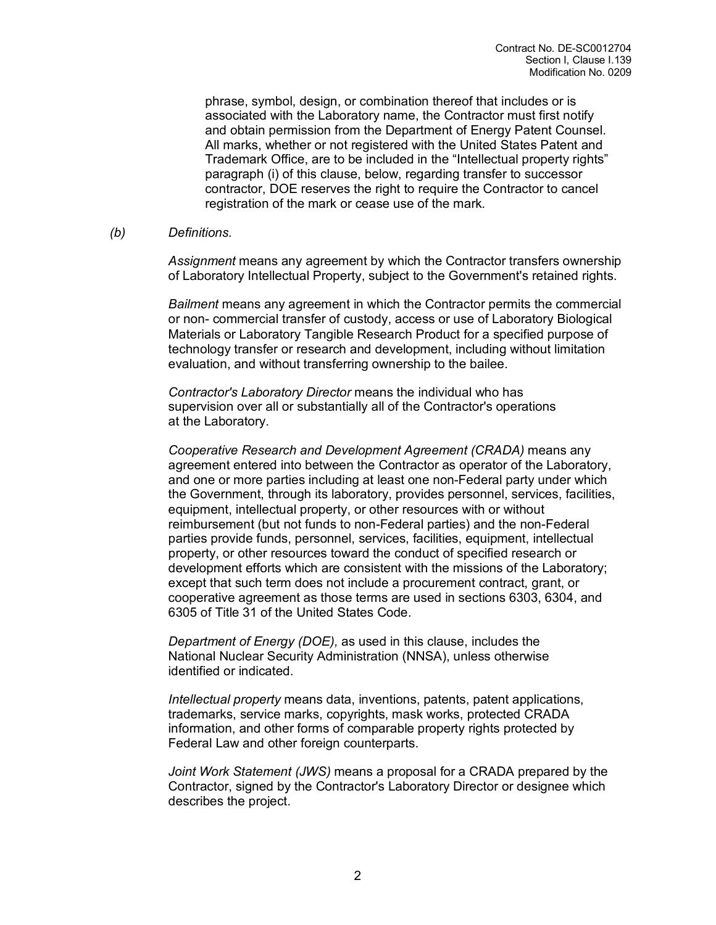phrase, symbol, design, or combination thereof that includes or is associated with the Laboratory name, the Contractor must first notify and obtain permission from the Department of Energy Patent Counsel. All marks, whether or not registered with the United States Patent and Trademark Office, are to be included in the "Intellectual property rights" paragraph (i) of this clause, below, regarding transfer to successor contractor, DOE reserves the right to require the Contractor to cancel registration of the mark or cease use of the mark.

#### *(b) Definitions.*

*Assignment* means any agreement by which the Contractor transfers ownership of Laboratory Intellectual Property, subject to the Government's retained rights.

*Bailment* means any agreement in which the Contractor permits the commercial or non- commercial transfer of custody, access or use of Laboratory Biological Materials or Laboratory Tangible Research Product for a specified purpose of technology transfer or research and development, including without limitation evaluation, and without transferring ownership to the bailee.

*Contractor's Laboratory Director* means the individual who has supervision over all or substantially all of the Contractor's operations at the Laboratory.

*Cooperative Research and Development Agreement (CRADA)* means any agreement entered into between the Contractor as operator of the Laboratory, and one or more parties including at least one non-Federal party under which the Government, through its laboratory, provides personnel, services, facilities, equipment, intellectual property, or other resources with or without reimbursement (but not funds to non-Federal parties) and the non-Federal parties provide funds, personnel, services, facilities, equipment, intellectual property, or other resources toward the conduct of specified research or development efforts which are consistent with the missions of the Laboratory; except that such term does not include a procurement contract, grant, or cooperative agreement as those terms are used in sections 6303, 6304, and 6305 of Title 31 of the United States Code.

*Department of Energy (DOE),* as used in this clause, includes the National Nuclear Security Administration (NNSA), unless otherwise identified or indicated.

*Intellectual property* means data, inventions, patents, patent applications, trademarks, service marks, copyrights, mask works, protected CRADA information, and other forms of comparable property rights protected by Federal Law and other foreign counterparts.

*Joint Work Statement (JWS)* means a proposal for a CRADA prepared by the Contractor, signed by the Contractor's Laboratory Director or designee which describes the project.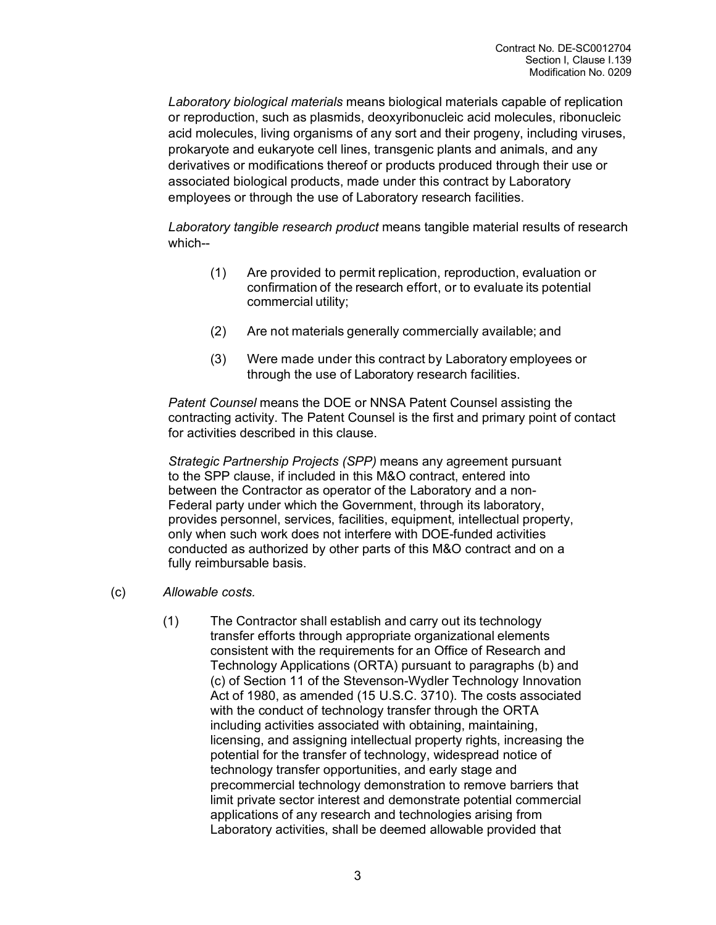*Laboratory biological materials* means biological materials capable of replication or reproduction, such as plasmids, deoxyribonucleic acid molecules, ribonucleic acid molecules, living organisms of any sort and their progeny, including viruses, prokaryote and eukaryote cell lines, transgenic plants and animals, and any derivatives or modifications thereof or products produced through their use or associated biological products, made under this contract by Laboratory employees or through the use of Laboratory research facilities.

*Laboratory tangible research product* means tangible material results of research which--

- (1) Are provided to permit replication, reproduction, evaluation or confirmation of the research effort, or to evaluate its potential commercial utility;
- (2) Are not materials generally commercially available; and
- (3) Were made under this contract by Laboratory employees or through the use of Laboratory research facilities.

*Patent Counsel* means the DOE or NNSA Patent Counsel assisting the contracting activity. The Patent Counsel is the first and primary point of contact for activities described in this clause.

*Strategic Partnership Projects (SPP)* means any agreement pursuant to the SPP clause, if included in this M&O contract, entered into between the Contractor as operator of the Laboratory and a non-Federal party under which the Government, through its laboratory, provides personnel, services, facilities, equipment, intellectual property, only when such work does not interfere with DOE-funded activities conducted as authorized by other parts of this M&O contract and on a fully reimbursable basis.

- (c) *Allowable costs.*
	- (1) The Contractor shall establish and carry out its technology transfer efforts through appropriate organizational elements consistent with the requirements for an Office of Research and Technology Applications (ORTA) pursuant to paragraphs (b) and (c) of Section 11 of the Stevenson-Wydler Technology Innovation Act of 1980, as amended (15 U.S.C. 3710). The costs associated with the conduct of technology transfer through the ORTA including activities associated with obtaining, maintaining, licensing, and assigning intellectual property rights, increasing the potential for the transfer of technology, widespread notice of technology transfer opportunities, and early stage and precommercial technology demonstration to remove barriers that limit private sector interest and demonstrate potential commercial applications of any research and technologies arising from Laboratory activities, shall be deemed allowable provided that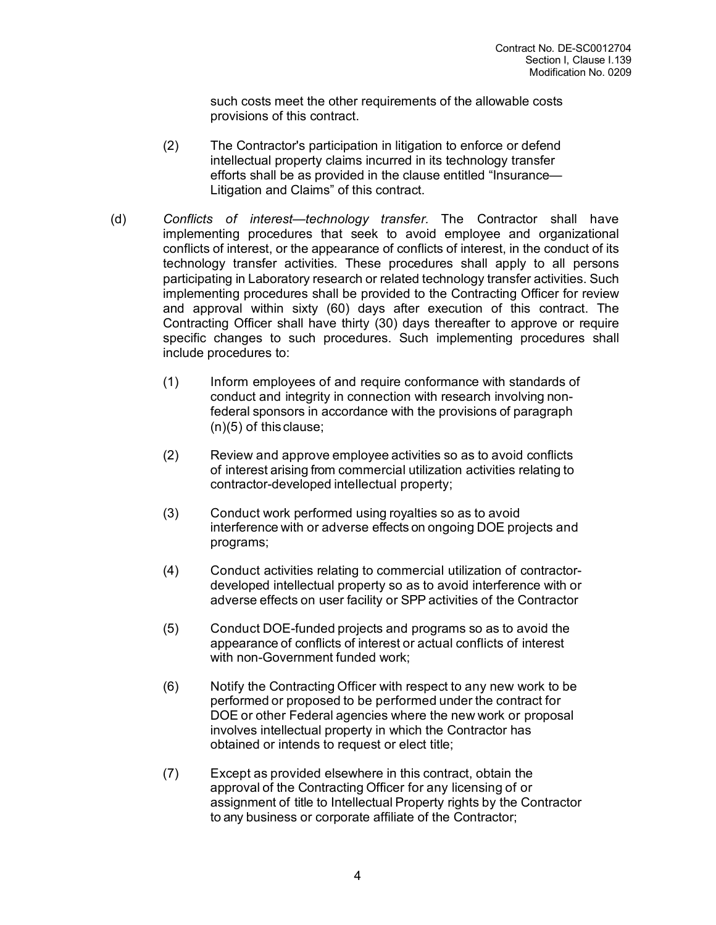such costs meet the other requirements of the allowable costs provisions of this contract.

- (2) The Contractor's participation in litigation to enforce or defend intellectual property claims incurred in its technology transfer efforts shall be as provided in the clause entitled "Insurance— Litigation and Claims" of this contract.
- (d) *Conflicts of interest—technology transfer.* The Contractor shall have implementing procedures that seek to avoid employee and organizational conflicts of interest, or the appearance of conflicts of interest, in the conduct of its technology transfer activities. These procedures shall apply to all persons participating in Laboratory research or related technology transfer activities. Such implementing procedures shall be provided to the Contracting Officer for review and approval within sixty (60) days after execution of this contract. The Contracting Officer shall have thirty (30) days thereafter to approve or require specific changes to such procedures. Such implementing procedures shall include procedures to:
	- (1) Inform employees of and require conformance with standards of conduct and integrity in connection with research involving nonfederal sponsors in accordance with the provisions of paragraph (n)(5) of this clause;
	- (2) Review and approve employee activities so as to avoid conflicts of interest arising from commercial utilization activities relating to contractor-developed intellectual property;
	- (3) Conduct work performed using royalties so as to avoid interference with or adverse effects on ongoing DOE projects and programs;
	- (4) Conduct activities relating to commercial utilization of contractordeveloped intellectual property so as to avoid interference with or adverse effects on user facility or SPP activities of the Contractor
	- (5) Conduct DOE-funded projects and programs so as to avoid the appearance of conflicts of interest or actual conflicts of interest with non-Government funded work;
	- (6) Notify the Contracting Officer with respect to any new work to be performed or proposed to be performed under the contract for DOE or other Federal agencies where the new work or proposal involves intellectual property in which the Contractor has obtained or intends to request or elect title;
	- (7) Except as provided elsewhere in this contract, obtain the approval of the Contracting Officer for any licensing of or assignment of title to Intellectual Property rights by the Contractor to any business or corporate affiliate of the Contractor;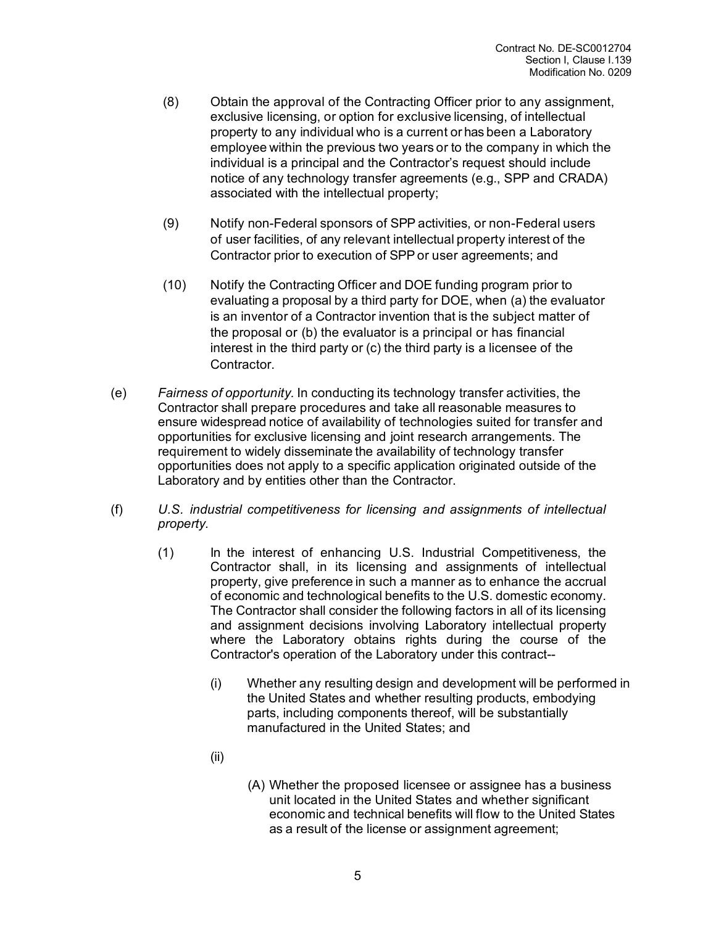- (8) Obtain the approval of the Contracting Officer prior to any assignment, exclusive licensing, or option for exclusive licensing, of intellectual property to any individual who is a current or has been a Laboratory employee within the previous two years or to the company in which the individual is a principal and the Contractor's request should include notice of any technology transfer agreements (e.g., SPP and CRADA) associated with the intellectual property;
- (9) Notify non-Federal sponsors of SPP activities, or non-Federal users of user facilities, of any relevant intellectual property interest of the Contractor prior to execution of SPPor user agreements; and
- (10) Notify the Contracting Officer and DOE funding program prior to evaluating a proposal by a third party for DOE, when (a) the evaluator is an inventor of a Contractor invention that is the subject matter of the proposal or (b) the evaluator is a principal or has financial interest in the third party or (c) the third party is a licensee of the Contractor.
- (e) *Fairness of opportunity.* In conducting its technology transfer activities, the Contractor shall prepare procedures and take all reasonable measures to ensure widespread notice of availability of technologies suited for transfer and opportunities for exclusive licensing and joint research arrangements. The requirement to widely disseminate the availability of technology transfer opportunities does not apply to a specific application originated outside of the Laboratory and by entities other than the Contractor.
- (f) *U.S. industrial competitiveness for licensing and assignments of intellectual property.*
	- (1) In the interest of enhancing U.S. Industrial Competitiveness, the Contractor shall, in its licensing and assignments of intellectual property, give preference in such a manner as to enhance the accrual of economic and technological benefits to the U.S. domestic economy. The Contractor shall consider the following factors in all of its licensing and assignment decisions involving Laboratory intellectual property where the Laboratory obtains rights during the course of the Contractor's operation of the Laboratory under this contract--
		- (i) Whether any resulting design and development will be performed in the United States and whether resulting products, embodying parts, including components thereof, will be substantially manufactured in the United States; and
		- (ii)
- (A) Whether the proposed licensee or assignee has a business unit located in the United States and whether significant economic and technical benefits will flow to the United States as a result of the license or assignment agreement;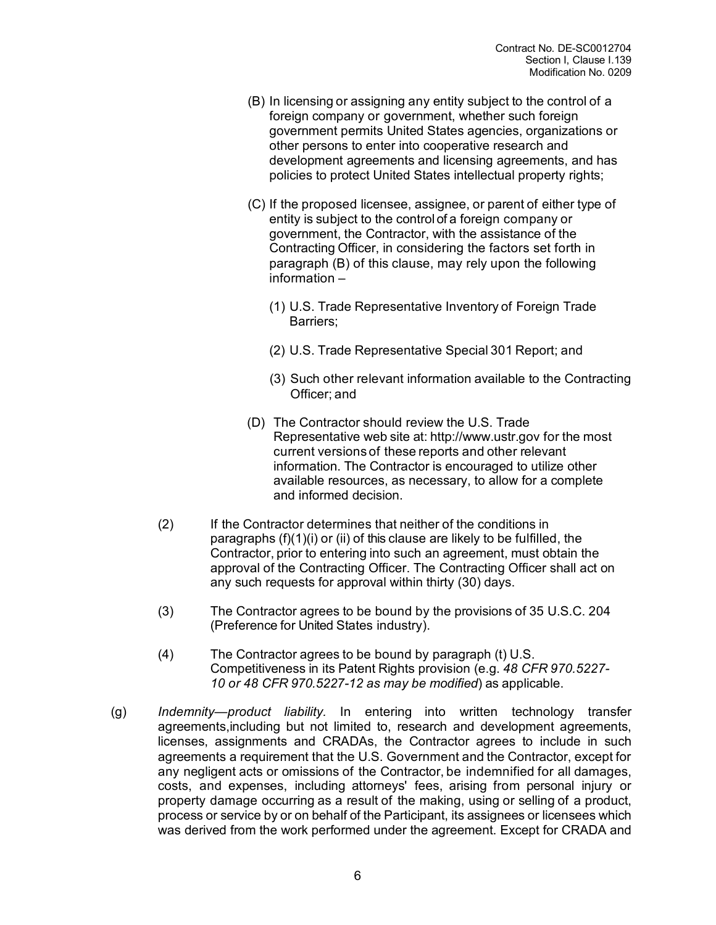- (B) In licensing or assigning any entity subject to the control of a foreign company or government, whether such foreign government permits United States agencies, organizations or other persons to enter into cooperative research and development agreements and licensing agreements, and has policies to protect United States intellectual property rights;
- (C) If the proposed licensee, assignee, or parent of either type of entity is subject to the control of a foreign company or government, the Contractor, with the assistance of the Contracting Officer, in considering the factors set forth in paragraph (B) of this clause, may rely upon the following information –
	- (1) U.S. Trade Representative Inventory of Foreign Trade Barriers;
	- (2) U.S. Trade Representative Special 301 Report; and
	- (3) Such other relevant information available to the Contracting Officer; and
- (D) The Contractor should review the U.S. Trade Representative web site at: [http://www.ustr.gov](http://www.ustr.gov/) for the most current versions of these reports and other relevant information. The Contractor is encouraged to utilize other available resources, as necessary, to allow for a complete and informed decision.
- (2) If the Contractor determines that neither of the conditions in paragraphs (f)(1)(i) or (ii) of this clause are likely to be fulfilled, the Contractor, prior to entering into such an agreement, must obtain the approval of the Contracting Officer. The Contracting Officer shall act on any such requests for approval within thirty (30) days.
- (3) The Contractor agrees to be bound by the provisions of 35 U.S.C. 204 (Preference for United States industry).
- (4) The Contractor agrees to be bound by paragraph (t) U.S. Competitiveness in its Patent Rights provision (e.g. *48 CFR 970.5227- 10 or 48 CFR 970.5227-12 as may be modified*) as applicable.
- (g) *Indemnity—product liability.* In entering into written technology transfer agreements,including but not limited to, research and development agreements, licenses, assignments and CRADAs, the Contractor agrees to include in such agreements a requirement that the U.S. Government and the Contractor, except for any negligent acts or omissions of the Contractor, be indemnified for all damages, costs, and expenses, including attorneys' fees, arising from personal injury or property damage occurring as a result of the making, using or selling of a product, process or service by or on behalf of the Participant, its assignees or licensees which was derived from the work performed under the agreement. Except for CRADA and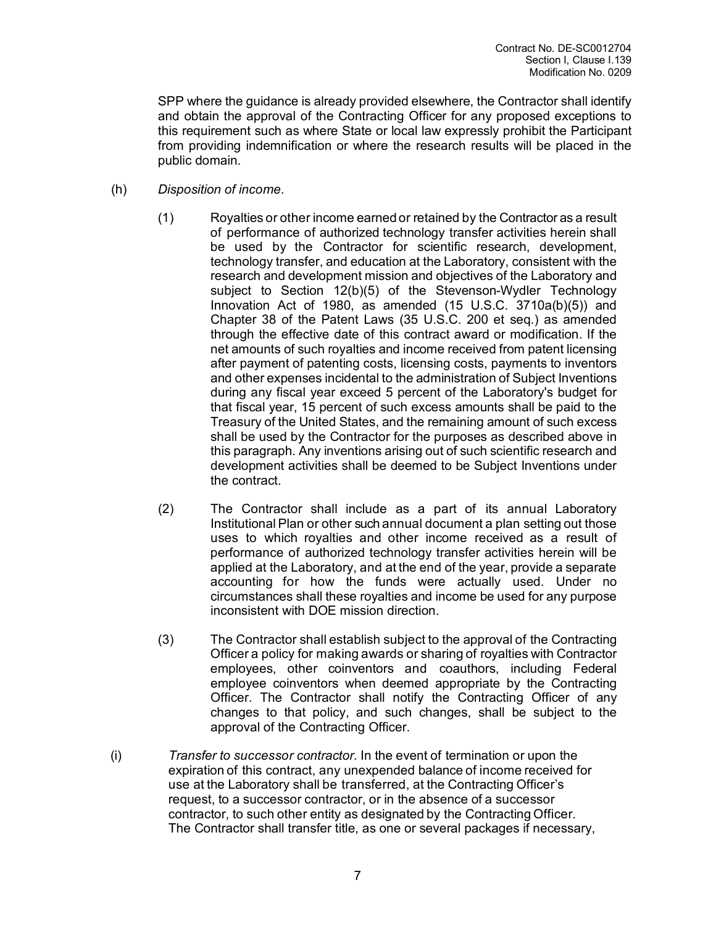SPP where the guidance is already provided elsewhere, the Contractor shall identify and obtain the approval of the Contracting Officer for any proposed exceptions to this requirement such as where State or local law expressly prohibit the Participant from providing indemnification or where the research results will be placed in the public domain.

#### (h) *Disposition of income.*

- (1) Royalties or other income earned or retained by the Contractor as a result of performance of authorized technology transfer activities herein shall be used by the Contractor for scientific research, development, technology transfer, and education at the Laboratory, consistent with the research and development mission and objectives of the Laboratory and subject to Section 12(b)(5) of the Stevenson-Wydler Technology Innovation Act of 1980, as amended (15 U.S.C. 3710a(b)(5)) and Chapter 38 of the Patent Laws (35 U.S.C. 200 et seq.) as amended through the effective date of this contract award or modification. If the net amounts of such royalties and income received from patent licensing after payment of patenting costs, licensing costs, payments to inventors and other expenses incidental to the administration of Subject Inventions during any fiscal year exceed 5 percent of the Laboratory's budget for that fiscal year, 15 percent of such excess amounts shall be paid to the Treasury of the United States, and the remaining amount of such excess shall be used by the Contractor for the purposes as described above in this paragraph. Any inventions arising out of such scientific research and development activities shall be deemed to be Subject Inventions under the contract.
- (2) The Contractor shall include as a part of its annual Laboratory Institutional Plan or other such annual document a plan setting out those uses to which royalties and other income received as a result of performance of authorized technology transfer activities herein will be applied at the Laboratory, and at the end of the year, provide a separate accounting for how the funds were actually used. Under no circumstances shall these royalties and income be used for any purpose inconsistent with DOE mission direction.
- (3) The Contractor shall establish subject to the approval of the Contracting Officer a policy for making awards or sharing of royalties with Contractor employees, other coinventors and coauthors, including Federal employee coinventors when deemed appropriate by the Contracting Officer. The Contractor shall notify the Contracting Officer of any changes to that policy, and such changes, shall be subject to the approval of the Contracting Officer.
- (i) *Transfer to successor contractor.* In the event of termination or upon the expiration of this contract, any unexpended balance of income received for use at the Laboratory shall be transferred, at the Contracting Officer's request, to a successor contractor, or in the absence of a successor contractor, to such other entity as designated by the Contracting Officer. The Contractor shall transfer title, as one or several packages if necessary,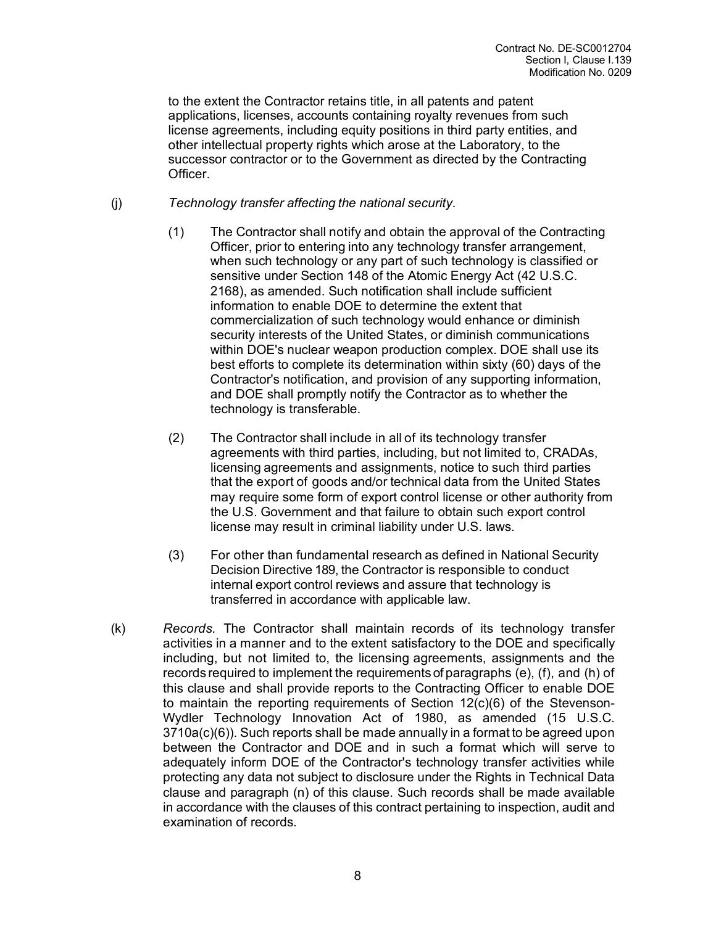to the extent the Contractor retains title, in all patents and patent applications, licenses, accounts containing royalty revenues from such license agreements, including equity positions in third party entities, and other intellectual property rights which arose at the Laboratory, to the successor contractor or to the Government as directed by the Contracting Officer.

(j) *Technology transfer affecting the national security.*

- (1) The Contractor shall notify and obtain the approval of the Contracting Officer, prior to entering into any technology transfer arrangement, when such technology or any part of such technology is classified or sensitive under Section 148 of the Atomic Energy Act (42 U.S.C. 2168), as amended. Such notification shall include sufficient information to enable DOE to determine the extent that commercialization of such technology would enhance or diminish security interests of the United States, or diminish communications within DOE's nuclear weapon production complex. DOE shall use its best efforts to complete its determination within sixty (60) days of the Contractor's notification, and provision of any supporting information, and DOE shall promptly notify the Contractor as to whether the technology is transferable.
- (2) The Contractor shall include in all of its technology transfer agreements with third parties, including, but not limited to, CRADAs, licensing agreements and assignments, notice to such third parties that the export of goods and/or technical data from the United States may require some form of export control license or other authority from the U.S. Government and that failure to obtain such export control license may result in criminal liability under U.S. laws.
- (3) For other than fundamental research as defined in National Security Decision Directive 189, the Contractor is responsible to conduct internal export control reviews and assure that technology is transferred in accordance with applicable law.
- (k) *Records.* The Contractor shall maintain records of its technology transfer activities in a manner and to the extent satisfactory to the DOE and specifically including, but not limited to, the licensing agreements, assignments and the records required to implement the requirements of paragraphs (e), (f), and (h) of this clause and shall provide reports to the Contracting Officer to enable DOE to maintain the reporting requirements of Section 12(c)(6) of the Stevenson-Wydler Technology Innovation Act of 1980, as amended (15 U.S.C. 3710a(c)(6)). Such reports shall be made annually in a format to be agreed upon between the Contractor and DOE and in such a format which will serve to adequately inform DOE of the Contractor's technology transfer activities while protecting any data not subject to disclosure under the Rights in Technical Data clause and paragraph (n) of this clause. Such records shall be made available in accordance with the clauses of this contract pertaining to inspection, audit and examination of records.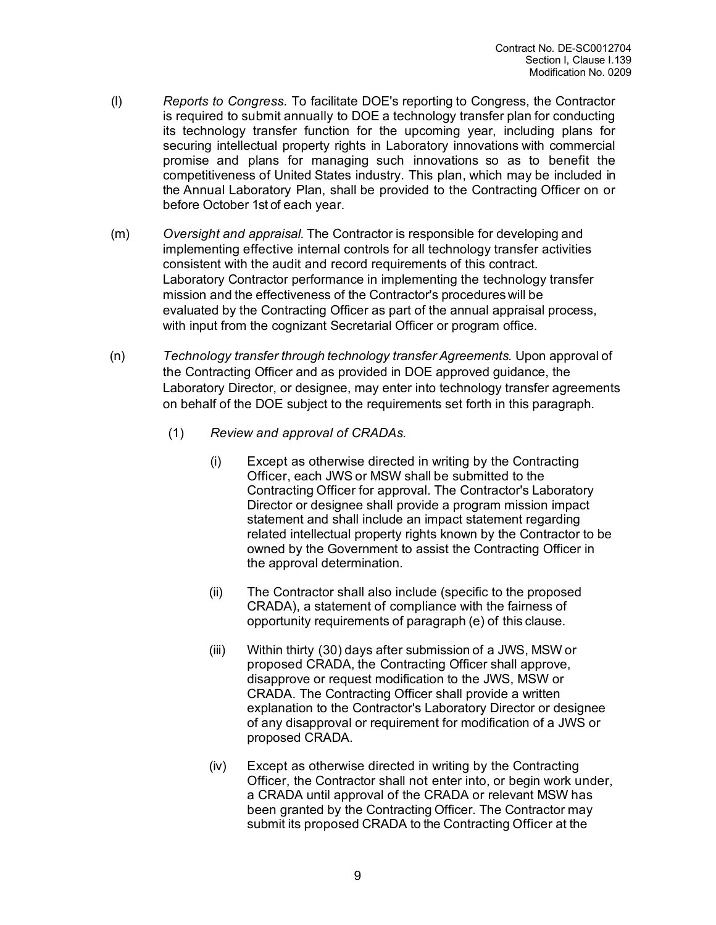- (l) *Reports to Congress.* To facilitate DOE's reporting to Congress, the Contractor is required to submit annually to DOE a technology transfer plan for conducting its technology transfer function for the upcoming year, including plans for securing intellectual property rights in Laboratory innovations with commercial promise and plans for managing such innovations so as to benefit the competitiveness of United States industry. This plan, which may be included in the Annual Laboratory Plan, shall be provided to the Contracting Officer on or before October 1st of each year.
- (m) *Oversight and appraisal.* The Contractor is responsible for developing and implementing effective internal controls for all technology transfer activities consistent with the audit and record requirements of this contract. Laboratory Contractor performance in implementing the technology transfer mission and the effectiveness of the Contractor's procedures will be evaluated by the Contracting Officer as part of the annual appraisal process, with input from the cognizant Secretarial Officer or program office.
- (n) *Technology transfer through technology transfer Agreements.* Upon approval of the Contracting Officer and as provided in DOE approved guidance, the Laboratory Director, or designee, may enter into technology transfer agreements on behalf of the DOE subject to the requirements set forth in this paragraph.
	- (1) *Review and approval of CRADAs.* 
		- (i) Except as otherwise directed in writing by the Contracting Officer, each JWS or MSW shall be submitted to the Contracting Officer for approval. The Contractor's Laboratory Director or designee shall provide a program mission impact statement and shall include an impact statement regarding related intellectual property rights known by the Contractor to be owned by the Government to assist the Contracting Officer in the approval determination.
		- (ii) The Contractor shall also include (specific to the proposed CRADA), a statement of compliance with the fairness of opportunity requirements of paragraph (e) of this clause.
		- (iii) Within thirty (30) days after submission of a JWS, MSW or proposed CRADA, the Contracting Officer shall approve, disapprove or request modification to the JWS, MSW or CRADA. The Contracting Officer shall provide a written explanation to the Contractor's Laboratory Director or designee of any disapproval or requirement for modification of a JWS or proposed CRADA.
		- (iv) Except as otherwise directed in writing by the Contracting Officer, the Contractor shall not enter into, or begin work under, a CRADA until approval of the CRADA or relevant MSW has been granted by the Contracting Officer. The Contractor may submit its proposed CRADA to the Contracting Officer at the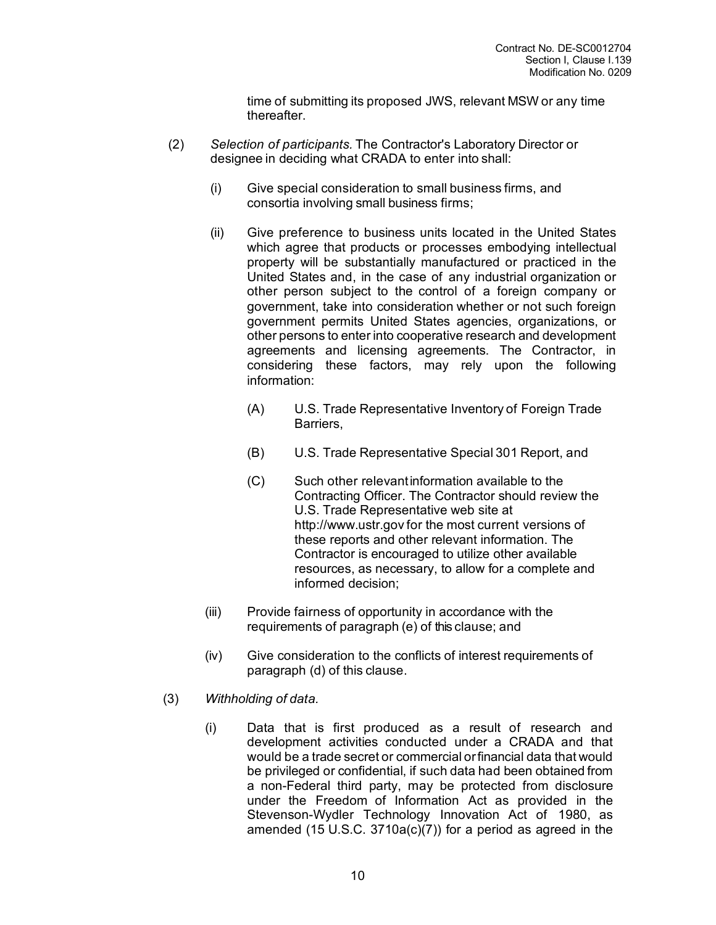time of submitting its proposed JWS, relevant MSW or any time thereafter.

- (2) *Selection of participants.* The Contractor's Laboratory Director or designee in deciding what CRADA to enter into shall:
	- (i) Give special consideration to small business firms, and consortia involving small business firms;
	- (ii) Give preference to business units located in the United States which agree that products or processes embodying intellectual property will be substantially manufactured or practiced in the United States and, in the case of any industrial organization or other person subject to the control of a foreign company or government, take into consideration whether or not such foreign government permits United States agencies, organizations, or other persons to enter into cooperative research and development agreements and licensing agreements. The Contractor, in considering these factors, may rely upon the following information:
		- (A) U.S. Trade Representative Inventory of Foreign Trade Barriers,
		- (B) U.S. Trade Representative Special 301 Report, and
		- (C) Such other relevantinformation available to the Contracting Officer. The Contractor should review the U.S. Trade Representative web site [at](http://www.ustr.gov/) [http://www.ustr.gov](http://www.ustr.gov/) for the most current versions of these reports and other relevant information. The Contractor is encouraged to utilize other available resources, as necessary, to allow for a complete and informed decision;
	- (iii) Provide fairness of opportunity in accordance with the requirements of paragraph (e) of this clause; and
	- (iv) Give consideration to the conflicts of interest requirements of paragraph (d) of this clause.
- (3) *Withholding of data.*
	- (i) Data that is first produced as a result of research and development activities conducted under a CRADA and that would be a trade secret or commercial orfinancial data that would be privileged or confidential, if such data had been obtained from a non-Federal third party, may be protected from disclosure under the Freedom of Information Act as provided in the Stevenson-Wydler Technology Innovation Act of 1980, as amended (15 U.S.C. 3710a(c)(7)) for a period as agreed in the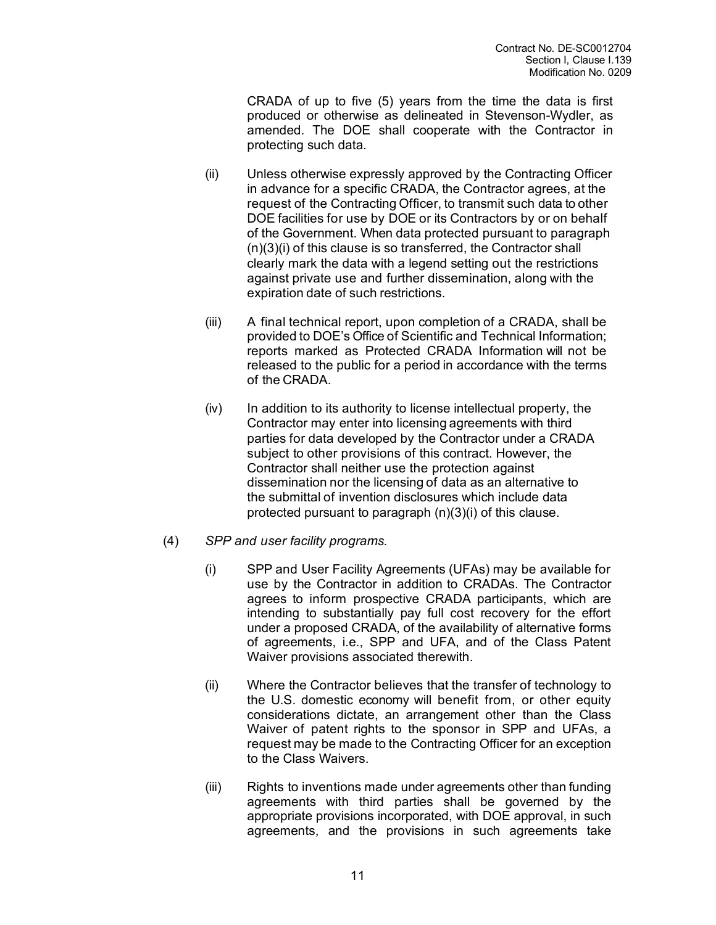CRADA of up to five (5) years from the time the data is first produced or otherwise as delineated in Stevenson-Wydler, as amended. The DOE shall cooperate with the Contractor in protecting such data.

- (ii) Unless otherwise expressly approved by the Contracting Officer in advance for a specific CRADA, the Contractor agrees, at the request of the Contracting Officer, to transmit such data to other DOE facilities for use by DOE or its Contractors by or on behalf of the Government. When data protected pursuant to paragraph (n)(3)(i) of this clause is so transferred, the Contractor shall clearly mark the data with a legend setting out the restrictions against private use and further dissemination, along with the expiration date of such restrictions.
- (iii) A final technical report, upon completion of a CRADA, shall be provided to DOE's Office of Scientific and Technical Information; reports marked as Protected CRADA Information will not be released to the public for a period in accordance with the terms of the CRADA.
- (iv) In addition to its authority to license intellectual property, the Contractor may enter into licensing agreements with third parties for data developed by the Contractor under a CRADA subject to other provisions of this contract. However, the Contractor shall neither use the protection against dissemination nor the licensing of data as an alternative to the submittal of invention disclosures which include data protected pursuant to paragraph (n)(3)(i) of this clause.
- (4) *SPP and user facility programs.*
	- (i) SPP and User Facility Agreements (UFAs) may be available for use by the Contractor in addition to CRADAs. The Contractor agrees to inform prospective CRADA participants, which are intending to substantially pay full cost recovery for the effort under a proposed CRADA, of the availability of alternative forms of agreements, i.e., SPP and UFA, and of the Class Patent Waiver provisions associated therewith.
	- (ii) Where the Contractor believes that the transfer of technology to the U.S. domestic economy will benefit from, or other equity considerations dictate, an arrangement other than the Class Waiver of patent rights to the sponsor in SPP and UFAs, a request may be made to the Contracting Officer for an exception to the Class Waivers.
	- (iii) Rights to inventions made under agreements other than funding agreements with third parties shall be governed by the appropriate provisions incorporated, with DOE approval, in such agreements, and the provisions in such agreements take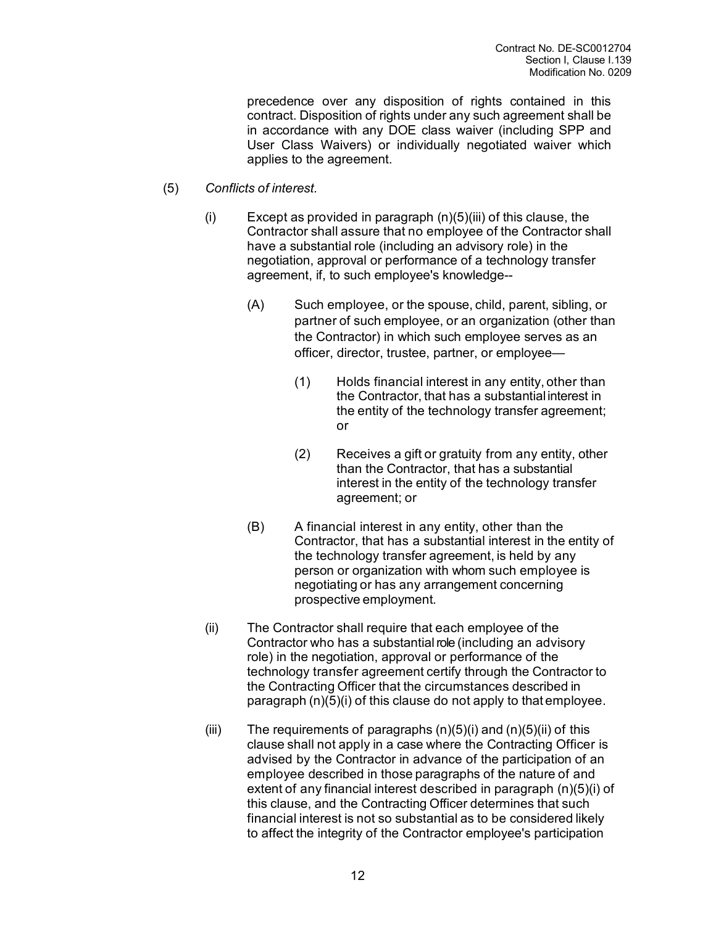precedence over any disposition of rights contained in this contract. Disposition of rights under any such agreement shall be in accordance with any DOE class waiver (including SPP and User Class Waivers) or individually negotiated waiver which applies to the agreement.

- (5) *Conflicts of interest.*
	- $(i)$  Except as provided in paragraph  $(n)(5)(iii)$  of this clause, the Contractor shall assure that no employee of the Contractor shall have a substantial role (including an advisory role) in the negotiation, approval or performance of a technology transfer agreement, if, to such employee's knowledge--
		- (A) Such employee, or the spouse, child, parent, sibling, or partner of such employee, or an organization (other than the Contractor) in which such employee serves as an officer, director, trustee, partner, or employee—
			- (1) Holds financial interest in any entity, other than the Contractor, that has a substantial interest in the entity of the technology transfer agreement; or
			- (2) Receives a gift or gratuity from any entity, other than the Contractor, that has a substantial interest in the entity of the technology transfer agreement; or
		- (B) A financial interest in any entity, other than the Contractor, that has a substantial interest in the entity of the technology transfer agreement, is held by any person or organization with whom such employee is negotiating or has any arrangement concerning prospective employment.
	- (ii) The Contractor shall require that each employee of the Contractor who has a substantial role (including an advisory role) in the negotiation, approval or performance of the technology transfer agreement certify through the Contractor to the Contracting Officer that the circumstances described in paragraph (n)(5)(i) of this clause do not apply to that employee.
	- (iii) The requirements of paragraphs  $(n)(5)(i)$  and  $(n)(5)(ii)$  of this clause shall not apply in a case where the Contracting Officer is advised by the Contractor in advance of the participation of an employee described in those paragraphs of the nature of and extent of any financial interest described in paragraph (n)(5)(i) of this clause, and the Contracting Officer determines that such financial interest is not so substantial as to be considered likely to affect the integrity of the Contractor employee's participation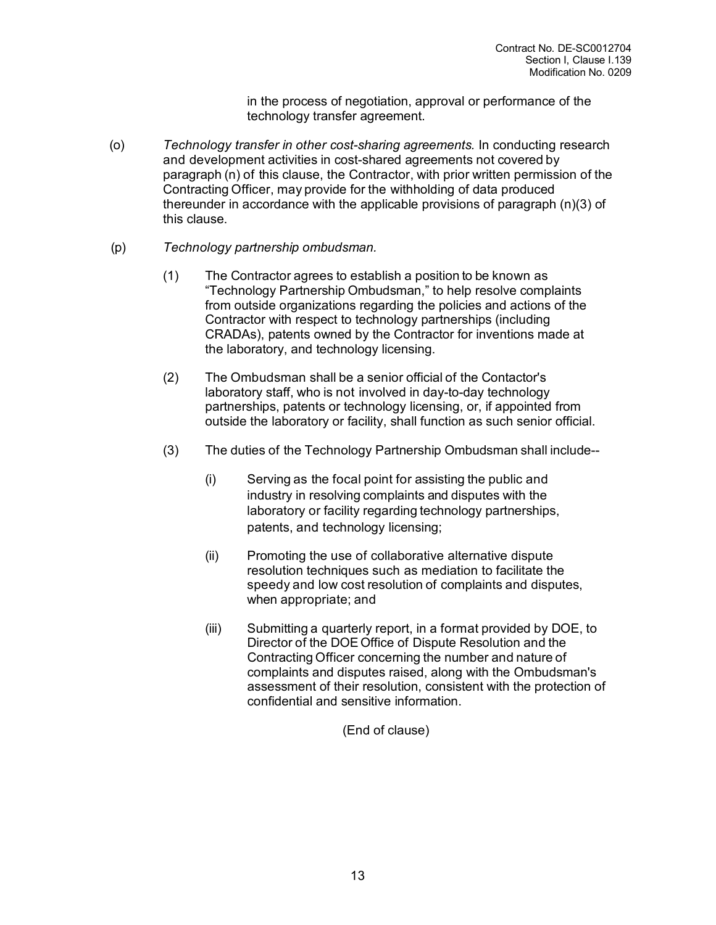in the process of negotiation, approval or performance of the technology transfer agreement.

- (o) *Technology transfer in other cost-sharing agreements.* In conducting research and development activities in cost-shared agreements not covered by paragraph (n) of this clause, the Contractor, with prior written permission of the Contracting Officer, may provide for the withholding of data produced thereunder in accordance with the applicable provisions of paragraph (n)(3) of this clause.
- (p) *Technology partnership ombudsman.*
	- (1) The Contractor agrees to establish a position to be known as "Technology Partnership Ombudsman," to help resolve complaints from outside organizations regarding the policies and actions of the Contractor with respect to technology partnerships (including CRADAs), patents owned by the Contractor for inventions made at the laboratory, and technology licensing.
	- (2) The Ombudsman shall be a senior official of the Contactor's laboratory staff, who is not involved in day-to-day technology partnerships, patents or technology licensing, or, if appointed from outside the laboratory or facility, shall function as such senior official.
	- (3) The duties of the Technology Partnership Ombudsman shall include--
		- (i) Serving as the focal point for assisting the public and industry in resolving complaints and disputes with the laboratory or facility regarding technology partnerships, patents, and technology licensing;
		- (ii) Promoting the use of collaborative alternative dispute resolution techniques such as mediation to facilitate the speedy and low cost resolution of complaints and disputes, when appropriate; and
		- (iii) Submitting a quarterly report, in a format provided by DOE, to Director of the DOE Office of Dispute Resolution and the Contracting Officer concerning the number and nature of complaints and disputes raised, along with the Ombudsman's assessment of their resolution, consistent with the protection of confidential and sensitive information.

(End of clause)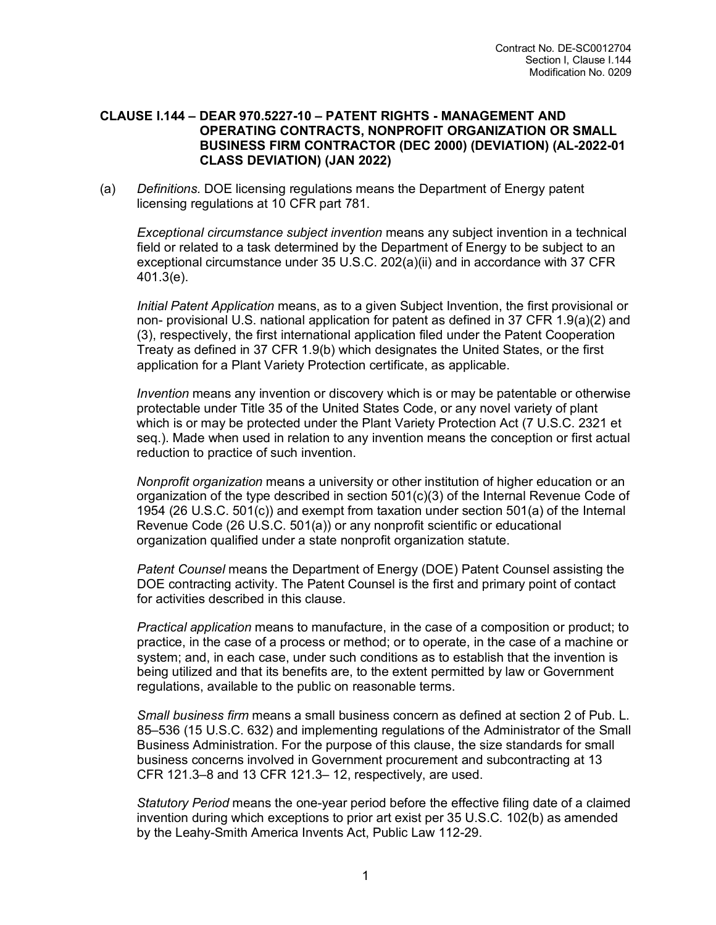#### **CLAUSE I.144 – DEAR 970.5227-10 – PATENT RIGHTS - MANAGEMENT AND OPERATING CONTRACTS, NONPROFIT ORGANIZATION OR SMALL BUSINESS FIRM CONTRACTOR (DEC 2000) (DEVIATION) (AL-2022-01 CLASS DEVIATION) (JAN 2022)**

(a) *Definitions.* DOE licensing regulations means the Department of Energy patent licensing regulations at 10 CFR part 781.

*Exceptional circumstance subject invention* means any subject invention in a technical field or related to a task determined by the Department of Energy to be subject to an exceptional circumstance under 35 U.S.C. 202(a)(ii) and in accordance with 37 CFR 401.3(e).

*Initial Patent Application* means, as to a given Subject Invention, the first provisional or non- provisional U.S. national application for patent as defined in 37 CFR 1.9(a)(2) and (3), respectively, the first international application filed under the Patent Cooperation Treaty as defined in 37 CFR 1.9(b) which designates the United States, or the first application for a Plant Variety Protection certificate, as applicable.

*Invention* means any invention or discovery which is or may be patentable or otherwise protectable under Title 35 of the United States Code, or any novel variety of plant which is or may be protected under the Plant Variety Protection Act (7 U.S.C. 2321 et seq.). Made when used in relation to any invention means the conception or first actual reduction to practice of such invention.

*Nonprofit organization* means a university or other institution of higher education or an organization of the type described in section 501(c)(3) of the Internal Revenue Code of 1954 (26 U.S.C. 501(c)) and exempt from taxation under section 501(a) of the Internal Revenue Code (26 U.S.C. 501(a)) or any nonprofit scientific or educational organization qualified under a state nonprofit organization statute.

*Patent Counsel* means the Department of Energy (DOE) Patent Counsel assisting the DOE contracting activity. The Patent Counsel is the first and primary point of contact for activities described in this clause.

*Practical application* means to manufacture, in the case of a composition or product; to practice, in the case of a process or method; or to operate, in the case of a machine or system; and, in each case, under such conditions as to establish that the invention is being utilized and that its benefits are, to the extent permitted by law or Government regulations, available to the public on reasonable terms.

*Small business firm* means a small business concern as defined at section 2 of Pub. L. 85–536 (15 U.S.C. 632) and implementing regulations of the Administrator of the Small Business Administration. For the purpose of this clause, the size standards for small business concerns involved in Government procurement and subcontracting at 13 CFR 121.3–8 and 13 CFR 121.3– 12, respectively, are used.

*Statutory Period* means the one-year period before the effective filing date of a claimed invention during which exceptions to prior art exist per 35 U.S.C. 102(b) as amended by the Leahy-Smith America Invents Act, Public Law 112-29.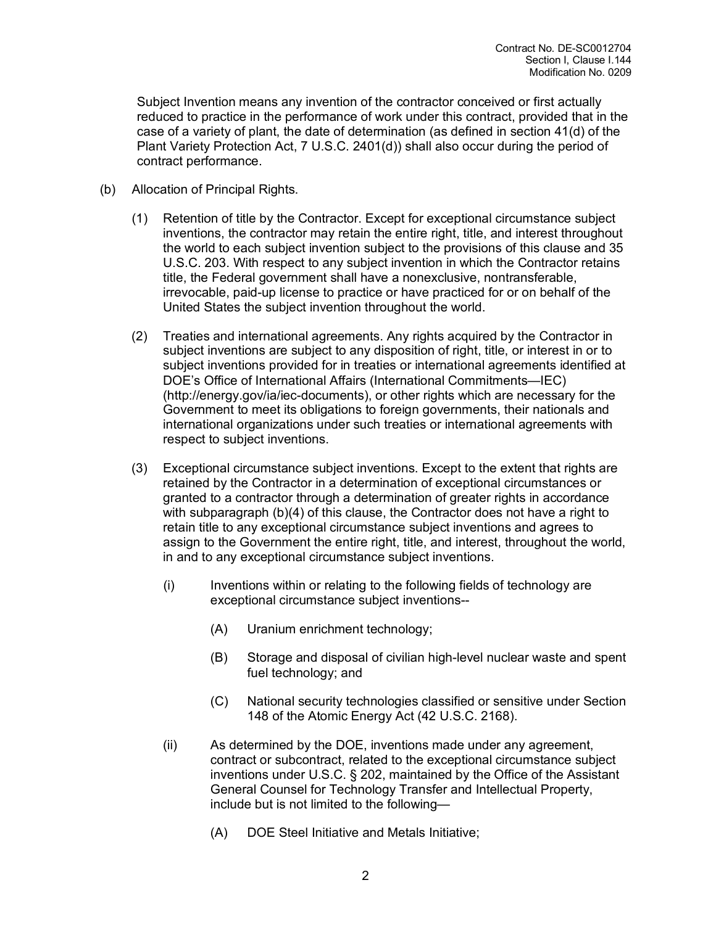Subject Invention means any invention of the contractor conceived or first actually reduced to practice in the performance of work under this contract, provided that in the case of a variety of plant, the date of determination (as defined in section 41(d) of the Plant Variety Protection Act, 7 U.S.C. 2401(d)) shall also occur during the period of contract performance.

- (b) Allocation of Principal Rights.
	- (1) Retention of title by the Contractor. Except for exceptional circumstance subject inventions, the contractor may retain the entire right, title, and interest throughout the world to each subject invention subject to the provisions of this clause and 35 U.S.C. 203. With respect to any subject invention in which the Contractor retains title, the Federal government shall have a nonexclusive, nontransferable, irrevocable, paid-up license to practice or have practiced for or on behalf of the United States the subject invention throughout the world.
	- (2) Treaties and international agreements. Any rights acquired by the Contractor in subject inventions are subject to any disposition of right, title, or interest in or to subject inventions provided for in treaties or international agreements identified at DOE's Office of International Affairs (International Commitments—IEC) (http://energy.gov/ia/iec-documents), or other rights which are necessary for the Government to meet its obligations to foreign governments, their nationals and international organizations under such treaties or international agreements with respect to subject inventions.
	- (3) Exceptional circumstance subject inventions. Except to the extent that rights are retained by the Contractor in a determination of exceptional circumstances or granted to a contractor through a determination of greater rights in accordance with subparagraph (b)(4) of this clause, the Contractor does not have a right to retain title to any exceptional circumstance subject inventions and agrees to assign to the Government the entire right, title, and interest, throughout the world, in and to any exceptional circumstance subject inventions.
		- (i) Inventions within or relating to the following fields of technology are exceptional circumstance subject inventions--
			- (A) Uranium enrichment technology;
			- (B) Storage and disposal of civilian high-level nuclear waste and spent fuel technology; and
			- (C) National security technologies classified or sensitive under Section 148 of the Atomic Energy Act (42 U.S.C. 2168).
		- (ii) As determined by the DOE, inventions made under any agreement, contract or subcontract, related to the exceptional circumstance subject inventions under U.S.C. § 202, maintained by the Office of the Assistant General Counsel for Technology Transfer and Intellectual Property, include but is not limited to the following—
			- (A) DOE Steel Initiative and Metals Initiative;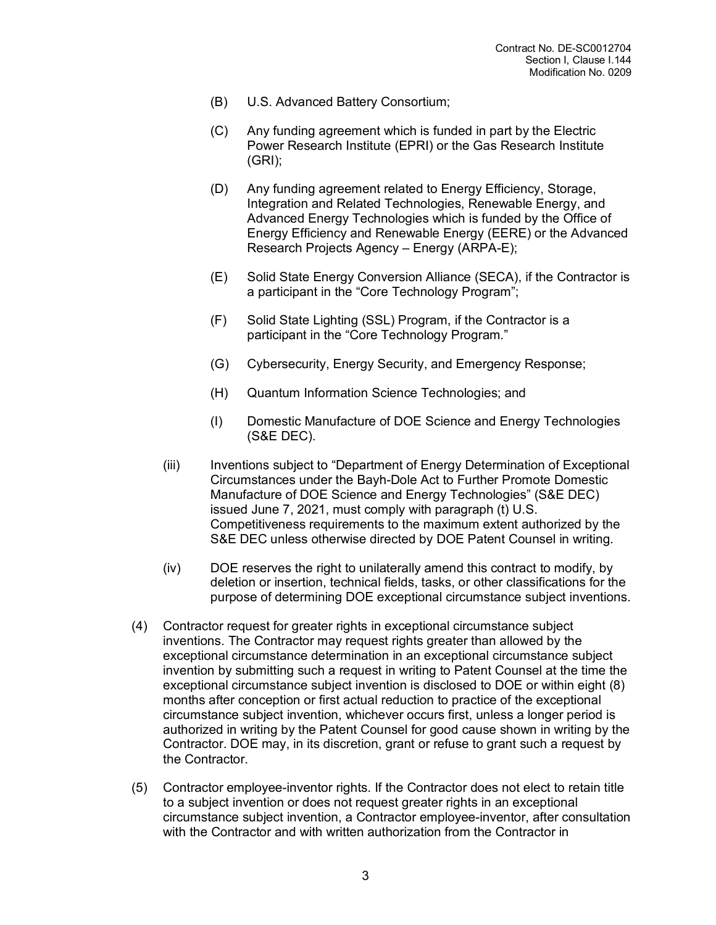- (B) U.S. Advanced Battery Consortium;
- (C) Any funding agreement which is funded in part by the Electric Power Research Institute (EPRI) or the Gas Research Institute (GRI);
- (D) Any funding agreement related to Energy Efficiency, Storage, Integration and Related Technologies, Renewable Energy, and Advanced Energy Technologies which is funded by the Office of Energy Efficiency and Renewable Energy (EERE) or the Advanced Research Projects Agency – Energy (ARPA-E);
- (E) Solid State Energy Conversion Alliance (SECA), if the Contractor is a participant in the "Core Technology Program";
- (F) Solid State Lighting (SSL) Program, if the Contractor is a participant in the "Core Technology Program."
- (G) Cybersecurity, Energy Security, and Emergency Response;
- (H) Quantum Information Science Technologies; and
- (I) Domestic Manufacture of DOE Science and Energy Technologies (S&E DEC).
- (iii) Inventions subject to "Department of Energy Determination of Exceptional Circumstances under the Bayh-Dole Act to Further Promote Domestic Manufacture of DOE Science and Energy Technologies" (S&E DEC) issued June 7, 2021, must comply with paragraph (t) U.S. Competitiveness requirements to the maximum extent authorized by the S&E DEC unless otherwise directed by DOE Patent Counsel in writing.
- (iv) DOE reserves the right to unilaterally amend this contract to modify, by deletion or insertion, technical fields, tasks, or other classifications for the purpose of determining DOE exceptional circumstance subject inventions.
- (4) Contractor request for greater rights in exceptional circumstance subject inventions. The Contractor may request rights greater than allowed by the exceptional circumstance determination in an exceptional circumstance subject invention by submitting such a request in writing to Patent Counsel at the time the exceptional circumstance subject invention is disclosed to DOE or within eight (8) months after conception or first actual reduction to practice of the exceptional circumstance subject invention, whichever occurs first, unless a longer period is authorized in writing by the Patent Counsel for good cause shown in writing by the Contractor. DOE may, in its discretion, grant or refuse to grant such a request by the Contractor.
- (5) Contractor employee-inventor rights. If the Contractor does not elect to retain title to a subject invention or does not request greater rights in an exceptional circumstance subject invention, a Contractor employee-inventor, after consultation with the Contractor and with written authorization from the Contractor in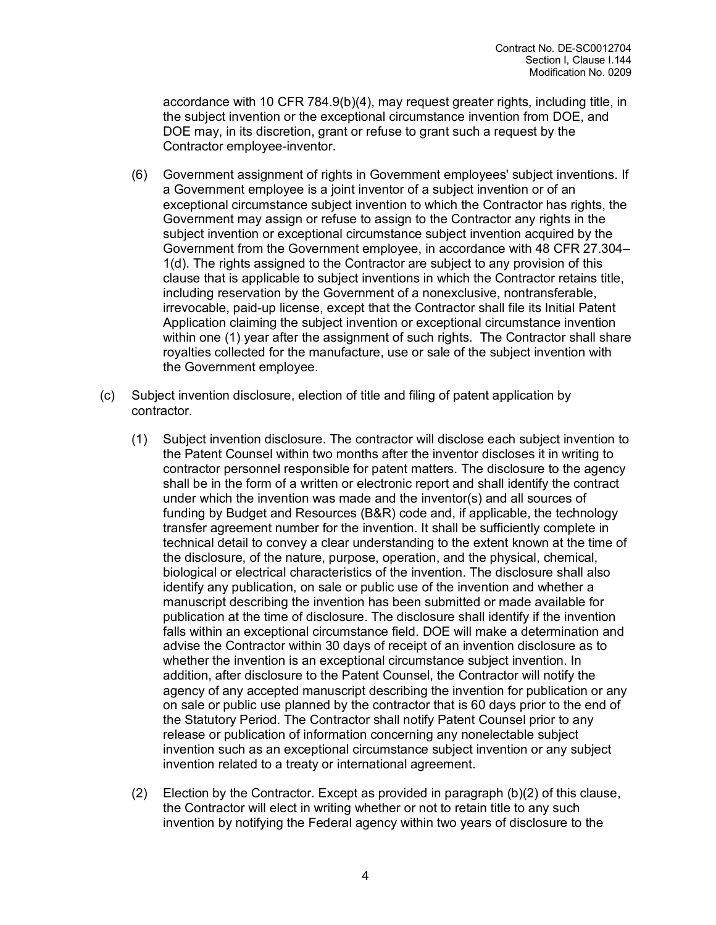accordance with 10 CFR 784.9(b)(4), may request greater rights, including title, in the subject invention or the exceptional circumstance invention from DOE, and DOE may, in its discretion, grant or refuse to grant such a request by the Contractor employee-inventor.

- (6) Government assignment of rights in Government employees' subject inventions. If a Government employee is a joint inventor of a subject invention or of an exceptional circumstance subject invention to which the Contractor has rights, the Government may assign or refuse to assign to the Contractor any rights in the subject invention or exceptional circumstance subject invention acquired by the Government from the Government employee, in accordance with 48 CFR 27.304– 1(d). The rights assigned to the Contractor are subject to any provision of this clause that is applicable to subject inventions in which the Contractor retains title, including reservation by the Government of a nonexclusive, nontransferable, irrevocable, paid-up license, except that the Contractor shall file its Initial Patent Application claiming the subject invention or exceptional circumstance invention within one (1) year after the assignment of such rights. The Contractor shall share royalties collected for the manufacture, use or sale of the subject invention with the Government employee.
- (c) Subject invention disclosure, election of title and filing of patent application by contractor.
	- (1) Subject invention disclosure. The contractor will disclose each subject invention to the Patent Counsel within two months after the inventor discloses it in writing to contractor personnel responsible for patent matters. The disclosure to the agency shall be in the form of a written or electronic report and shall identify the contract under which the invention was made and the inventor(s) and all sources of funding by Budget and Resources (B&R) code and, if applicable, the technology transfer agreement number for the invention. It shall be sufficiently complete in technical detail to convey a clear understanding to the extent known at the time of the disclosure, of the nature, purpose, operation, and the physical, chemical, biological or electrical characteristics of the invention. The disclosure shall also identify any publication, on sale or public use of the invention and whether a manuscript describing the invention has been submitted or made available for publication at the time of disclosure. The disclosure shall identify if the invention falls within an exceptional circumstance field. DOE will make a determination and advise the Contractor within 30 days of receipt of an invention disclosure as to whether the invention is an exceptional circumstance subject invention. In addition, after disclosure to the Patent Counsel, the Contractor will notify the agency of any accepted manuscript describing the invention for publication or any on sale or public use planned by the contractor that is 60 days prior to the end of the Statutory Period. The Contractor shall notify Patent Counsel prior to any release or publication of information concerning any nonelectable subject invention such as an exceptional circumstance subject invention or any subject invention related to a treaty or international agreement.
	- (2) Election by the Contractor. Except as provided in paragraph (b)(2) of this clause, the Contractor will elect in writing whether or not to retain title to any such invention by notifying the Federal agency within two years of disclosure to the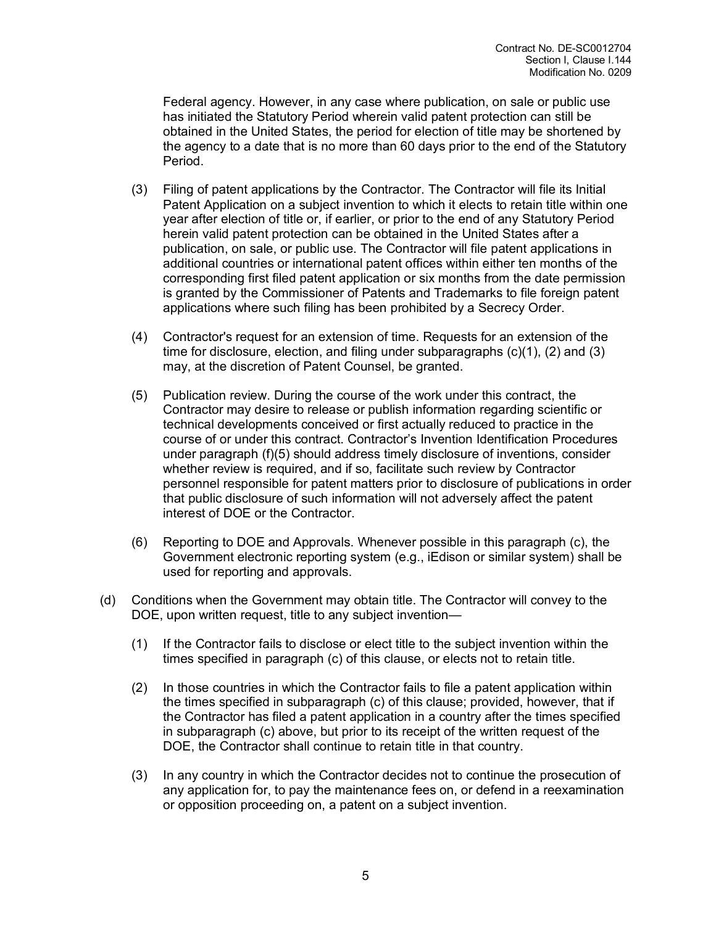Federal agency. However, in any case where publication, on sale or public use has initiated the Statutory Period wherein valid patent protection can still be obtained in the United States, the period for election of title may be shortened by the agency to a date that is no more than 60 days prior to the end of the Statutory Period.

- (3) Filing of patent applications by the Contractor. The Contractor will file its Initial Patent Application on a subject invention to which it elects to retain title within one year after election of title or, if earlier, or prior to the end of any Statutory Period herein valid patent protection can be obtained in the United States after a publication, on sale, or public use. The Contractor will file patent applications in additional countries or international patent offices within either ten months of the corresponding first filed patent application or six months from the date permission is granted by the Commissioner of Patents and Trademarks to file foreign patent applications where such filing has been prohibited by a Secrecy Order.
- (4) Contractor's request for an extension of time. Requests for an extension of the time for disclosure, election, and filing under subparagraphs (c)(1), (2) and (3) may, at the discretion of Patent Counsel, be granted.
- (5) Publication review. During the course of the work under this contract, the Contractor may desire to release or publish information regarding scientific or technical developments conceived or first actually reduced to practice in the course of or under this contract. Contractor's Invention Identification Procedures under paragraph (f)(5) should address timely disclosure of inventions, consider whether review is required, and if so, facilitate such review by Contractor personnel responsible for patent matters prior to disclosure of publications in order that public disclosure of such information will not adversely affect the patent interest of DOE or the Contractor.
- (6) Reporting to DOE and Approvals. Whenever possible in this paragraph (c), the Government electronic reporting system (e.g., iEdison or similar system) shall be used for reporting and approvals.
- (d) Conditions when the Government may obtain title. The Contractor will convey to the DOE, upon written request, title to any subject invention—
	- (1) If the Contractor fails to disclose or elect title to the subject invention within the times specified in paragraph (c) of this clause, or elects not to retain title.
	- (2) In those countries in which the Contractor fails to file a patent application within the times specified in subparagraph (c) of this clause; provided, however, that if the Contractor has filed a patent application in a country after the times specified in subparagraph (c) above, but prior to its receipt of the written request of the DOE, the Contractor shall continue to retain title in that country.
	- (3) In any country in which the Contractor decides not to continue the prosecution of any application for, to pay the maintenance fees on, or defend in a reexamination or opposition proceeding on, a patent on a subject invention.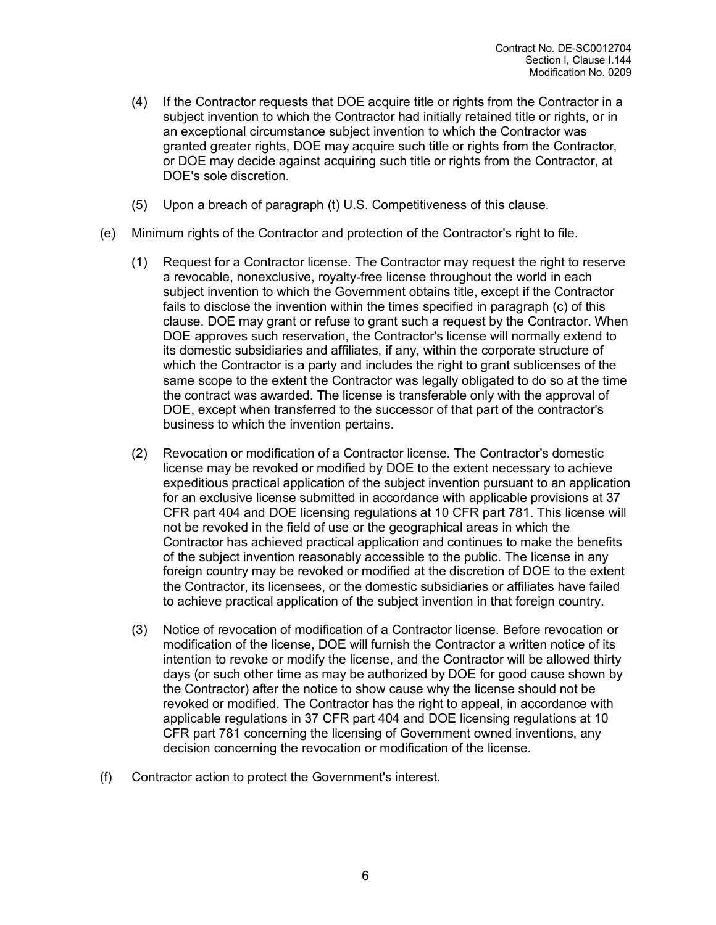- (4) If the Contractor requests that DOE acquire title or rights from the Contractor in a subject invention to which the Contractor had initially retained title or rights, or in an exceptional circumstance subject invention to which the Contractor was granted greater rights, DOE may acquire such title or rights from the Contractor, or DOE may decide against acquiring such title or rights from the Contractor, at DOE's sole discretion.
- (5) Upon a breach of paragraph (t) U.S. Competitiveness of this clause.
- (e) Minimum rights of the Contractor and protection of the Contractor's right to file.
	- (1) Request for a Contractor license. The Contractor may request the right to reserve a revocable, nonexclusive, royalty-free license throughout the world in each subject invention to which the Government obtains title, except if the Contractor fails to disclose the invention within the times specified in paragraph (c) of this clause. DOE may grant or refuse to grant such a request by the Contractor. When DOE approves such reservation, the Contractor's license will normally extend to its domestic subsidiaries and affiliates, if any, within the corporate structure of which the Contractor is a party and includes the right to grant sublicenses of the same scope to the extent the Contractor was legally obligated to do so at the time the contract was awarded. The license is transferable only with the approval of DOE, except when transferred to the successor of that part of the contractor's business to which the invention pertains.
	- (2) Revocation or modification of a Contractor license. The Contractor's domestic license may be revoked or modified by DOE to the extent necessary to achieve expeditious practical application of the subject invention pursuant to an application for an exclusive license submitted in accordance with applicable provisions at 37 CFR part 404 and DOE licensing regulations at 10 CFR part 781. This license will not be revoked in the field of use or the geographical areas in which the Contractor has achieved practical application and continues to make the benefits of the subject invention reasonably accessible to the public. The license in any foreign country may be revoked or modified at the discretion of DOE to the extent the Contractor, its licensees, or the domestic subsidiaries or affiliates have failed to achieve practical application of the subject invention in that foreign country.
	- (3) Notice of revocation of modification of a Contractor license. Before revocation or modification of the license, DOE will furnish the Contractor a written notice of its intention to revoke or modify the license, and the Contractor will be allowed thirty days (or such other time as may be authorized by DOE for good cause shown by the Contractor) after the notice to show cause why the license should not be revoked or modified. The Contractor has the right to appeal, in accordance with applicable regulations in 37 CFR part 404 and DOE licensing regulations at 10 CFR part 781 concerning the licensing of Government owned inventions, any decision concerning the revocation or modification of the license.
- (f) Contractor action to protect the Government's interest.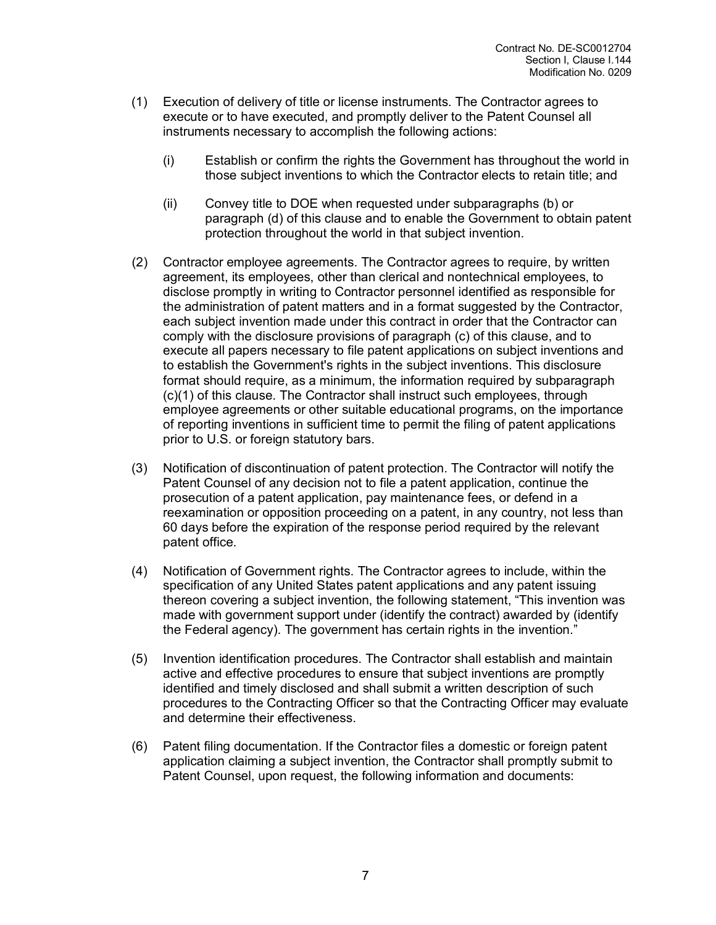- (1) Execution of delivery of title or license instruments. The Contractor agrees to execute or to have executed, and promptly deliver to the Patent Counsel all instruments necessary to accomplish the following actions:
	- (i) Establish or confirm the rights the Government has throughout the world in those subject inventions to which the Contractor elects to retain title; and
	- (ii) Convey title to DOE when requested under subparagraphs (b) or paragraph (d) of this clause and to enable the Government to obtain patent protection throughout the world in that subject invention.
- (2) Contractor employee agreements. The Contractor agrees to require, by written agreement, its employees, other than clerical and nontechnical employees, to disclose promptly in writing to Contractor personnel identified as responsible for the administration of patent matters and in a format suggested by the Contractor, each subject invention made under this contract in order that the Contractor can comply with the disclosure provisions of paragraph (c) of this clause, and to execute all papers necessary to file patent applications on subject inventions and to establish the Government's rights in the subject inventions. This disclosure format should require, as a minimum, the information required by subparagraph (c)(1) of this clause. The Contractor shall instruct such employees, through employee agreements or other suitable educational programs, on the importance of reporting inventions in sufficient time to permit the filing of patent applications prior to U.S. or foreign statutory bars.
- (3) Notification of discontinuation of patent protection. The Contractor will notify the Patent Counsel of any decision not to file a patent application, continue the prosecution of a patent application, pay maintenance fees, or defend in a reexamination or opposition proceeding on a patent, in any country, not less than 60 days before the expiration of the response period required by the relevant patent office.
- (4) Notification of Government rights. The Contractor agrees to include, within the specification of any United States patent applications and any patent issuing thereon covering a subject invention, the following statement, "This invention was made with government support under (identify the contract) awarded by (identify the Federal agency). The government has certain rights in the invention."
- (5) Invention identification procedures. The Contractor shall establish and maintain active and effective procedures to ensure that subject inventions are promptly identified and timely disclosed and shall submit a written description of such procedures to the Contracting Officer so that the Contracting Officer may evaluate and determine their effectiveness.
- (6) Patent filing documentation. If the Contractor files a domestic or foreign patent application claiming a subject invention, the Contractor shall promptly submit to Patent Counsel, upon request, the following information and documents: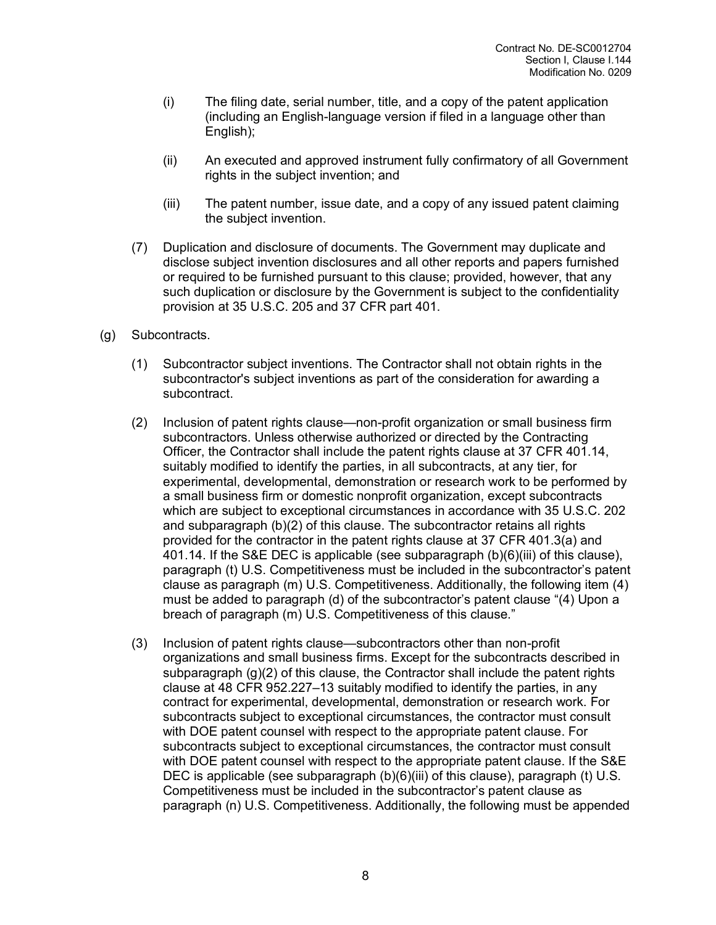- (i) The filing date, serial number, title, and a copy of the patent application (including an English-language version if filed in a language other than English);
- (ii) An executed and approved instrument fully confirmatory of all Government rights in the subject invention; and
- (iii) The patent number, issue date, and a copy of any issued patent claiming the subject invention.
- (7) Duplication and disclosure of documents. The Government may duplicate and disclose subject invention disclosures and all other reports and papers furnished or required to be furnished pursuant to this clause; provided, however, that any such duplication or disclosure by the Government is subject to the confidentiality provision at 35 U.S.C. 205 and 37 CFR part 401.
- (g) Subcontracts.
	- (1) Subcontractor subject inventions. The Contractor shall not obtain rights in the subcontractor's subject inventions as part of the consideration for awarding a subcontract.
	- (2) Inclusion of patent rights clause—non-profit organization or small business firm subcontractors. Unless otherwise authorized or directed by the Contracting Officer, the Contractor shall include the patent rights clause at 37 CFR 401.14, suitably modified to identify the parties, in all subcontracts, at any tier, for experimental, developmental, demonstration or research work to be performed by a small business firm or domestic nonprofit organization, except subcontracts which are subject to exceptional circumstances in accordance with 35 U.S.C. 202 and subparagraph (b)(2) of this clause. The subcontractor retains all rights provided for the contractor in the patent rights clause at 37 CFR 401.3(a) and 401.14. If the S&E DEC is applicable (see subparagraph (b)(6)(iii) of this clause), paragraph (t) U.S. Competitiveness must be included in the subcontractor's patent clause as paragraph (m) U.S. Competitiveness. Additionally, the following item (4) must be added to paragraph (d) of the subcontractor's patent clause "(4) Upon a breach of paragraph (m) U.S. Competitiveness of this clause."
	- (3) Inclusion of patent rights clause—subcontractors other than non-profit organizations and small business firms. Except for the subcontracts described in subparagraph (g)(2) of this clause, the Contractor shall include the patent rights clause at 48 CFR 952.227–13 suitably modified to identify the parties, in any contract for experimental, developmental, demonstration or research work. For subcontracts subject to exceptional circumstances, the contractor must consult with DOE patent counsel with respect to the appropriate patent clause. For subcontracts subject to exceptional circumstances, the contractor must consult with DOE patent counsel with respect to the appropriate patent clause. If the S&E DEC is applicable (see subparagraph  $(b)(6)(iii)$  of this clause), paragraph (t) U.S. Competitiveness must be included in the subcontractor's patent clause as paragraph (n) U.S. Competitiveness. Additionally, the following must be appended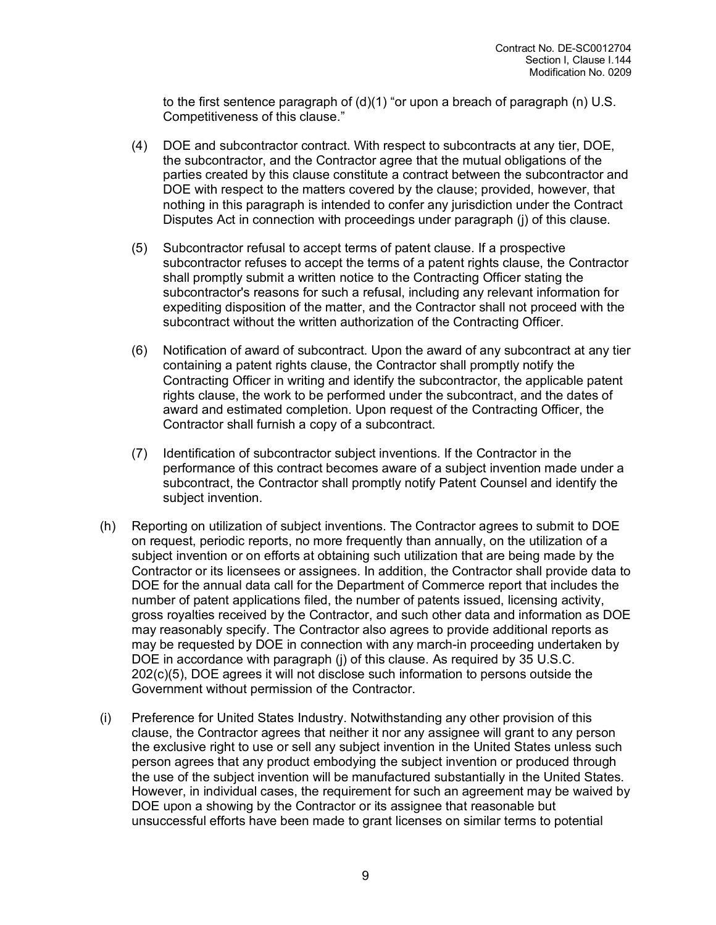to the first sentence paragraph of (d)(1) "or upon a breach of paragraph (n) U.S. Competitiveness of this clause."

- (4) DOE and subcontractor contract. With respect to subcontracts at any tier, DOE, the subcontractor, and the Contractor agree that the mutual obligations of the parties created by this clause constitute a contract between the subcontractor and DOE with respect to the matters covered by the clause; provided, however, that nothing in this paragraph is intended to confer any jurisdiction under the Contract Disputes Act in connection with proceedings under paragraph (j) of this clause.
- (5) Subcontractor refusal to accept terms of patent clause. If a prospective subcontractor refuses to accept the terms of a patent rights clause, the Contractor shall promptly submit a written notice to the Contracting Officer stating the subcontractor's reasons for such a refusal, including any relevant information for expediting disposition of the matter, and the Contractor shall not proceed with the subcontract without the written authorization of the Contracting Officer.
- (6) Notification of award of subcontract. Upon the award of any subcontract at any tier containing a patent rights clause, the Contractor shall promptly notify the Contracting Officer in writing and identify the subcontractor, the applicable patent rights clause, the work to be performed under the subcontract, and the dates of award and estimated completion. Upon request of the Contracting Officer, the Contractor shall furnish a copy of a subcontract.
- (7) Identification of subcontractor subject inventions. If the Contractor in the performance of this contract becomes aware of a subject invention made under a subcontract, the Contractor shall promptly notify Patent Counsel and identify the subject invention.
- (h) Reporting on utilization of subject inventions. The Contractor agrees to submit to DOE on request, periodic reports, no more frequently than annually, on the utilization of a subject invention or on efforts at obtaining such utilization that are being made by the Contractor or its licensees or assignees. In addition, the Contractor shall provide data to DOE for the annual data call for the Department of Commerce report that includes the number of patent applications filed, the number of patents issued, licensing activity, gross royalties received by the Contractor, and such other data and information as DOE may reasonably specify. The Contractor also agrees to provide additional reports as may be requested by DOE in connection with any march-in proceeding undertaken by DOE in accordance with paragraph (j) of this clause. As required by 35 U.S.C. 202(c)(5), DOE agrees it will not disclose such information to persons outside the Government without permission of the Contractor.
- (i) Preference for United States Industry. Notwithstanding any other provision of this clause, the Contractor agrees that neither it nor any assignee will grant to any person the exclusive right to use or sell any subject invention in the United States unless such person agrees that any product embodying the subject invention or produced through the use of the subject invention will be manufactured substantially in the United States. However, in individual cases, the requirement for such an agreement may be waived by DOE upon a showing by the Contractor or its assignee that reasonable but unsuccessful efforts have been made to grant licenses on similar terms to potential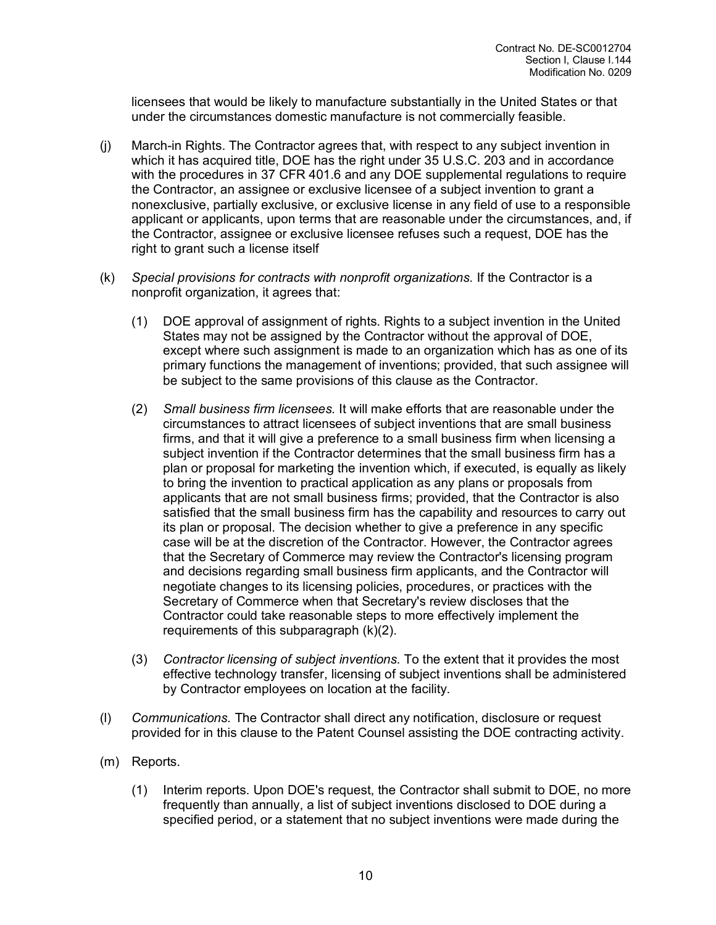licensees that would be likely to manufacture substantially in the United States or that under the circumstances domestic manufacture is not commercially feasible.

- (j) March-in Rights. The Contractor agrees that, with respect to any subject invention in which it has acquired title, DOE has the right under 35 U.S.C. 203 and in accordance with the procedures in 37 CFR 401.6 and any DOE supplemental regulations to require the Contractor, an assignee or exclusive licensee of a subject invention to grant a nonexclusive, partially exclusive, or exclusive license in any field of use to a responsible applicant or applicants, upon terms that are reasonable under the circumstances, and, if the Contractor, assignee or exclusive licensee refuses such a request, DOE has the right to grant such a license itself
- (k) *Special provisions for contracts with nonprofit organizations.* If the Contractor is a nonprofit organization, it agrees that:
	- (1) DOE approval of assignment of rights. Rights to a subject invention in the United States may not be assigned by the Contractor without the approval of DOE, except where such assignment is made to an organization which has as one of its primary functions the management of inventions; provided, that such assignee will be subject to the same provisions of this clause as the Contractor.
	- (2) *Small business firm licensees.* It will make efforts that are reasonable under the circumstances to attract licensees of subject inventions that are small business firms, and that it will give a preference to a small business firm when licensing a subject invention if the Contractor determines that the small business firm has a plan or proposal for marketing the invention which, if executed, is equally as likely to bring the invention to practical application as any plans or proposals from applicants that are not small business firms; provided, that the Contractor is also satisfied that the small business firm has the capability and resources to carry out its plan or proposal. The decision whether to give a preference in any specific case will be at the discretion of the Contractor. However, the Contractor agrees that the Secretary of Commerce may review the Contractor's licensing program and decisions regarding small business firm applicants, and the Contractor will negotiate changes to its licensing policies, procedures, or practices with the Secretary of Commerce when that Secretary's review discloses that the Contractor could take reasonable steps to more effectively implement the requirements of this subparagraph (k)(2).
	- (3) *Contractor licensing of subject inventions.* To the extent that it provides the most effective technology transfer, licensing of subject inventions shall be administered by Contractor employees on location at the facility.
- (l) *Communications.* The Contractor shall direct any notification, disclosure or request provided for in this clause to the Patent Counsel assisting the DOE contracting activity.
- (m) Reports.
	- (1) Interim reports. Upon DOE's request, the Contractor shall submit to DOE, no more frequently than annually, a list of subject inventions disclosed to DOE during a specified period, or a statement that no subject inventions were made during the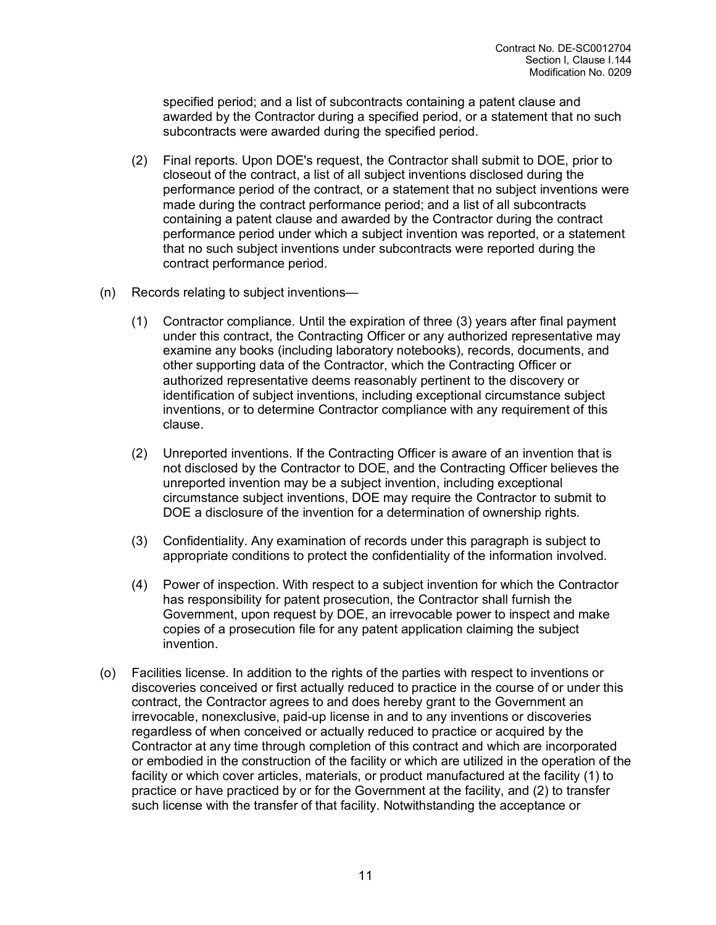specified period; and a list of subcontracts containing a patent clause and awarded by the Contractor during a specified period, or a statement that no such subcontracts were awarded during the specified period.

- (2) Final reports. Upon DOE's request, the Contractor shall submit to DOE, prior to closeout of the contract, a list of all subject inventions disclosed during the performance period of the contract, or a statement that no subject inventions were made during the contract performance period; and a list of all subcontracts containing a patent clause and awarded by the Contractor during the contract performance period under which a subject invention was reported, or a statement that no such subject inventions under subcontracts were reported during the contract performance period.
- (n) Records relating to subject inventions—
	- (1) Contractor compliance. Until the expiration of three (3) years after final payment under this contract, the Contracting Officer or any authorized representative may examine any books (including laboratory notebooks), records, documents, and other supporting data of the Contractor, which the Contracting Officer or authorized representative deems reasonably pertinent to the discovery or identification of subject inventions, including exceptional circumstance subject inventions, or to determine Contractor compliance with any requirement of this clause.
	- (2) Unreported inventions. If the Contracting Officer is aware of an invention that is not disclosed by the Contractor to DOE, and the Contracting Officer believes the unreported invention may be a subject invention, including exceptional circumstance subject inventions, DOE may require the Contractor to submit to DOE a disclosure of the invention for a determination of ownership rights.
	- (3) Confidentiality. Any examination of records under this paragraph is subject to appropriate conditions to protect the confidentiality of the information involved.
	- (4) Power of inspection. With respect to a subject invention for which the Contractor has responsibility for patent prosecution, the Contractor shall furnish the Government, upon request by DOE, an irrevocable power to inspect and make copies of a prosecution file for any patent application claiming the subject invention.
- (o) Facilities license. In addition to the rights of the parties with respect to inventions or discoveries conceived or first actually reduced to practice in the course of or under this contract, the Contractor agrees to and does hereby grant to the Government an irrevocable, nonexclusive, paid-up license in and to any inventions or discoveries regardless of when conceived or actually reduced to practice or acquired by the Contractor at any time through completion of this contract and which are incorporated or embodied in the construction of the facility or which are utilized in the operation of the facility or which cover articles, materials, or product manufactured at the facility (1) to practice or have practiced by or for the Government at the facility, and (2) to transfer such license with the transfer of that facility. Notwithstanding the acceptance or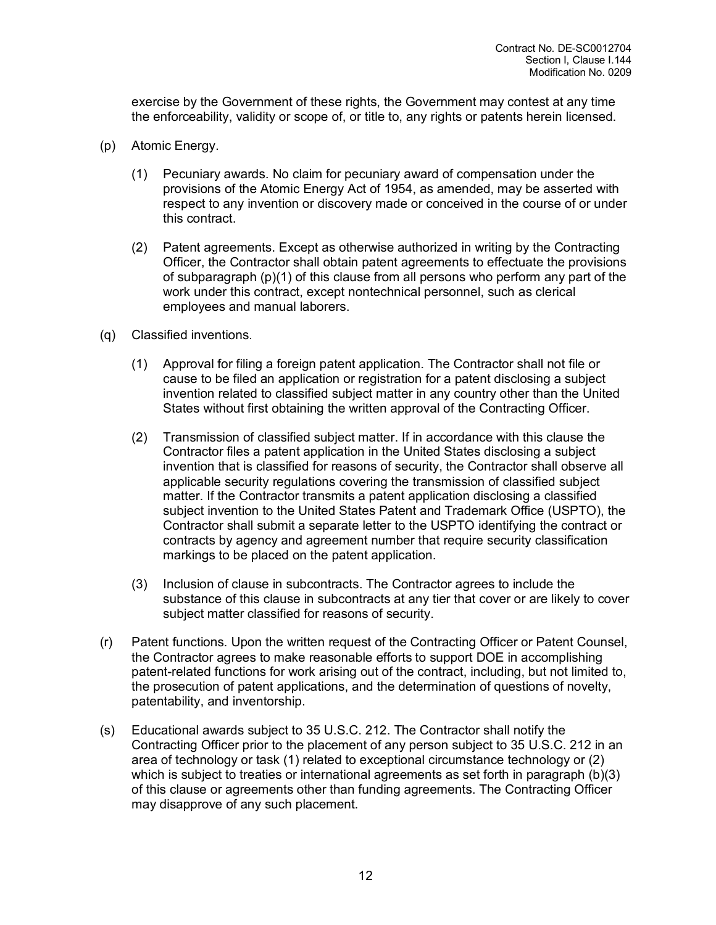exercise by the Government of these rights, the Government may contest at any time the enforceability, validity or scope of, or title to, any rights or patents herein licensed.

- (p) Atomic Energy.
	- (1) Pecuniary awards. No claim for pecuniary award of compensation under the provisions of the Atomic Energy Act of 1954, as amended, may be asserted with respect to any invention or discovery made or conceived in the course of or under this contract.
	- (2) Patent agreements. Except as otherwise authorized in writing by the Contracting Officer, the Contractor shall obtain patent agreements to effectuate the provisions of subparagraph (p)(1) of this clause from all persons who perform any part of the work under this contract, except nontechnical personnel, such as clerical employees and manual laborers.
- (q) Classified inventions.
	- (1) Approval for filing a foreign patent application. The Contractor shall not file or cause to be filed an application or registration for a patent disclosing a subject invention related to classified subject matter in any country other than the United States without first obtaining the written approval of the Contracting Officer.
	- (2) Transmission of classified subject matter. If in accordance with this clause the Contractor files a patent application in the United States disclosing a subject invention that is classified for reasons of security, the Contractor shall observe all applicable security regulations covering the transmission of classified subject matter. If the Contractor transmits a patent application disclosing a classified subject invention to the United States Patent and Trademark Office (USPTO), the Contractor shall submit a separate letter to the USPTO identifying the contract or contracts by agency and agreement number that require security classification markings to be placed on the patent application.
	- (3) Inclusion of clause in subcontracts. The Contractor agrees to include the substance of this clause in subcontracts at any tier that cover or are likely to cover subject matter classified for reasons of security.
- (r) Patent functions. Upon the written request of the Contracting Officer or Patent Counsel, the Contractor agrees to make reasonable efforts to support DOE in accomplishing patent-related functions for work arising out of the contract, including, but not limited to, the prosecution of patent applications, and the determination of questions of novelty, patentability, and inventorship.
- (s) Educational awards subject to 35 U.S.C. 212. The Contractor shall notify the Contracting Officer prior to the placement of any person subject to 35 U.S.C. 212 in an area of technology or task (1) related to exceptional circumstance technology or (2) which is subject to treaties or international agreements as set forth in paragraph (b)(3) of this clause or agreements other than funding agreements. The Contracting Officer may disapprove of any such placement.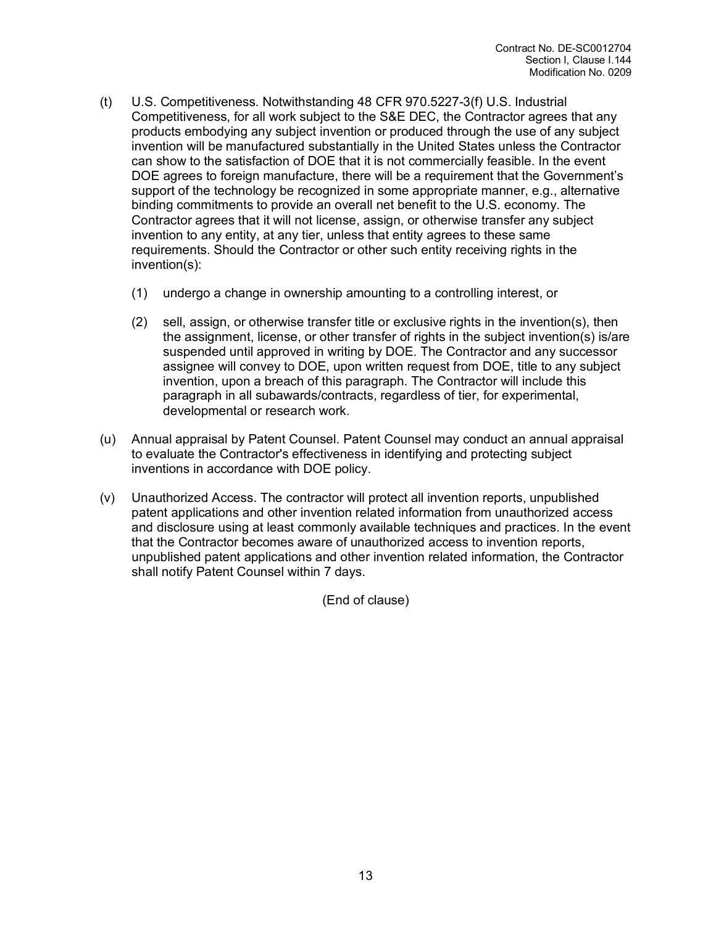- (t) U.S. Competitiveness. Notwithstanding 48 CFR 970.5227-3(f) U.S. Industrial Competitiveness, for all work subject to the S&E DEC, the Contractor agrees that any products embodying any subject invention or produced through the use of any subject invention will be manufactured substantially in the United States unless the Contractor can show to the satisfaction of DOE that it is not commercially feasible. In the event DOE agrees to foreign manufacture, there will be a requirement that the Government's support of the technology be recognized in some appropriate manner, e.g., alternative binding commitments to provide an overall net benefit to the U.S. economy. The Contractor agrees that it will not license, assign, or otherwise transfer any subject invention to any entity, at any tier, unless that entity agrees to these same requirements. Should the Contractor or other such entity receiving rights in the invention(s):
	- (1) undergo a change in ownership amounting to a controlling interest, or
	- (2) sell, assign, or otherwise transfer title or exclusive rights in the invention(s), then the assignment, license, or other transfer of rights in the subject invention(s) is/are suspended until approved in writing by DOE. The Contractor and any successor assignee will convey to DOE, upon written request from DOE, title to any subject invention, upon a breach of this paragraph. The Contractor will include this paragraph in all subawards/contracts, regardless of tier, for experimental, developmental or research work.
- (u) Annual appraisal by Patent Counsel. Patent Counsel may conduct an annual appraisal to evaluate the Contractor's effectiveness in identifying and protecting subject inventions in accordance with DOE policy.
- (v) Unauthorized Access. The contractor will protect all invention reports, unpublished patent applications and other invention related information from unauthorized access and disclosure using at least commonly available techniques and practices. In the event that the Contractor becomes aware of unauthorized access to invention reports, unpublished patent applications and other invention related information, the Contractor shall notify Patent Counsel within 7 days.

(End of clause)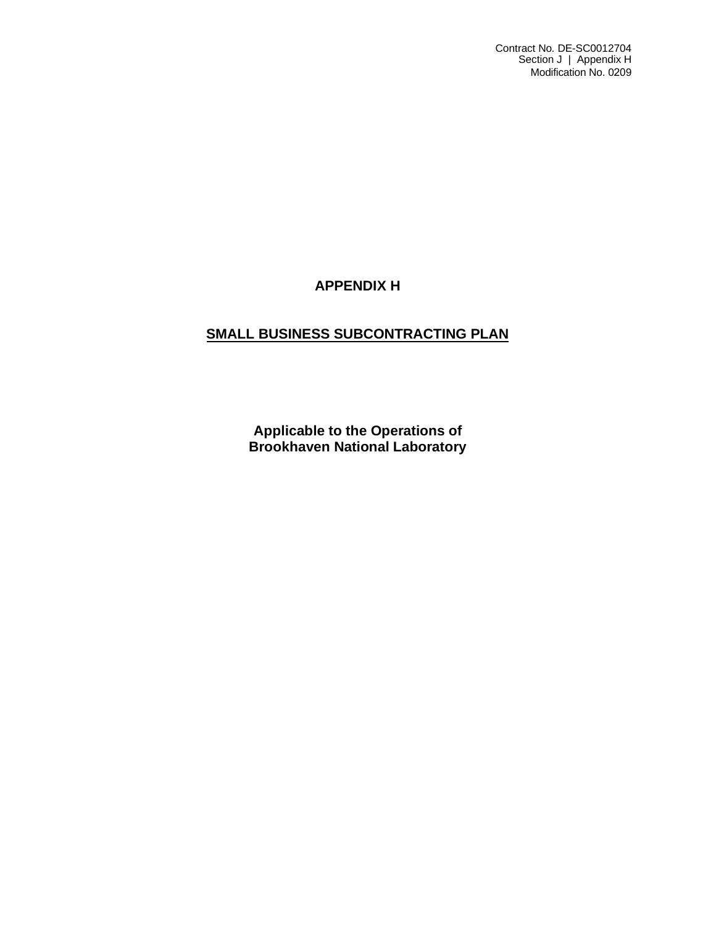Contract No. DE-SC0012704 Section J | Appendix H Modification No. 0209

## **APPENDIX H**

## **SMALL BUSINESS SUBCONTRACTING PLAN**

**Applicable to the Operations of Brookhaven National Laboratory**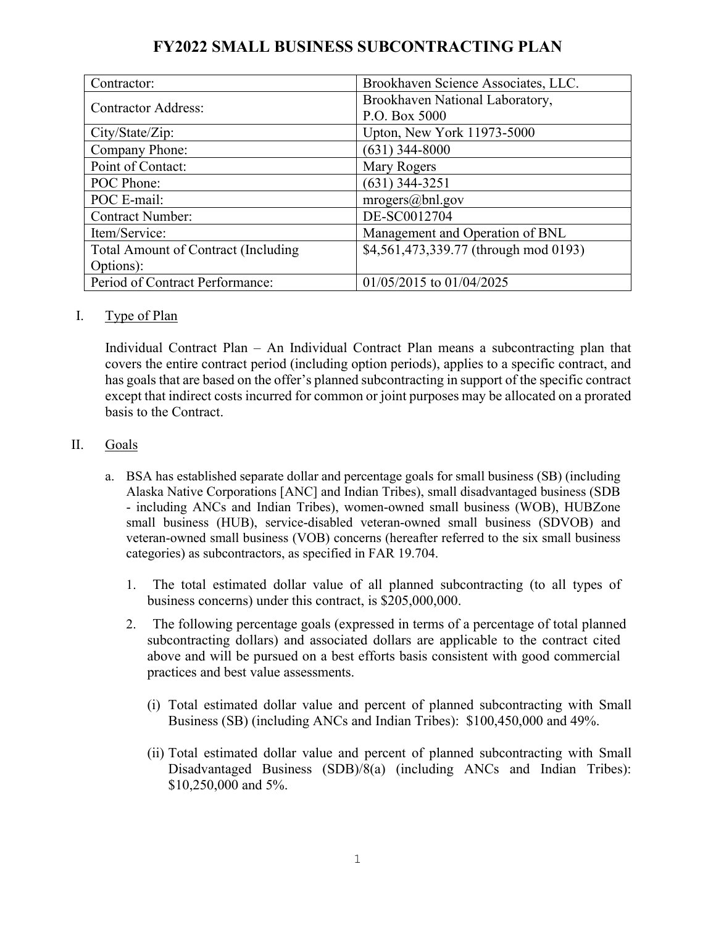| Contractor:                                | Brookhaven Science Associates, LLC.   |
|--------------------------------------------|---------------------------------------|
| <b>Contractor Address:</b>                 | Brookhaven National Laboratory,       |
|                                            | P.O. Box 5000                         |
| City/State/Zip:                            | Upton, New York 11973-5000            |
| Company Phone:                             | $(631)$ 344-8000                      |
| Point of Contact:                          | Mary Rogers                           |
| POC Phone:                                 | $(631)$ 344-3251                      |
| POC E-mail:                                | mrogers@bnl.gov                       |
| <b>Contract Number:</b>                    | DE-SC0012704                          |
| Item/Service:                              | Management and Operation of BNL       |
| <b>Total Amount of Contract (Including</b> | \$4,561,473,339.77 (through mod 0193) |
| Options):                                  |                                       |
| Period of Contract Performance:            | 01/05/2015 to 01/04/2025              |

# **FY2022 SMALL BUSINESS SUBCONTRACTING PLAN**

I. Type of Plan

Individual Contract Plan – An Individual Contract Plan means a subcontracting plan that covers the entire contract period (including option periods), applies to a specific contract, and has goals that are based on the offer's planned subcontracting in support of the specific contract except that indirect costs incurred for common or joint purposes may be allocated on a prorated basis to the Contract.

## II. Goals

- a. BSA has established separate dollar and percentage goals for small business (SB) (including Alaska Native Corporations [ANC] and Indian Tribes), small disadvantaged business (SDB - including ANCs and Indian Tribes), women-owned small business (WOB), HUBZone small business (HUB), service-disabled veteran-owned small business (SDVOB) and veteran-owned small business (VOB) concerns (hereafter referred to the six small business categories) as subcontractors, as specified in FAR 19.704.
	- The total estimated dollar value of all planned subcontracting (to all types of business concerns) under this contract, is \$205,000,000.
	- The following percentage goals (expressed in terms of a percentage of total planned subcontracting dollars) and associated dollars are applicable to the contract cited above and will be pursued on a best efforts basis consistent with good commercial practices and best value assessments.
		- L Total estimated dollar value and percent of planned subcontracting with Small Business (SB) (including ANCs and Indian Tribes):  $$100,450,000$  and  $49\%$ .
		- LL Total estimated dollar value and percent of planned subcontracting with Small Disadvantaged Business (SDB)/8(a) (including ANCs and Indian Tribes): \$10,250,000 and 5%.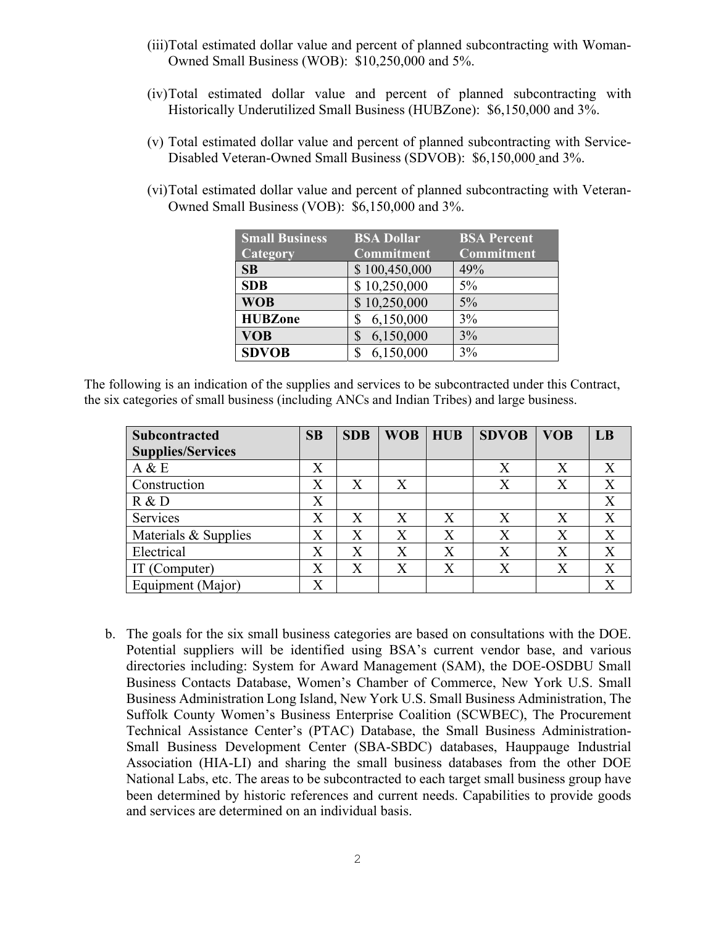- (iii)Total estimated dollar value and percent of planned subcontracting with Woman-Owned Small Business (WOB): \$10,250,000 and 5%.
- (iv)Total estimated dollar value and percent of planned subcontracting with Historically Underutilized Small Business (HUBZone): \$6,150,000 and 3%.
- (v) Total estimated dollar value and percent of planned subcontracting with Service-Disabled Veteran-Owned Small Business (SDVOB): \$6,150,000 and 3%.
- (vi)Total estimated dollar value and percent of planned subcontracting with Veteran-Owned Small Business (VOB): \$6,150,000 and 3%.

| <b>Small Business</b> | <b>BSA Dollar</b> | <b>BSA Percent</b> |
|-----------------------|-------------------|--------------------|
| Category              | Commitment        | Commitment         |
| SB                    | \$100,450,000     | 49%                |
| <b>SDB</b>            | \$10,250,000      | $5\%$              |
| <b>WOB</b>            | \$10,250,000      | $5\%$              |
| <b>HUBZone</b>        | 6,150,000         | 3%                 |
| <b>VOB</b>            | 6,150,000<br>\$   | 3%                 |
| <b>SDVOB</b>          | 6,150,000         | 3%                 |

The following is an indication of the supplies and services to be subcontracted under this Contract, the six categories of small business (including ANCs and Indian Tribes) and large business.

| <b>Subcontracted</b>     | SB                | <b>SDB</b> | <b>WOB</b> | <b>HUB</b> | <b>SDVOB</b> | <b>VOB</b> | LB                        |
|--------------------------|-------------------|------------|------------|------------|--------------|------------|---------------------------|
| <b>Supplies/Services</b> |                   |            |            |            |              |            |                           |
| A & E                    | X                 |            |            |            | X            | X          | X                         |
| Construction             | X                 | X          | X          |            | X            | X          | $\boldsymbol{\mathrm{X}}$ |
| R & D                    | X                 |            |            |            |              |            | X                         |
| Services                 | X                 | X          | X          | X          | X            | X          | X                         |
| Materials & Supplies     | X                 | X          | X          | X          | X            | X          | X                         |
| Electrical               | X                 | X          | X          | X          | Χ            | X          | X                         |
| IT (Computer)            | $\rm\overline{X}$ | X          | X          | X          | X            | X          | X                         |
| Equipment (Major)        | $\rm\overline{X}$ |            |            |            |              |            | X                         |

b. The goals for the six small business categories are based on consultations with the DOE. Potential suppliers will be identified using BSA's current vendor base, and various directories including: System for Award Management (SAM), the DOE-OSDBU Small Business Contacts Database, Women's Chamber of Commerce, New York U.S. Small Business Administration Long Island, New York U.S. Small Business Administration, The Suffolk County Women's Business Enterprise Coalition (SCWBEC), The Procurement Technical Assistance Center's (PTAC) Database, the Small Business Administration-Small Business Development Center (SBA-SBDC) databases, Hauppauge Industrial Association (HIA-LI) and sharing the small business databases from the other DOE National Labs, etc. The areas to be subcontracted to each target small business group have been determined by historic references and current needs. Capabilities to provide goods and services are determined on an individual basis.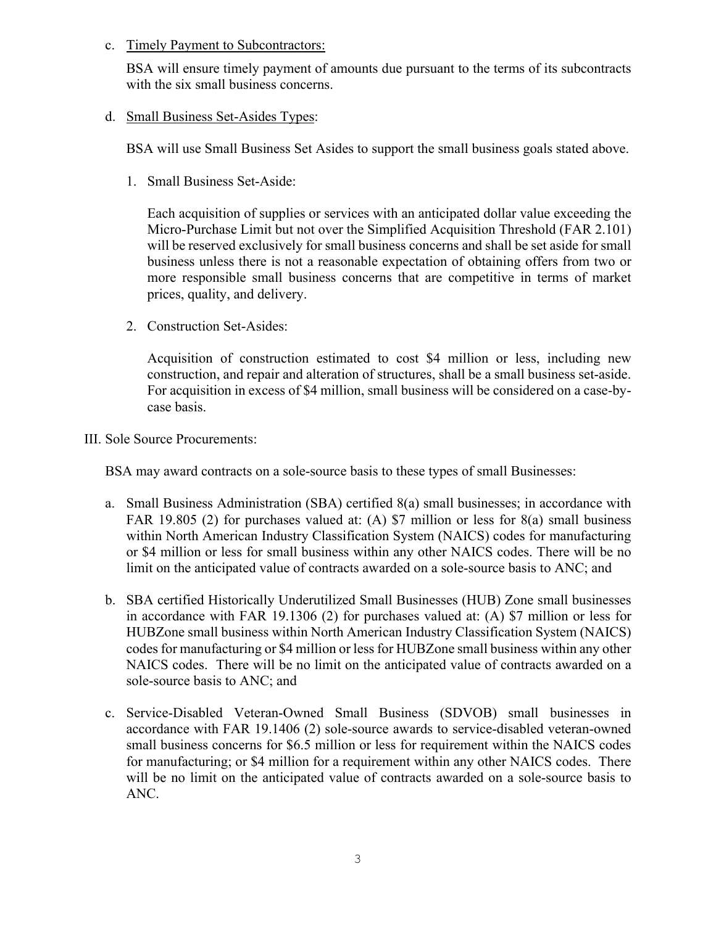## c. Timely Payment to Subcontractors:

BSA will ensure timely payment of amounts due pursuant to the terms of its subcontracts with the six small business concerns.

### d. Small Business Set-Asides Types:

BSA will use Small Business Set Asides to support the small business goals stated above.

1. Small Business Set-Aside:

Each acquisition of supplies or services with an anticipated dollar value exceeding the Micro-Purchase Limit but not over the Simplified Acquisition Threshold (FAR 2.101) will be reserved exclusively for small business concerns and shall be set aside for small business unless there is not a reasonable expectation of obtaining offers from two or more responsible small business concerns that are competitive in terms of market prices, quality, and delivery.

2. Construction Set-Asides:

Acquisition of construction estimated to cost \$4 million or less, including new construction, and repair and alteration of structures, shall be a small business set-aside. For acquisition in excess of \$4 million, small business will be considered on a case-bycase basis.

III. Sole Source Procurements:

BSA may award contracts on a sole-source basis to these types of small Businesses:

- a. Small Business Administration (SBA) certified 8(a) small businesses; in accordance with FAR 19.805 (2) for purchases valued at: (A) \$7 million or less for 8(a) small business within North American Industry Classification System (NAICS) codes for manufacturing or \$4 million or less for small business within any other NAICS codes. There will be no limit on the anticipated value of contracts awarded on a sole-source basis to ANC; and
- b. SBA certified Historically Underutilized Small Businesses (HUB) Zone small businesses in accordance with FAR 19.1306 (2) for purchases valued at: (A) \$7 million or less for HUBZone small business within North American Industry Classification System (NAICS) codes for manufacturing or \$4 million or less for HUBZone small business within any other NAICS codes. There will be no limit on the anticipated value of contracts awarded on a sole-source basis to ANC; and
- c. Service-Disabled Veteran-Owned Small Business (SDVOB) small businesses in accordance with FAR 19.1406 (2) sole-source awards to service-disabled veteran-owned small business concerns for \$6.5 million or less for requirement within the NAICS codes for manufacturing; or \$4 million for a requirement within any other NAICS codes. There will be no limit on the anticipated value of contracts awarded on a sole-source basis to ANC.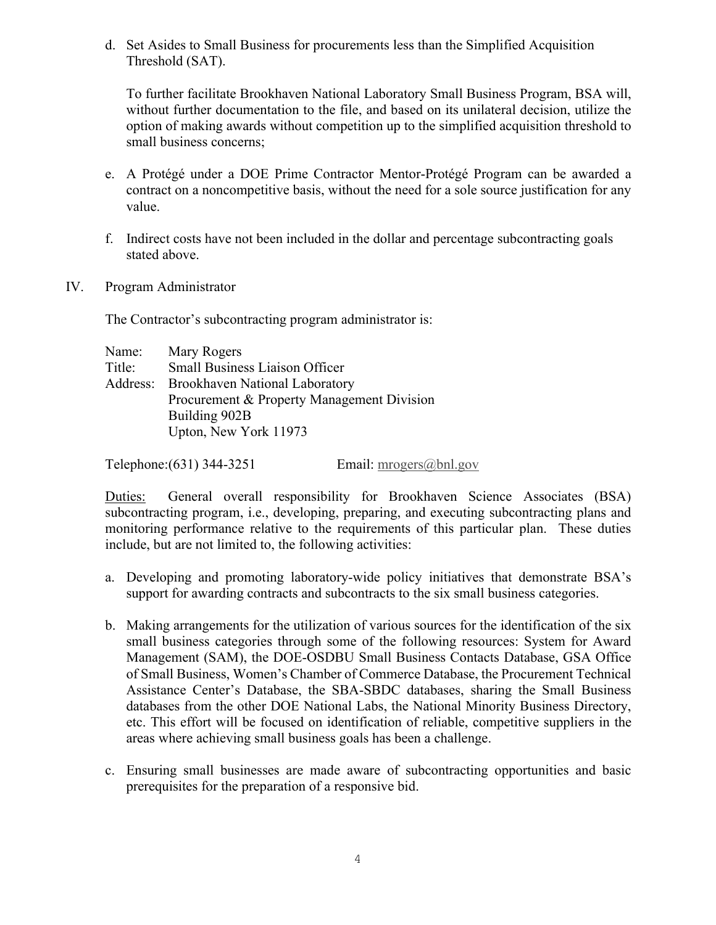d. Set Asides to Small Business for procurements less than the Simplified Acquisition Threshold (SAT).

To further facilitate Brookhaven National Laboratory Small Business Program, BSA will, without further documentation to the file, and based on its unilateral decision, utilize the option of making awards without competition up to the simplified acquisition threshold to small business concerns;

- e. A Protégé under a DOE Prime Contractor Mentor-Protégé Program can be awarded a contract on a noncompetitive basis, without the need for a sole source justification for any value.
- f. Indirect costs have not been included in the dollar and percentage subcontracting goals stated above.
- IV. Program Administrator

The Contractor's subcontracting program administrator is:

| Name:  | Mary Rogers                                |
|--------|--------------------------------------------|
| Title: | <b>Small Business Liaison Officer</b>      |
|        | Address: Brookhaven National Laboratory    |
|        | Procurement & Property Management Division |
|        | Building 902B                              |
|        | Upton, New York 11973                      |

Telephone: $(631)$  344-3251 Email: [mrogers@bnl.gov](mailto:mrogers@bnl.gov)

Duties: General overall responsibility for Brookhaven Science Associates (BSA) subcontracting program, i.e., developing, preparing, and executing subcontracting plans and monitoring performance relative to the requirements of this particular plan. These duties include, but are not limited to, the following activities:

- a. Developing and promoting laboratory-wide policy initiatives that demonstrate BSA's support for awarding contracts and subcontracts to the six small business categories.
- b. Making arrangements for the utilization of various sources for the identification of the six small business categories through some of the following resources: System for Award Management (SAM), the DOE-OSDBU Small Business Contacts Database, GSA Office of Small Business, Women's Chamber of Commerce Database, the Procurement Technical Assistance Center's Database, the SBA-SBDC databases, sharing the Small Business databases from the other DOE National Labs, the National Minority Business Directory, etc. This effort will be focused on identification of reliable, competitive suppliers in the areas where achieving small business goals has been a challenge.
- c. Ensuring small businesses are made aware of subcontracting opportunities and basic prerequisites for the preparation of a responsive bid.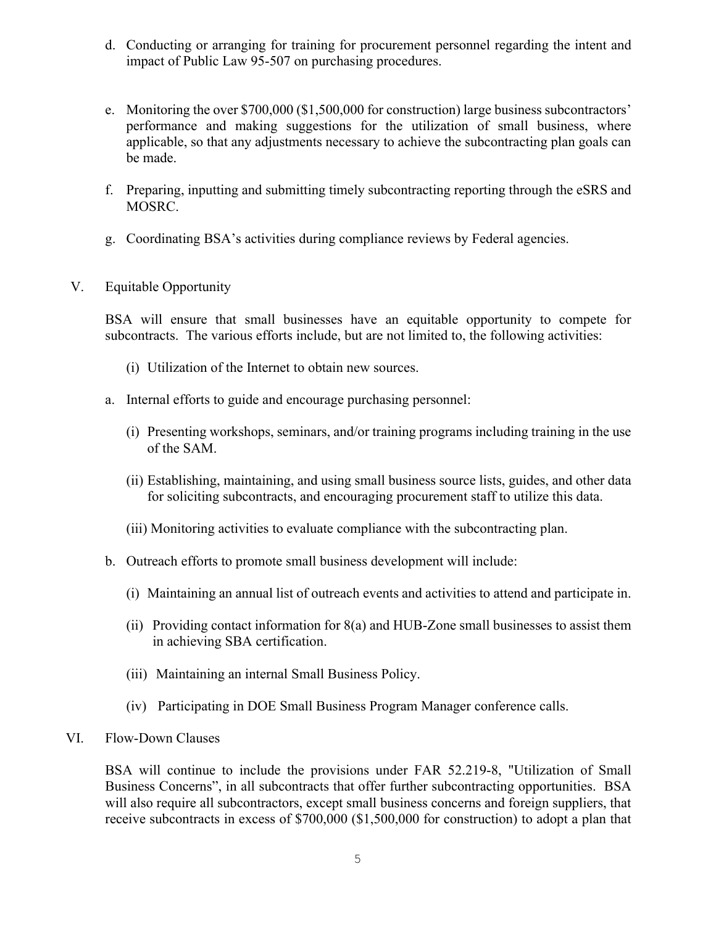- d. Conducting or arranging for training for procurement personnel regarding the intent and impact of Public Law 95-507 on purchasing procedures.
- e. Monitoring the over \$700,000 (\$1,500,000 for construction) large business subcontractors' performance and making suggestions for the utilization of small business, where applicable, so that any adjustments necessary to achieve the subcontracting plan goals can be made.
- f. Preparing, inputting and submitting timely subcontracting reporting through the eSRS and MOSRC.
- g. Coordinating BSA's activities during compliance reviews by Federal agencies.
- V. Equitable Opportunity

BSA will ensure that small businesses have an equitable opportunity to compete for subcontracts. The various efforts include, but are not limited to, the following activities:

- (i) Utilization of the Internet to obtain new sources.
- a. Internal efforts to guide and encourage purchasing personnel:
	- (i) Presenting workshops, seminars, and/or training programs including training in the use of the SAM.
	- (ii) Establishing, maintaining, and using small business source lists, guides, and other data for soliciting subcontracts, and encouraging procurement staff to utilize this data.
	- (iii) Monitoring activities to evaluate compliance with the subcontracting plan.
- b. Outreach efforts to promote small business development will include:
	- (i) Maintaining an annual list of outreach events and activities to attend and participate in.
	- (ii) Providing contact information for 8(a) and HUB-Zone small businesses to assist them in achieving SBA certification.
	- (iii) Maintaining an internal Small Business Policy.
	- (iv) Participating in DOE Small Business Program Manager conference calls.
- VI. Flow-Down Clauses

BSA will continue to include the provisions under FAR 52.219-8, "Utilization of Small Business Concerns", in all subcontracts that offer further subcontracting opportunities. BSA will also require all subcontractors, except small business concerns and foreign suppliers, that receive subcontracts in excess of \$700,000 (\$1,500,000 for construction) to adopt a plan that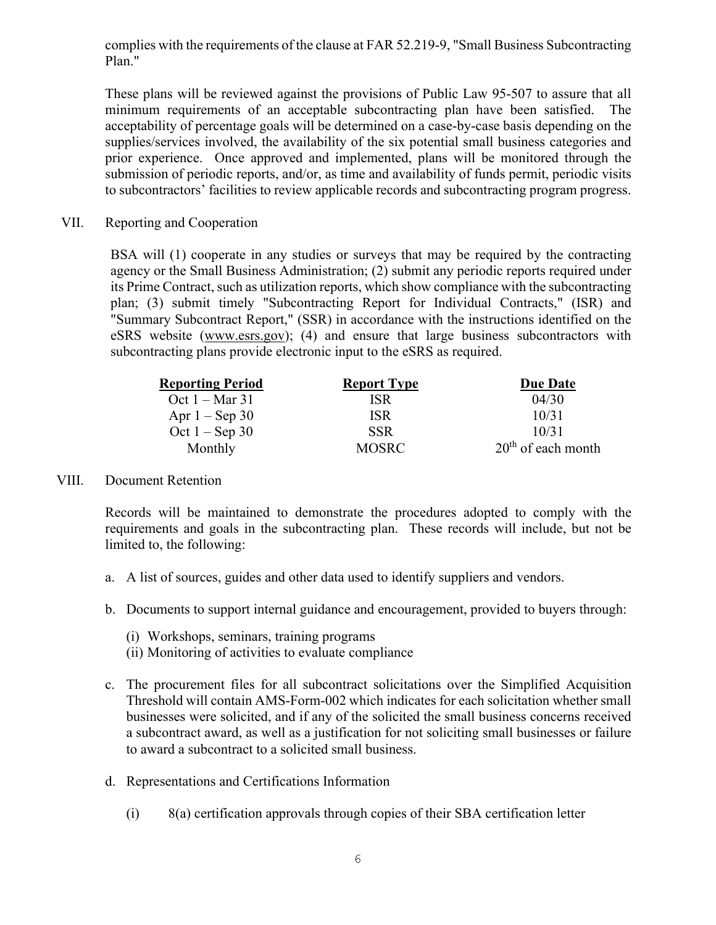complies with the requirements of the clause at FAR 52.219-9, "Small Business Subcontracting Plan."

These plans will be reviewed against the provisions of Public Law 95-507 to assure that all minimum requirements of an acceptable subcontracting plan have been satisfied. The acceptability of percentage goals will be determined on a case-by-case basis depending on the supplies/services involved, the availability of the six potential small business categories and prior experience. Once approved and implemented, plans will be monitored through the submission of periodic reports, and/or, as time and availability of funds permit, periodic visits to subcontractors' facilities to review applicable records and subcontracting program progress.

VII. Reporting and Cooperation

BSA will (1) cooperate in any studies or surveys that may be required by the contracting agency or the Small Business Administration; (2) submit any periodic reports required under its Prime Contract, such as utilization reports, which show compliance with the subcontracting plan; (3) submit timely "Subcontracting Report for Individual Contracts," (ISR) and "Summary Subcontract Report," (SSR) in accordance with the instructions identified on the eSRS website [\(www.esrs.gov\)](http://www.esrs.gov/); (4) and ensure that large business subcontractors with subcontracting plans provide electronic input to the eSRS as required.

| <b>Reporting Period</b>  | <b>Report Type</b> | <b>Due Date</b>      |
|--------------------------|--------------------|----------------------|
| Oct $1 - \text{Mar } 31$ | <b>ISR</b>         | 04/30                |
| Apr $1 -$ Sep 30         | <b>ISR</b>         | 10/31                |
| Oct $1 -$ Sep 30         | <b>SSR</b>         | 10/31                |
| Monthly                  | <b>MOSRC</b>       | $20th$ of each month |

#### VIII. Document Retention

Records will be maintained to demonstrate the procedures adopted to comply with the requirements and goals in the subcontracting plan. These records will include, but not be limited to, the following:

- a. A list of sources, guides and other data used to identify suppliers and vendors.
- b. Documents to support internal guidance and encouragement, provided to buyers through:
	- (i) Workshops, seminars, training programs
	- (ii) Monitoring of activities to evaluate compliance
- c. The procurement files for all subcontract solicitations over the Simplified Acquisition Threshold will contain AMS-Form-002 which indicates for each solicitation whether small businesses were solicited, and if any of the solicited the small business concerns received a subcontract award, as well as a justification for not soliciting small businesses or failure to award a subcontract to a solicited small business.
- d. Representations and Certifications Information
	- (i) 8(a) certification approvals through copies of their SBA certification letter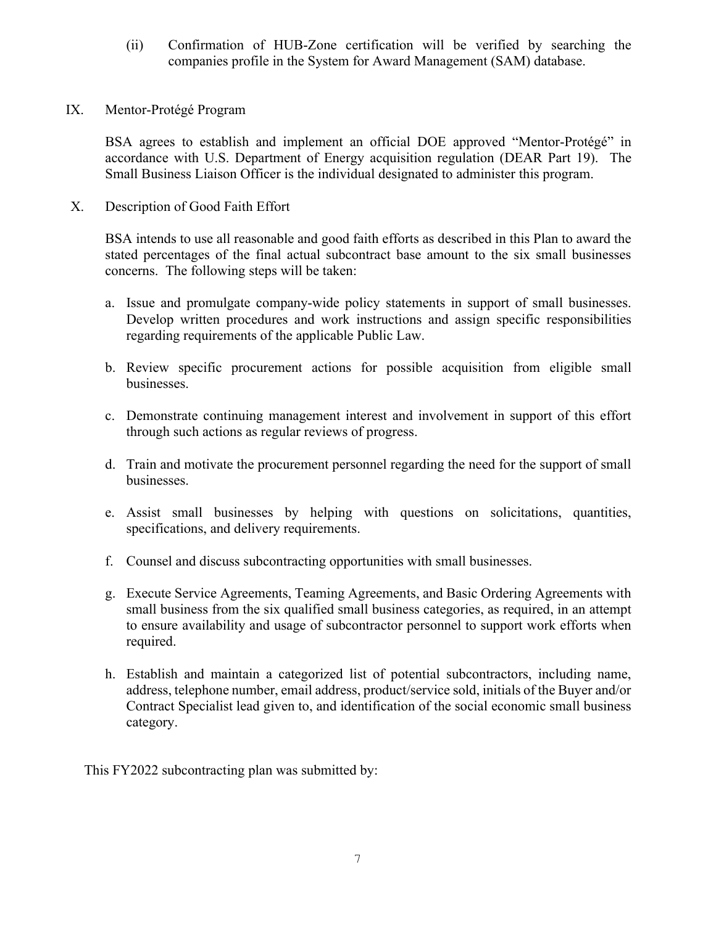- (ii) Confirmation of HUB-Zone certification will be verified by searching the companies profile in the System for Award Management (SAM) database.
- IX. Mentor-Protégé Program

BSA agrees to establish and implement an official DOE approved "Mentor-Protégé" in accordance with U.S. Department of Energy acquisition regulation (DEAR Part 19). The Small Business Liaison Officer is the individual designated to administer this program.

X. Description of Good Faith Effort

BSA intends to use all reasonable and good faith efforts as described in this Plan to award the stated percentages of the final actual subcontract base amount to the six small businesses concerns. The following steps will be taken:

- a. Issue and promulgate company-wide policy statements in support of small businesses. Develop written procedures and work instructions and assign specific responsibilities regarding requirements of the applicable Public Law.
- b. Review specific procurement actions for possible acquisition from eligible small businesses.
- c. Demonstrate continuing management interest and involvement in support of this effort through such actions as regular reviews of progress.
- d. Train and motivate the procurement personnel regarding the need for the support of small businesses.
- e. Assist small businesses by helping with questions on solicitations, quantities, specifications, and delivery requirements.
- f. Counsel and discuss subcontracting opportunities with small businesses.
- g. Execute Service Agreements, Teaming Agreements, and Basic Ordering Agreements with small business from the six qualified small business categories, as required, in an attempt to ensure availability and usage of subcontractor personnel to support work efforts when required.
- h. Establish and maintain a categorized list of potential subcontractors, including name, address, telephone number, email address, product/service sold, initials of the Buyer and/or Contract Specialist lead given to, and identification of the social economic small business category.

This FY2022 subcontracting plan was submitted by: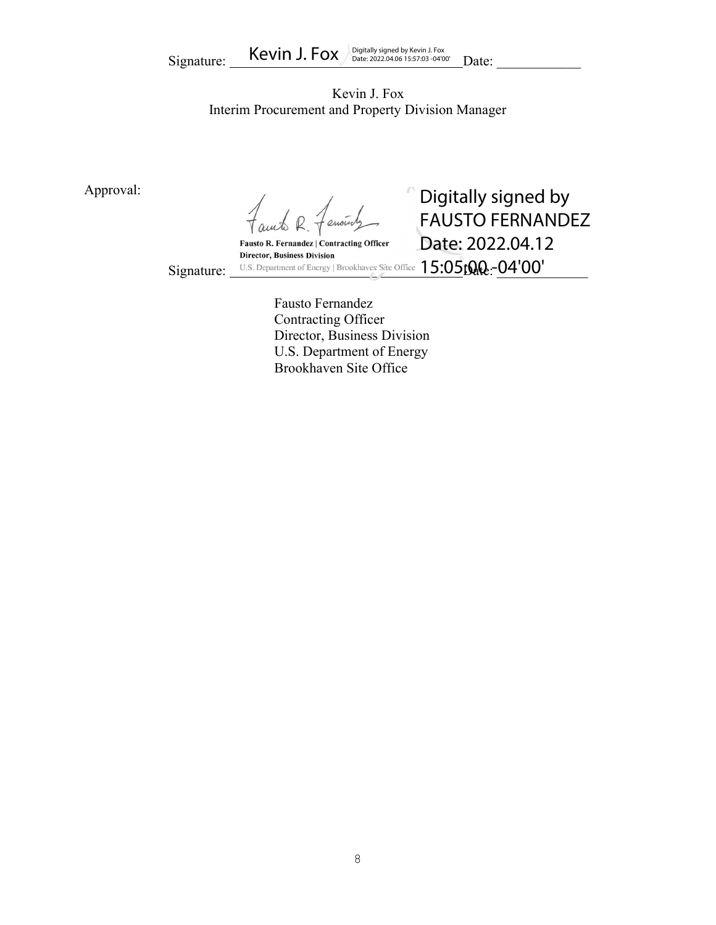Kevin J. Fox Interim Procurement and Property Division Manager

Approval:

encint

Fausto R. Fernandez | Contracting Officer

**Director, Business Division** 

Signature: U.S. Department of Energy | Brookhaven Site Office  $15:05$  to  $\Omega$  :  $04'00'$ Digitally signed by FAUSTO FERNANDEZ Date: 2022.04.12

Fausto Fernandez Contracting Officer Director, Business Division U.S. Department of Energy Brookhaven Site Office

8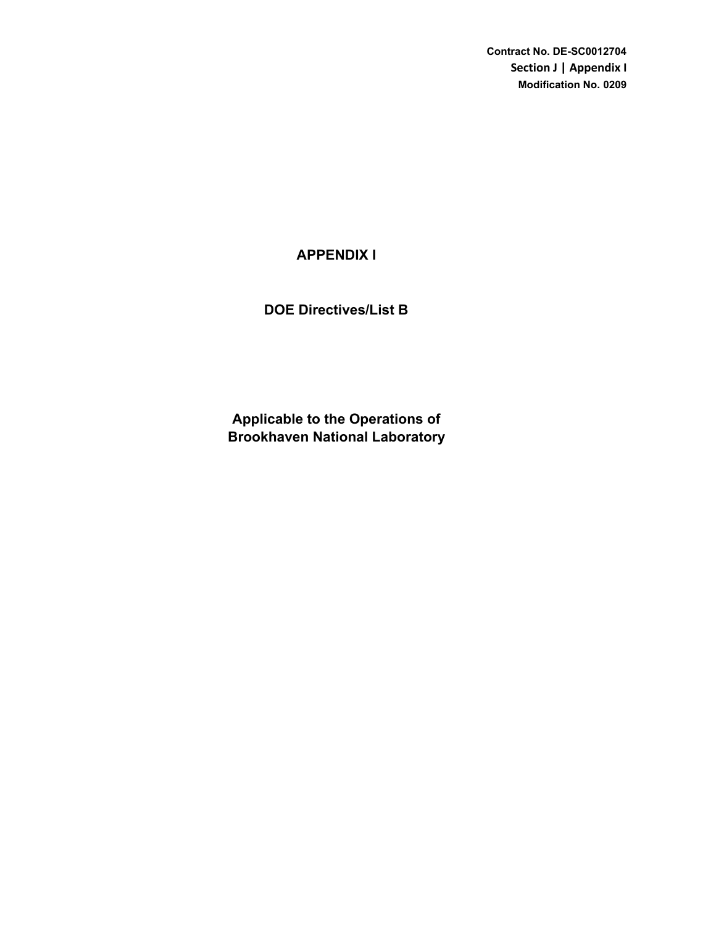**Contract No. DE-SC0012704 Section J | Appendix I Modification No. 0209**

# **APPENDIX I**

**DOE Directives/List B**

**Brookhaven National Laboratory Applicable to the Operations of**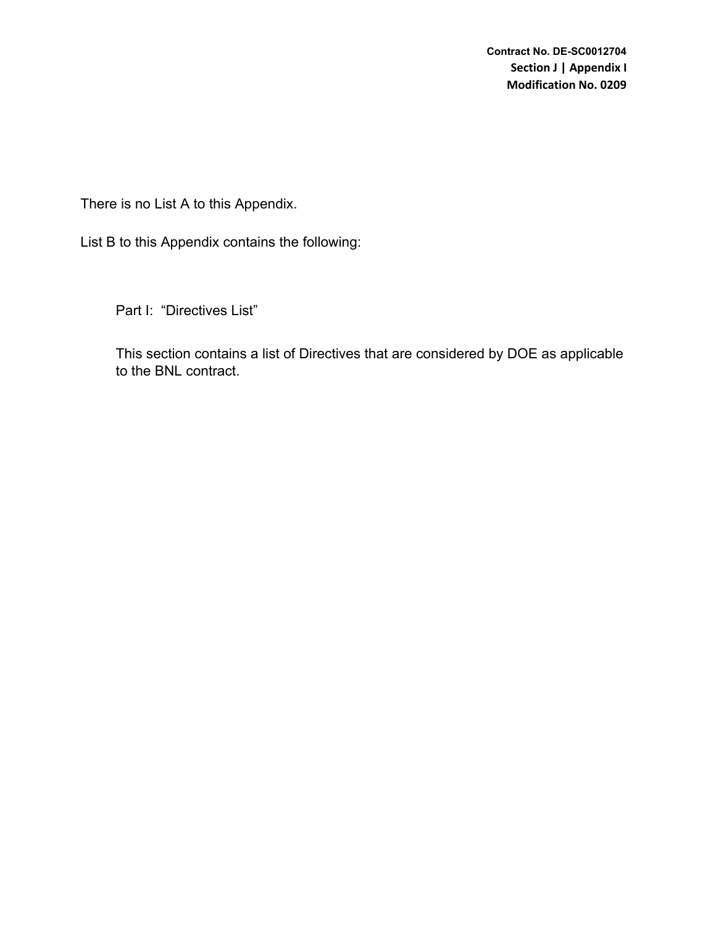There is no List A to this Appendix.

List B to this Appendix contains the following:

Part I: "Directives List"

This section contains a list of Directives that are considered by DOE as applicable to the BNL contract.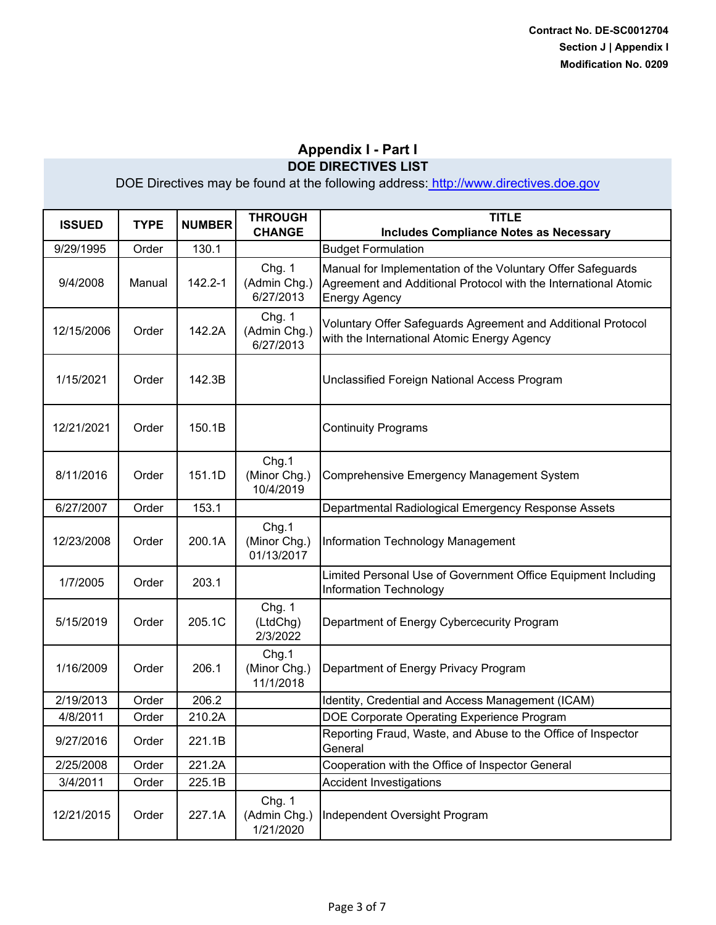| <b>ISSUED</b> | <b>TYPE</b> | <b>NUMBER</b> | <b>THROUGH</b><br><b>CHANGE</b>     | <b>TITLE</b><br><b>Includes Compliance Notes as Necessary</b>                                                                                          |
|---------------|-------------|---------------|-------------------------------------|--------------------------------------------------------------------------------------------------------------------------------------------------------|
| 9/29/1995     | Order       | 130.1         |                                     | <b>Budget Formulation</b>                                                                                                                              |
| 9/4/2008      | Manual      | 142.2-1       | Chg. 1<br>(Admin Chg.)<br>6/27/2013 | Manual for Implementation of the Voluntary Offer Safeguards<br>Agreement and Additional Protocol with the International Atomic<br><b>Energy Agency</b> |
| 12/15/2006    | Order       | 142.2A        | Chg. 1<br>(Admin Chg.)<br>6/27/2013 | Voluntary Offer Safeguards Agreement and Additional Protocol<br>with the International Atomic Energy Agency                                            |
| 1/15/2021     | Order       | 142.3B        |                                     | Unclassified Foreign National Access Program                                                                                                           |
| 12/21/2021    | Order       | 150.1B        |                                     | <b>Continuity Programs</b>                                                                                                                             |
| 8/11/2016     | Order       | 151.1D        | Chg.1<br>(Minor Chg.)<br>10/4/2019  | Comprehensive Emergency Management System                                                                                                              |
| 6/27/2007     | Order       | 153.1         |                                     | Departmental Radiological Emergency Response Assets                                                                                                    |
| 12/23/2008    | Order       | 200.1A        | Chg.1<br>(Minor Chg.)<br>01/13/2017 | <b>Information Technology Management</b>                                                                                                               |
| 1/7/2005      | Order       | 203.1         |                                     | Limited Personal Use of Government Office Equipment Including<br>Information Technology                                                                |
| 5/15/2019     | Order       | 205.1C        | Chg. 1<br>(LtdChg)<br>2/3/2022      | Department of Energy Cybercecurity Program                                                                                                             |
| 1/16/2009     | Order       | 206.1         | Chg.1<br>(Minor Chg.)<br>11/1/2018  | Department of Energy Privacy Program                                                                                                                   |
| 2/19/2013     | Order       | 206.2         |                                     | Identity, Credential and Access Management (ICAM)                                                                                                      |
| 4/8/2011      | Order       | 210.2A        |                                     | DOE Corporate Operating Experience Program                                                                                                             |
| 9/27/2016     | Order       | 221.1B        |                                     | Reporting Fraud, Waste, and Abuse to the Office of Inspector<br>General                                                                                |
| 2/25/2008     | Order       | 221.2A        |                                     | Cooperation with the Office of Inspector General                                                                                                       |
| 3/4/2011      | Order       | 225.1B        |                                     | <b>Accident Investigations</b>                                                                                                                         |
| 12/21/2015    | Order       | 227.1A        | Chg. 1<br>(Admin Chg.)<br>1/21/2020 | Independent Oversight Program                                                                                                                          |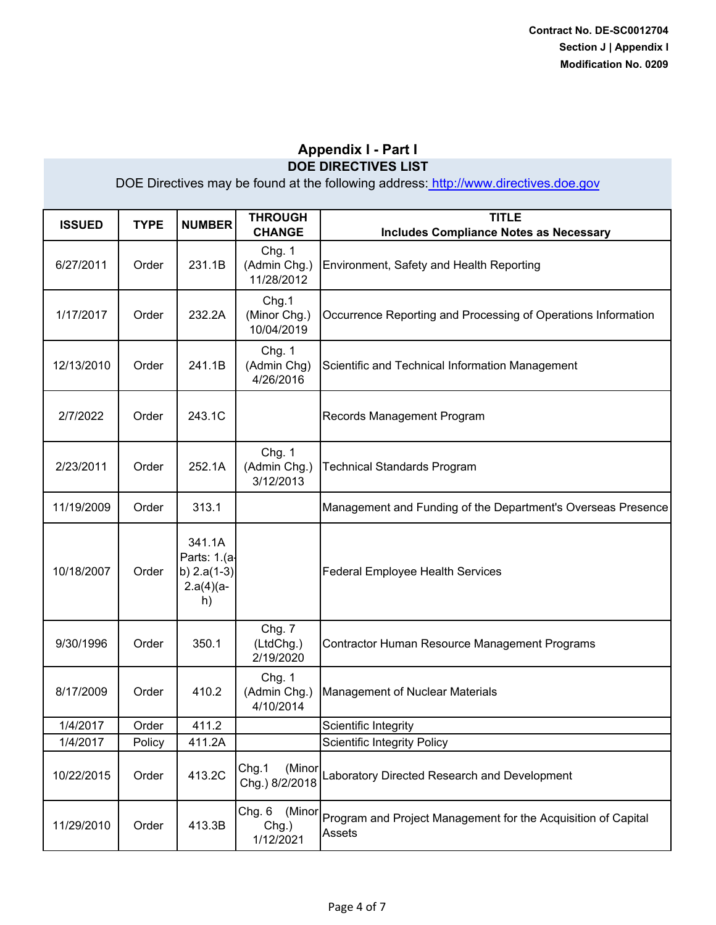| <b>ISSUED</b> | <b>TYPE</b> | <b>NUMBER</b>                                                | <b>THROUGH</b><br><b>CHANGE</b>        | <b>TITLE</b><br><b>Includes Compliance Notes as Necessary</b>           |
|---------------|-------------|--------------------------------------------------------------|----------------------------------------|-------------------------------------------------------------------------|
| 6/27/2011     | Order       | 231.1B                                                       | Chg. 1<br>(Admin Chg.)<br>11/28/2012   | Environment, Safety and Health Reporting                                |
| 1/17/2017     | Order       | 232.2A                                                       | Chg.1<br>(Minor Chg.)<br>10/04/2019    | Occurrence Reporting and Processing of Operations Information           |
| 12/13/2010    | Order       | 241.1B                                                       | Chg. 1<br>(Admin Chg)<br>4/26/2016     | Scientific and Technical Information Management                         |
| 2/7/2022      | Order       | 243.1C                                                       |                                        | Records Management Program                                              |
| 2/23/2011     | Order       | 252.1A                                                       | Chg. 1<br>(Admin Chg.)<br>3/12/2013    | <b>Technical Standards Program</b>                                      |
| 11/19/2009    | Order       | 313.1                                                        |                                        | Management and Funding of the Department's Overseas Presence            |
| 10/18/2007    | Order       | 341.1A<br>Parts: 1.(a-<br>b) $2.a(1-3)$<br>$2.a(4)(a-$<br>h) |                                        | <b>Federal Employee Health Services</b>                                 |
| 9/30/1996     | Order       | 350.1                                                        | Chg. 7<br>(LtdChg.)<br>2/19/2020       | Contractor Human Resource Management Programs                           |
| 8/17/2009     | Order       | 410.2                                                        | Chg. 1<br>(Admin Chg.)<br>4/10/2014    | <b>Management of Nuclear Materials</b>                                  |
| 1/4/2017      | Order       | 411.2                                                        |                                        | Scientific Integrity                                                    |
| 1/4/2017      | Policy      | 411.2A                                                       |                                        | <b>Scientific Integrity Policy</b>                                      |
| 10/22/2015    | Order       | 413.2C                                                       | Chg.1<br>(Minor<br>Chg.) 8/2/2018      | Laboratory Directed Research and Development                            |
| 11/29/2010    | Order       | 413.3B                                                       | Chg. 6<br>(Minor<br>Chg.)<br>1/12/2021 | Program and Project Management for the Acquisition of Capital<br>Assets |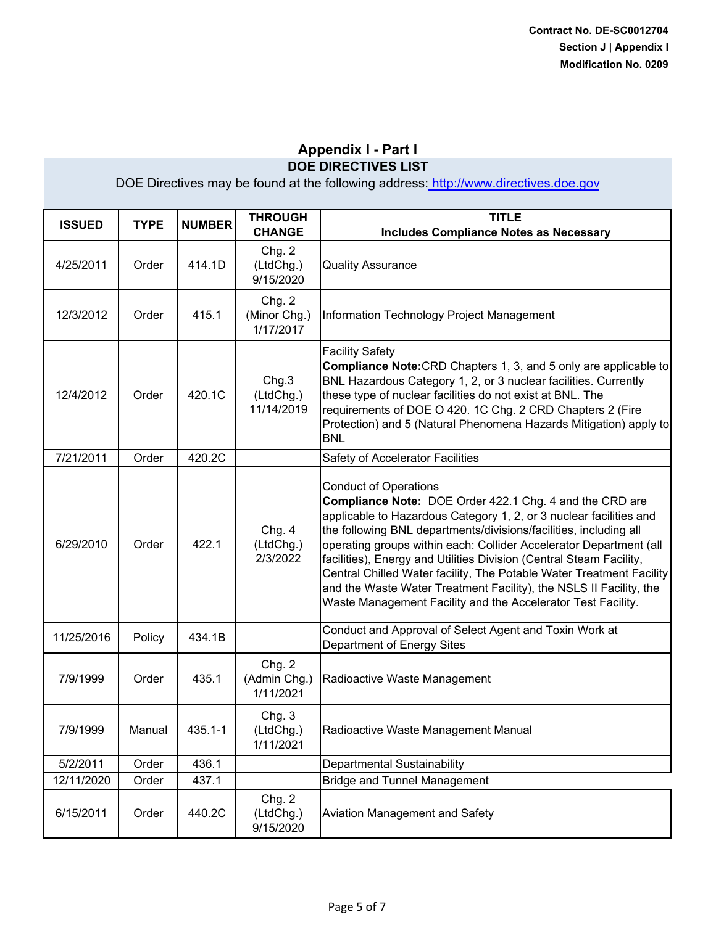| <b>ISSUED</b> | <b>TYPE</b> | <b>NUMBER</b> | <b>THROUGH</b><br><b>CHANGE</b>     | <b>TITLE</b><br><b>Includes Compliance Notes as Necessary</b>                                                                                                                                                                                                                                                                                                                                                                                                                                                                                                                                 |
|---------------|-------------|---------------|-------------------------------------|-----------------------------------------------------------------------------------------------------------------------------------------------------------------------------------------------------------------------------------------------------------------------------------------------------------------------------------------------------------------------------------------------------------------------------------------------------------------------------------------------------------------------------------------------------------------------------------------------|
| 4/25/2011     | Order       | 414.1D        | Chg. 2<br>(LtdChg.)<br>9/15/2020    | <b>Quality Assurance</b>                                                                                                                                                                                                                                                                                                                                                                                                                                                                                                                                                                      |
| 12/3/2012     | Order       | 415.1         | Chg. 2<br>(Minor Chg.)<br>1/17/2017 | Information Technology Project Management                                                                                                                                                                                                                                                                                                                                                                                                                                                                                                                                                     |
| 12/4/2012     | Order       | 420.1C        | Chg.3<br>(LtdChg.)<br>11/14/2019    | <b>Facility Safety</b><br><b>Compliance Note: CRD Chapters 1, 3, and 5 only are applicable to</b><br>BNL Hazardous Category 1, 2, or 3 nuclear facilities. Currently<br>these type of nuclear facilities do not exist at BNL. The<br>requirements of DOE O 420. 1C Chg. 2 CRD Chapters 2 (Fire<br>Protection) and 5 (Natural Phenomena Hazards Mitigation) apply to<br><b>BNL</b>                                                                                                                                                                                                             |
| 7/21/2011     | Order       | 420.2C        |                                     | Safety of Accelerator Facilities                                                                                                                                                                                                                                                                                                                                                                                                                                                                                                                                                              |
| 6/29/2010     | Order       | 422.1         | Chg. 4<br>(LtdChg.)<br>2/3/2022     | <b>Conduct of Operations</b><br>Compliance Note: DOE Order 422.1 Chg. 4 and the CRD are<br>applicable to Hazardous Category 1, 2, or 3 nuclear facilities and<br>the following BNL departments/divisions/facilities, including all<br>operating groups within each: Collider Accelerator Department (all<br>facilities), Energy and Utilities Division (Central Steam Facility,<br>Central Chilled Water facility, The Potable Water Treatment Facility<br>and the Waste Water Treatment Facility), the NSLS II Facility, the<br>Waste Management Facility and the Accelerator Test Facility. |
| 11/25/2016    | Policy      | 434.1B        |                                     | Conduct and Approval of Select Agent and Toxin Work at<br>Department of Energy Sites                                                                                                                                                                                                                                                                                                                                                                                                                                                                                                          |
| 7/9/1999      | Order       | 435.1         | Chg. 2<br>(Admin Chg.)<br>1/11/2021 | Radioactive Waste Management                                                                                                                                                                                                                                                                                                                                                                                                                                                                                                                                                                  |
| 7/9/1999      | Manual      | 435.1-1       | Chg.3<br>(LtdChg.)<br>1/11/2021     | Radioactive Waste Management Manual                                                                                                                                                                                                                                                                                                                                                                                                                                                                                                                                                           |
| 5/2/2011      | Order       | 436.1         |                                     | Departmental Sustainability                                                                                                                                                                                                                                                                                                                                                                                                                                                                                                                                                                   |
| 12/11/2020    | Order       | 437.1         |                                     | <b>Bridge and Tunnel Management</b>                                                                                                                                                                                                                                                                                                                                                                                                                                                                                                                                                           |
| 6/15/2011     | Order       | 440.2C        | Chg. 2<br>(LtdChg.)<br>9/15/2020    | Aviation Management and Safety                                                                                                                                                                                                                                                                                                                                                                                                                                                                                                                                                                |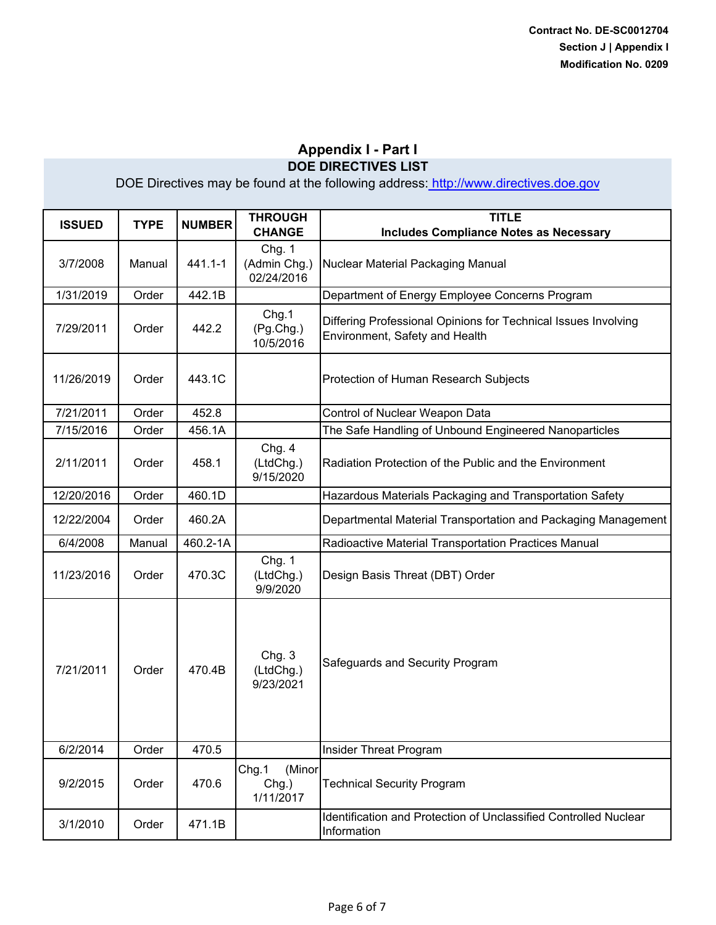| <b>ISSUED</b> | <b>TYPE</b> | <b>NUMBER</b> | <b>THROUGH</b><br><b>CHANGE</b>       | <b>TITLE</b><br><b>Includes Compliance Notes as Necessary</b>                                    |
|---------------|-------------|---------------|---------------------------------------|--------------------------------------------------------------------------------------------------|
| 3/7/2008      | Manual      | 441.1-1       | Chg. 1<br>(Admin Chg.)<br>02/24/2016  | Nuclear Material Packaging Manual                                                                |
| 1/31/2019     | Order       | 442.1B        |                                       | Department of Energy Employee Concerns Program                                                   |
| 7/29/2011     | Order       | 442.2         | Chg.1<br>(Pg.Chg.)<br>10/5/2016       | Differing Professional Opinions for Technical Issues Involving<br>Environment, Safety and Health |
| 11/26/2019    | Order       | 443.1C        |                                       | Protection of Human Research Subjects                                                            |
| 7/21/2011     | Order       | 452.8         |                                       | Control of Nuclear Weapon Data                                                                   |
| 7/15/2016     | Order       | 456.1A        |                                       | The Safe Handling of Unbound Engineered Nanoparticles                                            |
| 2/11/2011     | Order       | 458.1         | Chg. 4<br>(LtdChg.)<br>9/15/2020      | Radiation Protection of the Public and the Environment                                           |
| 12/20/2016    | Order       | 460.1D        |                                       | Hazardous Materials Packaging and Transportation Safety                                          |
| 12/22/2004    | Order       | 460.2A        |                                       | Departmental Material Transportation and Packaging Management                                    |
| 6/4/2008      | Manual      | 460.2-1A      |                                       | Radioactive Material Transportation Practices Manual                                             |
| 11/23/2016    | Order       | 470.3C        | Chg. 1<br>(LtdChg.)<br>9/9/2020       | Design Basis Threat (DBT) Order                                                                  |
| 7/21/2011     | Order       | 470.4B        | Chg. 3<br>(LtdChg.)<br>9/23/2021      | Safeguards and Security Program                                                                  |
| 6/2/2014      | Order       | 470.5         |                                       | Insider Threat Program                                                                           |
| 9/2/2015      | Order       | 470.6         | Chg.1<br>(Minor<br>Chg.)<br>1/11/2017 | <b>Technical Security Program</b>                                                                |
| 3/1/2010      | Order       | 471.1B        |                                       | Identification and Protection of Unclassified Controlled Nuclear<br>Information                  |